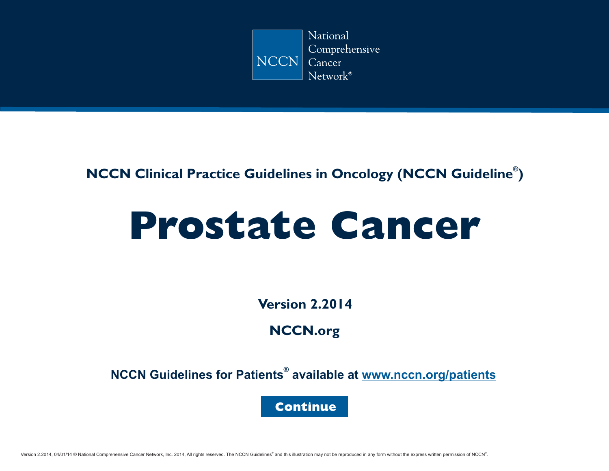<span id="page-0-0"></span>

# **NCCN Clinical Practice Guidelines in Oncology (NCCN Guideline®)**

# **Prostate Cancer**

**Version 2.2014**

**NCCN.org**

**NCCN Guidelines for Patients available at ® www.nccn.org/patients**

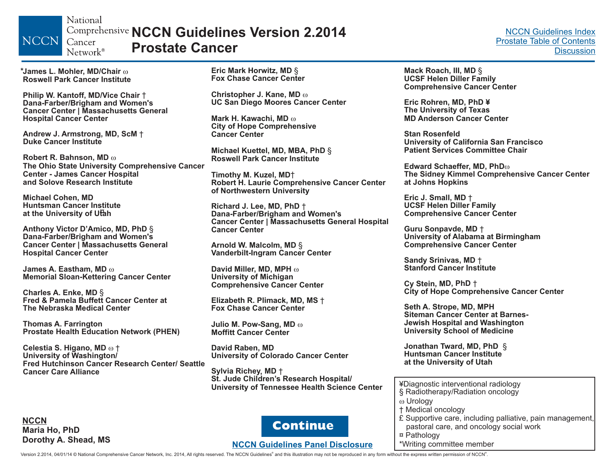Comprehensive **NCCN Guidelines Version 2.2014** 

**Prostate Cancer**

**James L. Mohler, MD/Chair** -**\*Roswell Park Cancer Institute**

**Philip W. Kantoff, MD/Vice Chair** † **Dana-Farber/Brigham and Women's Cancer Center | Massachusetts General Hospital Cancer Center**

† **Andrew J. Armstrong, MD, ScM Duke Cancer Institute**

**The Ohio State University Comprehensive Cancer Center - James Cancer Hospital and Solove Research Institute** $\boldsymbol{\mathsf{Robert}}\ \boldsymbol{\mathsf{R}}.\ \boldsymbol{\mathsf{B}ahnson},\ \boldsymbol{\mathsf{MD}}\ \boldsymbol{\mathsf{\omega}}$ 

**Michael Cohen, MD Huntsman Cancer Institute**at the University of U<del>ta</del>h

**Anthony Victor D'Amico, MD, PhD** § **Dana-Farber/Brigham and Women's Cancer Center | Massachusetts General Hospital Cancer Center**

**James A. Eastham, MD** -**Memorial Sloan-Kettering Cancer Center**

**Charles A. Enke, MD** § **Fred & Pamela Buffett Cancer Center atThe Nebraska Medical Center**

**Thomas A. Farrington Prostate Health Education Network (PHEN)**

Celestia S. Higano, MD **⊛** † **University of Washington/ Fred Hutchinson Cancer Research Center/ SeattleCancer Care Alliance**

**NCCNMaria Ho, PhD Dorothy A. Shead, MS**

**Eric Mark Horwitz, MD** § **Fox Chase Cancer Center**

**Christopher J. Kane, MD** -**UC San Diego Moores Cancer Center**

**Mark H. Kawachi, MD** -**City of Hope Comprehensive Cancer Center**

**Michael Kuettel, MD, MBA, PhD** § **Roswell Park Cancer Institute**

**Timothy M. Kuzel, MD** † **Robert H. Laurie Comprehensive Cancer Center of Northwestern University**

**Richard J. Lee, MD, PhD** † **Dana-Farber/Brigham and Women's Cancer Center | Massachusetts General Hospital Cancer Center**

**Arnold W. Malcolm, MD** § **Vanderbilt-Ingram Cancer Center**

**David Miller, MD, MPH** -**University of Michigan Comprehensive Cancer Center**

**Elizabeth R. Plimack, MD, MS** † **Fox Chase Cancer Center**

**Julio M. Pow-Sang, MD** - **Moffitt Cancer Center**

**David Raben, MD University of Colorado Cancer Center**

**Sylvia MD** † **Richey, St. Jude Children's Research Hospital/ University of Tennessee Health Science Center**

**Continue**

#### **[NCCN Guidelines Panel Disclosure](http://www.nccn.org/disclosures/panel_list.asp?ID=44)**

[NCCN Guidelines Index](#page-0-0)Prostate [Table of Contents](#page-2-0)**[Discussion](#page-35-0)** 

**Mack Roach, III, MD** § **UCSF Helen Diller Family Comprehensive Cancer Center**

**Eric Rohren, MD, PhD ¥ The University of Texas MD Anderson Cancer Center**

**Stan RosenfeldUniversity of California San Francisco Patient Services Committee Chair**

**Edward Schaeffer, MD, PhD** - **The Sidney Kimmel Comprehensive Cancer Center at Johns Hopkins**

**Eric J. Small, MD** † **UCSF Helen Diller Family Comprehensive Cancer Center**

**Guru Sonpavde, MD** † **University of Alabama at Birmingham Comprehensive Cancer Center**

**Sandy Srinivas, MD** † **Stanford Cancer Institute**

**Cy Stein, M D, PhD** † **City of Hope Comprehensive Cancer Center**

**Seth A. Strope, MD, MPH Siteman Cancer Center at Barnes-Jewish Hospital and Washington University School of Medicine**

**Jonathan Tward, MD, PhD** § **Huntsman Cancer Instituteat the University of Utah**

¥Diagnostic interventional radiology § Radiotherapy/Radiation oncology

- $\omega$  Urology
- † Medical oncology
- £ Supportive care, including palliative, pain management, pastoral care, and oncology social work ¤ Pathology
- \*Writing committee member

Version 2.2014, 04/01/14 @ National Comprehensive Cancer Network, Inc. 2014, All rights reserved. The NCCN Guidelines® and this illustration may not be reproduced in any form without the express written permission of NCCN®

National Cancer

<span id="page-1-0"></span>**NCCN**  $N$ etwork®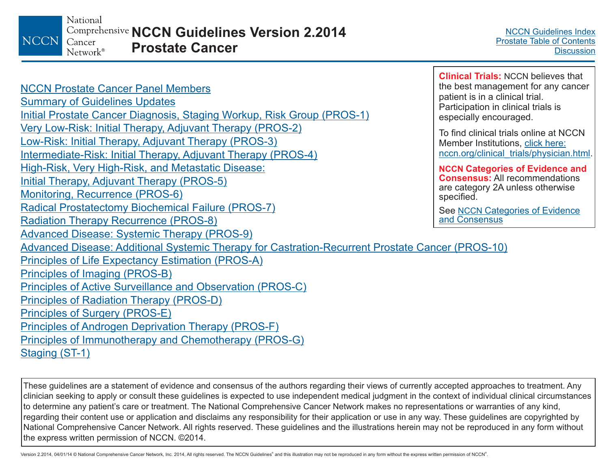[Initial Prostate Cancer Diagnosis, Staging Workup, Risk Group \(PROS-1\)](#page-7-0)

[Very Low-Risk: Initial](#page-8-0) Therapy, Adjuvant Therapy (PROS-2)

[NCCN Prostate Cancer Panel Members](#page-1-0)

[Summary of Guidelines Updates](#page-3-0)

National

Cancer

<span id="page-2-0"></span>**NCCN** 

**NCCN Guidelines Version 2.2014 Prostate Cancer**Network®

| Low-Risk: Initial Therapy, Adjuvant Therapy (PROS-3)                                                                                                                                                                                                                  | <b>Member Institution</b>     |
|-----------------------------------------------------------------------------------------------------------------------------------------------------------------------------------------------------------------------------------------------------------------------|-------------------------------|
| <b>Intermediate-Risk: Initial Therapy, Adjuvant Therapy (PROS-4)</b>                                                                                                                                                                                                  | nccn.org/clinical             |
| High-Risk, Very High-Risk, and Metastatic Disease:                                                                                                                                                                                                                    | <b>NCCN Categorie</b>         |
| <b>Initial Therapy, Adjuvant Therapy (PROS-5)</b>                                                                                                                                                                                                                     | <b>Consensus: All</b>         |
| <b>Monitoring, Recurrence (PROS-6)</b>                                                                                                                                                                                                                                | are category 2A<br>specified. |
| <b>Radical Prostatectomy Biochemical Failure (PROS-7)</b>                                                                                                                                                                                                             | See NCCN Cated                |
| <b>Radiation Therapy Recurrence (PROS-8)</b>                                                                                                                                                                                                                          | and Consensus                 |
| <b>Advanced Disease: Systemic Therapy (PROS-9)</b>                                                                                                                                                                                                                    |                               |
| <u><b>Advanced Disease: Additional Systemic Therapy for Castration-Recurrent Prostate Cancer (PROS-10)</b></u>                                                                                                                                                        |                               |
| <b>Principles of Life Expectancy Estimation (PROS-A)</b>                                                                                                                                                                                                              |                               |
| <b>Principles of Imaging (PROS-B)</b>                                                                                                                                                                                                                                 |                               |
| <b>Principles of Active Surveillance and Observation (PROS-C)</b>                                                                                                                                                                                                     |                               |
| <b>Principles of Radiation Therapy (PROS-D)</b>                                                                                                                                                                                                                       |                               |
| <b>Principles of Surgery (PROS-E)</b>                                                                                                                                                                                                                                 |                               |
| <b>Principles of Androgen Deprivation Therapy (PROS-F)</b>                                                                                                                                                                                                            |                               |
| <b>Principles of Immunotherapy and Chemotherapy (PROS-G)</b>                                                                                                                                                                                                          |                               |
| Staging (ST-1)                                                                                                                                                                                                                                                        |                               |
|                                                                                                                                                                                                                                                                       |                               |
|                                                                                                                                                                                                                                                                       |                               |
| These guidelines are a statement of evidence and consensus of the authors regarding their views of currently accepted approach<br>clinician seeking to apply or consult these guidelines is expected to use independent medical judgment in the context of individual |                               |
| to determine any patient's care or treatment. The National Comprehensive Cancer Network makes no representations or warranti                                                                                                                                          |                               |
| regarding their content use or application and disclaims any responsibility for their application or use in any way. These guidelines                                                                                                                                 |                               |

**Clinical Trials:** NCCN believes that the best management for any cancer patient is in a clinical trial. Participation in clinical trials is especially encouraged.

To find clinical trials online at NCCNMember Institutions, <u>click here:</u> nical trials/physician.html.

**Categories of Evidence and Consensus:** are category 2A unless otherwise : All recommendations

**[Categories of Evidence](#page-35-0) nsus** 

roaches to treatment. Any vidual clinical circumstances arranties of any kind, elines are copyrighted by National Comprehensive Cancer Network. All rights reserved. These guidelines and the illustrations herein may not be reproduced in any form without the express written permission of NCCN. ©2014.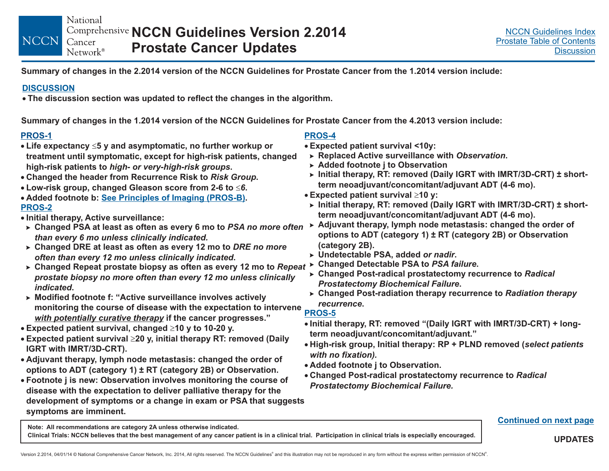<span id="page-3-0"></span>**Summary of changes in the 2.2014 version of the NCCN Guidelines for Prostate Cancer from the 1.2014 version include:**

#### **[DISCUSSION](#page-35-0)**

**The discussion section was updated to reflect the changes in the algorithm.**

**Summary of changes in the 1.2014 version of the NCCN Guidelines for Prostate Cancer from the 4.2013 version include:**

# **[PROS-1](#page-7-0)**

- **Life expectancy 5 y and asymptomatic, no further workup or treatment until symptomatic, except for high-risk patients, changed high-risk patients to .** *high- or very-high-risk groups*
- **Changed the header from Recurrence Risk to .** *Risk Group*
- **Low-risk group, changed Gleason score from 2-6 to .** *6*
- **Added footnote b: . [See Principles of Imaging \(PROS-B\)](#page-19-0) [PROS-2](#page-8-0)**
- **Initial therapy, Active surveillance:**
- **Changed PSA at least as often as every 6 mo to** *PSA no more often than every 6 mo unless clinically indicated.*
- **Changed DRE at least as often as every 12 mo to** -*DRE no more***.** *often than every 12 mo unless clinically indicated*
- ► Changed Repeat prostate biopsy as often as every 12 mo to *Repeat* **.***indicatedprostate biopsy no more often than every 12 mo unless clinically*
- **Modified footnote f: "Active surveillance involves actively monitoring the course of disease with the expectation to intervene** *with potentially curative therapy* if the cancer progresses."
- **Expected patient survival, changed 10 y to 10-20 y.**
- **Expected patient survival 20 y, initial therapy RT: removed (Daily IGRT with IMRT/3D-CRT).**
- **Adjuvant therapy, lymph node metastasis: changed the order of options to ADT (category 1) ± RT (category 2B) or Observation.**
- **Footnote j is new: Observation involves monitoring the course of disease with the expectation to deliver palliative therapy for the development of symptoms or a change in exam or PSA that suggests symptoms are imminent.**

# **[PROS-4](#page-10-0)**

- **Expected patient survival <10y:**
- **Replaced Active surveillance with .** *Observation*
- **Added footnote j to Observation** -
- **Initial therapy, RT: removed (Daily IGRT with IMRT/3D-CRT) ± short- term neoadjuvant/concomitant/adjuvant ADT (4-6 mo).**
- **Expected patient survival 10 y:**
- **Initial therapy, RT: removed (Daily IGRT with IMRT/3D-CRT) ± short- term neoadjuvant/concomitant/adjuvant ADT (4-6 mo).**
- **Adjuvant therapy, lymph node metastasis: changed the order of options to ADT (category 1) ± RT (category 2B) or Observation (category 2B).**
- **Undetectable PSA, added .** -*or nadir*
- **Changed Detectable PSA to .** *PSA failure*-
- **Changed Post-radical prostatectomy recurrence to** -*Radical* **.** *Prostatectomy Biochemical Failure*
- **Changed Post-radiation therapy recurrence to** *Radiation therapy* **.***recurrence*

#### **[PROS-5](#page-11-0)**

- **Initial therapy, RT: removed "(Daily IGRT with IMRT/3D-CRT) + longterm neoadjuvant/concomitant/adjuvant."**
- **High-risk group, Initial therapy: RP + PLND removed (** *select patients with no fixation).*
- **Added footnote j to Observation.**
- **Changed Post-radical prostatectomy recurrence to** *Radical Prostatectomy Biochemical Failure.*

**Note: All recommendations are category 2A unless otherwise indicated. Clinical Trials: NCCN believes that the best management of any cancer patient is in a clinical trial. Participation in clinical trials is especially encouraged. UPDATES**

**Continued on next page**

Version 2.2014, 04/01/14 © National Comprehensive Cancer Network, Inc. 2014, All rights reserved. The NCCN Guidelines® and this illustration may not be reproduced in any form without the express written permission of NCCN®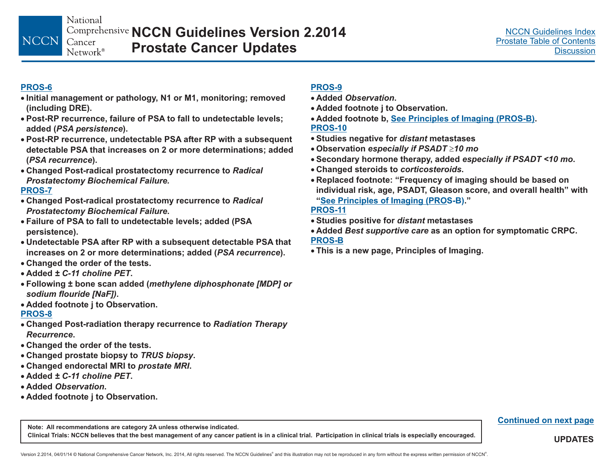**NCCN** 

Cancer Network<sup>®</sup>

National

# **[PROS-6](#page-12-0)**

- **Initial management or pathology, N1 or M1, monitoring; removed (including DRE).**
- **Post-RP recurrence, failure of PSA to fall to undetectable levels; added ( ).** *PSA persistence*
- **Post-RP recurrence, undetectable PSA after RP with a subsequent detectable PSA that increases on 2 or more determinations; added ( ).** *PSA recurrence*
- **[PROS-7](#page-13-0) Changed Post-radical prostatectomy recurrence to** *Radical Prostatectomy Biochemical Failure.*
- **Changed Post-radical prostatectomy recurrence to** *Radical* **.***Prostatectomy Biochemical Failure*
- **Failure of PSA to fall to undetectable levels; added (PSA persistence).**
- **Undetectable PSA after RP with a subsequent detectable PSA that increases on 2 or more determinations; added ( ).** *PSA recurrence*
- **Changed the order of the tests.**
- **Added .***± C-11 choline PET*
- **Following ± bone scan added (** *methylene diphosphonate [MDP] or* **.** *sodium flouride [NaF])*
- **Added footnote j to Observation.**

## **[PROS-8](#page-14-0)**

- **Changed Post-radiation therapy recurrence to** *Radiation Therapy* **.***Recurrence*
- **Changed the order of the tests.**
- **Changed prostate biopsy to .** *TRUS biopsy*
- **Changed endorectal MRI to .** *prostate MRI*
- **Added .***± C-11 choline PET*
- **Added .***Observation*
- **Added footnote j to Observation.**

# **[PROS-9](#page-15-0)**

- **Added .***Observation*
- **Added footnote j to Observation.**
- **[PROS-10](#page-16-0)Added footnote b, . [See Principles of Imaging \(PROS-B\)](#page-19-0)**
- **Studies negative for metastases** *distant*
- **Observation** *especially if PSADT 10 mo*
- **Secondary hormone therapy, added .** *especially if PSADT <10 mo*
- **Changed steroids to .** *corticosteroids*
- **[PROS-11](#page-17-0) Replaced footnote: "Frequency of imaging should be based on individual risk, age, PSADT, Gleason score, and overall health" with " [See Principles of Imaging \(PROS-B\)](#page-19-0) ."**
- **Studies positive for metastases** *distant*
- **[PROS-B](#page-19-0)Added as an option for symptomatic CRPC.** *Best supportive care*
- **This is a new page, Principles of Imaging.**

**Note: All recommendations are category 2A unless otherwise indicated. Clinical Trials: NCCN believes that the best management of any cancer patient is in a clinical trial. Participation in clinical trials is especially encouraged. UPDATES**

**Continued on next page**

Version 2.2014, 04/01/14 © National Comprehensive Cancer Network, Inc. 2014, All rights reserved. The NCCN Guidelines® and this illustration may not be reproduced in any form without the express written permission of NCCN®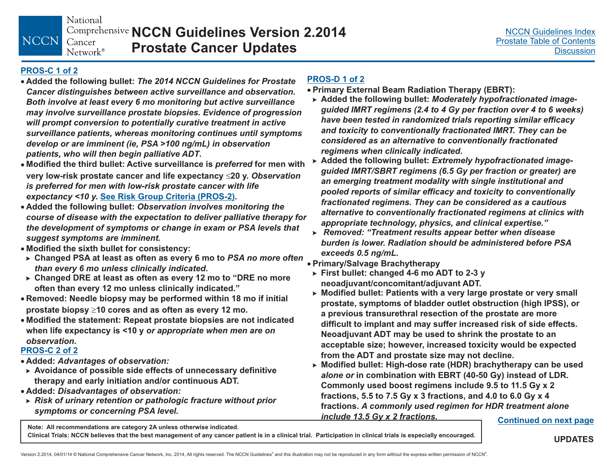National Comprehensive **NCCN Guidelines Version 2.2014** Cancer **Prostate Cancer Updates** Network®

#### **[PROS-C 1 of 2](#page-22-0)**

**NCCN** 

- **Added the following bullet:** *The 2014 NCCN Guidelines for Prostate* **.** *patients, who will then begin palliative ADT Cancer distinguishes between active surveillance and observation. Both involve at least every 6 mo monitoring but active surveillance may involve surveillance prostate biopsies. Evidence of progression will prompt conversion to potentially curative treatment in active surveillance patients, whereas monitoring continues until symptoms develop or are imminent (ie, PSA >100 ng/mL) in observation*
- **Modified the third bullet: Active surveillance is for men with** *preferred* **very low-risk prostate cancer and life expectancy 20 y.** *Observation is preferred for men with low-risk prostate cancer with life expectancy <10 y. .* **[See Risk Group Criteria \(PROS-2\)](#page-8-0)**
- **Added the following bullet:** *Observation involves monitoring the course of disease with the expectation to deliver palliative therapy for* the development of symptoms or change in exam or PSA levels that *suggest symptoms are imminent.*
- **Modified the sixth bullet for consistency:**
- -**Changed PSA at least as often as every 6 mo to** *PSA no more often***.** *than every 6 mo unless clinically indicated*
- **Changed DRE at least as often as every 12 mo to "DRE no more often than every 12 mo unless clinically indicated."**
- **Removed: Needle biopsy may be performed within 18 mo if initial prostate biopsy 10 cores and as often as every 12 mo.**
- **Modified the statement: Repeat prostate biopsies are not indicated when life expectancy is <10 y** *or appropriate when men are on* **.***observation*

#### **[PROS-C 2 of 2](#page-23-0)**

- **Added:***Advantages of observation:*
- -**Avoidance of possible side effects of unnecessary definitive therapy and early initiation and/or continuous ADT.**
- **Added:** *Disadvantages of observation:*
- *Risk of urinary retention or pathologic fracture without prior symptoms or concerning PSA level.*

#### **[PROS-D 1 of 2](#page-24-0)**

- **Primary External Beam Radiation Therapy (EBRT):**
- **Added the following bullet:** *Moderately hypofractionated image-***.***regimens when clinically indicated* guided IMRT regimens (2.4 to 4 Gy per fraction over 4 to 6 weeks) *have been tested in randomized trials reporting similar efficacy and toxicity to conventionally fractionated IMRT. They can be considered as an alternative to conventionally fractionated*
- **Added the following bullet:** *Extremely hypofractionated imageguided IMRT/SBRT regimens (6.5 Gy per fraction or greater) are an emerging treatment modality with single institutional and pooled reports of similar efficacy and toxicity to conventionally fractionated regimens. They can be considered as <sup>a</sup> cautious alternative to conventionally fractionated regimens at clinics with appropriate technology, physics, and clinical expertise."*
- *Removed: "Treatment results appear better when disease burden is lower. Radiation should be administered before PSAexceeds 0.5 ng/mL.*
- **Primary/Salvage Brachytherapy**
- **First bullet: changed 4-6 mo ADT to 2-3 y neoadjuvant/concomitant/adjuvant ADT.**
- **► Modified bullet: Patients with a very large prostate or very small prostate, symptoms of bladder outlet obstruction (high IPSS), or a previous transurethral resection of the prostate are more difficult to implant and may suffer increased risk of side effects. Neoadjuvant ADT may be used to shrink the prostate to an acceptable size; however, increased toxicity would be expected from the ADT and prostate size may not decline.**
- ► Modified bullet: High-dose rate (HDR) brachytherapy can be used a*lone or* in combination with EBRT (40-50 Gy) instead of LDR. **Commonly used boost regimens include 9.5 to 11.5 Gy x 2 fractions, 5.5 to 7.5 Gy x 3 fractions, and 4.0 to 6.0 Gy x 4 fractions.** *A commonly used regimen for HDR treatment alone include 13.5 Gy <sup>x</sup> <sup>2</sup> fractions.* **Continued on next page**

**Note: All recommendations are category 2A unless otherwise indicated.**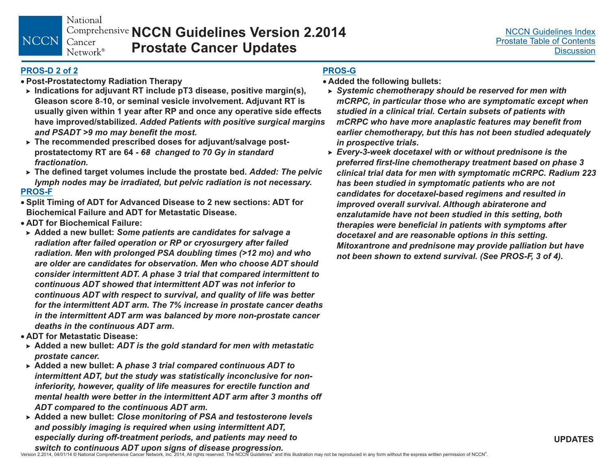National

**NCCN** Cancer Network<sup>®</sup>

#### **[PROS-D 2 of 2](#page-25-0)**

- **Post-Prostatectomy Radiation Therapy**
- -**Indications for adjuvant RT include pT3 disease, positive margin(s), Gleason score 8 10, or seminal vesicle involvement. Adjuvant RT is usually given within 1 year after RP and once any operative side effects have improved/stabilized.** *Added Patients with positive surgical margins and PSADT >9 mo may benefit the most.*
- **The recommended prescribed doses for adjuvant/salvage post- prostatectomy RT are 64** *- changed to 70 Gy in standard 68 fractionation.*
- **[PROS-F](#page-27-0)The defined target volumes include the prostate bed.** *Added: The pelvic lymph nodes may be irradiated, but pelvic radiation is not necessary.*
- **Split Timing of ADT for Advanced Disease to 2 new sections: ADT for Biochemical Failure and ADT for Metastatic Disease.**
- **ADT for Biochemical Failure:**
- **.***deaths in the continuous ADT armMen with prolonged PSA doubling times (>12 mo) and who radiation. are older are candidates for observation. Men who choose ADT shouldconsider intermittent ADT. A phase 3 trial that compared intermittent to continuous ADT showed that intermittent ADT was not inferior to*continuous ADT with respect to survival, and quality of life was better for the intermittent ADT arm. The 7% increase in prostate cancer deaths *in the intermittent ADT arm was balanced by more non-prostate cancer* **Added a new bullet:** - *Some patients are candidates for salvage <sup>a</sup> radiation after failed operation or RP or cryosurgery after failed*
- **ADT for Metastatic Disease:**
- **Added a new bullet:** *ADT is the gold standard for men with metastatic prostate cancer.*
- **Added a new bullet: A***phase 3 trial compared continuous ADT to intermittent ADT, but the study was statistically inconclusive for noninferiority, however, quality of life measures for erectile function and* mental health were better in the intermittent ADT arm after 3 months off *ADT compared to the continuous ADT arm.*
- **Added a new bullet:** *Close monitoring of PSA and testosterone levels and possibly imaging is required when using intermittent ADT, especially during off-treatment periods, and patients may need to*

# **[PROS-G](#page-31-0)**

- **Added the following bullets:**
- -*Systemic chemotherapy should be reserved for men with mCRPC, in particular those who are symptomatic except when studied in <sup>a</sup> clinical trial. Certain subsets of patients with mCRPC who have more anaplastic features may benefit from earlier chemotherapy, but this has not been studied adequately in prospective trials.*
- *Every-3-week docetaxel with or without prednisone is the preferred first-line chemotherapy treatment based on phase 3 clinical trial data for men with symptomatic mCRPC. Radium 223 has been studied in symptomatic patients who are not candidates for docetaxel-based regimens and resulted in improved overall survival. Although abiraterone and enzalutamide have not been studied in this setting, both therapies were beneficial in patients with symptoms after docetaxel and are reasonable options in this setting. Mitoxantrone and prednisone may provide palliation but have not been shown to extend survival. (See PROS-F, 3 of 4).*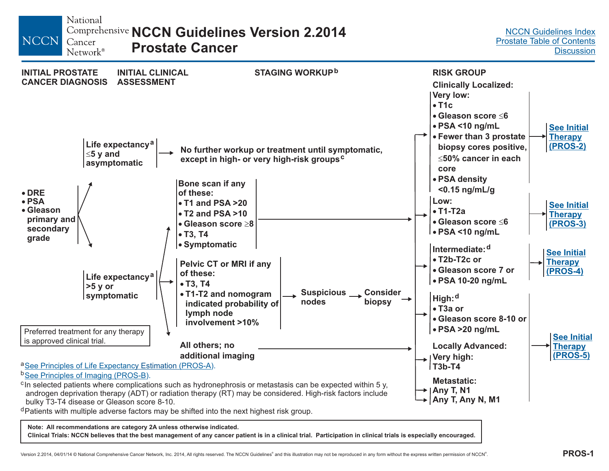<span id="page-7-0"></span>National **NCCN Guidelines Version 2.2014** [NCCN Guidelines Index](#page-0-0)**NCCN** Cancer Prostate [Table of Contents](#page-2-0)**Prostate Cancer**Network® **[Discussion](#page-35-0) INITIAL CLINICALSTAGING WORKUPbINITIAL PROSTATE RISK GROUPCANCER DIAGNOSISASSESSMENTClinically Localized: Very low: T1cGleason score 6 PSA <10 ng/mL See InitialTherapy Fewer than 3 prostate Life expectancy a biopsy cores positive, [\(PROS-2\)](#page-8-0) No further workup or treatment until symptomatic, 5 y and except in high- or very high-risk groupsc 50% cancer in eachasymptomatic corePSA density Bone scan if any <0.15 ng/mL/g of these:DRE PSALow:T1 and PSA >20See InitialGleasonT1-T2aT2 and PSA >10Therapy primary and Gleason score 6[\(PROS-3\)](#page-9-0) Gleason score 8secondary PSA <10 ng/mL T3, T4 grade Symptomatic Intermediate:d See InitialT2b-T2c orPelvic CT or MRI if any Therapy Gleason score 7 or[\(PROS-4\)](#page-10-0)of these:Life expectancy a PSA 10-20 ng/mL T3, T4 >5 y or Suspicious Consider T1-T2 and nomogram symptomatic High: d nodesbiopsy indicated probability of T3a orlymph node Gleason score 8-10 orinvolvement >10% PSA >20 ng/mL** Preferred treatment for any therapy **See Initial**is approved clinical trial. **All others; no Locally Advanced: Therapy additional imaging [\(PROS-5\)](#page-11-0) Very high: T3b-T4**a [See Principles of Life Expectanc](#page-18-0)y Estimation (PROS-A). **B**[See Principles of Imaging \(PROS-B\).](#page-19-0) **Metastatic:** $c$ In selected patients where complications such as hydronephrosis or metastasis can be expected within 5 y, **Any T, N1** androgen deprivation therapy (ADT) or radiation therapy (RT) may be considered. High-risk factors include **Any T, Any N, M1** bulky T3-T4 disease or Gleason score 8-10. <sup>d</sup>Patients with multiple adverse factors may be shifted into the next highest risk group. **Note: All recommendations are category 2A unless otherwise indicated.**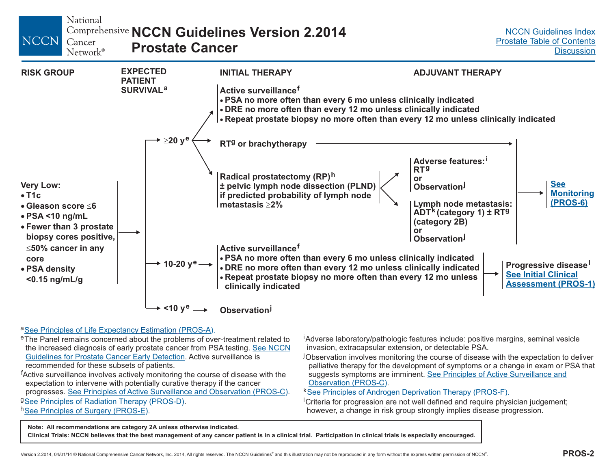<span id="page-8-0"></span>National **NCCN Guidelines Version 2.2014** [NCCN Guidelines Index](#page-0-0)**NCCN** Cancer Prostate [Table of Contents](#page-2-0)**Prostate Cancer[Discussion](#page-35-0)** Network® **EXPECTED RISK GROUPINITIAL THERAPYADJUVANT THERAPYPATIENTSURVIVALa Active surveillance<sup>f</sup> PSA no more often than every 6 mo unless clinically indicated DRE no more often than every 12 mo unless clinically indicated Repeat prostate biopsy no more often than every 12 mo unless clinically indicated 20 ye RT or brachytherapy <sup>g</sup> iAdverse features:**

**Very Low:**

**Gleason score 6 PSA <10 ng/mL Fewer than 3 prostate biopsy cores positive,**

**if predicted probability of lymph node metastasis 2%Lymph node metastasis: ADT (category 1) ± RT k g (category 2B) or Observationj T1cPSA density 50% cancer in any core<0.15 ng/mL/g**  $\rightarrow$  10-20 y<sup>e</sup>  $\rightarrow$ **Active surveillance<sup>f</sup> PSA no more often than every 6 mo unless clinically indicated DRE no more often than every 12 mo unless clinically indicated Repeat prostate biopsy no more often than every 12 mo unless clinically indicated Progressive disease<sup>l</sup> See Initial Clinical [Assessment \(PROS-1\)](#page-7-0)**

**Radical prostatectomy (RP) h**

**± pelvic lymph node dissection (PLND)**

 $\rightarrow$  <10 y<sup>e</sup>  $\rightarrow$ **Observationj**

#### <sup>a</sup> [See Principles of Life Expectanc](#page-18-0)y Estimation (PROS-A).

e The Panel remains concerned about the problems of over-treatment related to the increased diagnosis of early prostate cancer from PSA testing. <u>[See NCCN](#page-0-0)</u> [Guidelines for Prostate Cancer Early Detection](#page-0-0). Active surveillance is recommended for these subsets of patients.

<sup>f</sup>Active surveillance involves actively monitoring the course of disease with the expectation to intervene with potentially curative therapy if the cancer progresses. <u>See Principles of Active Surveillance and Observation (PROS-C</u>).

<sup>g</sup>[See Principles of Radiation](#page-24-0) Therapy (PROS-D). <sup>h</sup>[See Principles of Surgery \(PROS-E](#page-26-0)).

i'Adverse laboratory/pathologic features include: positive margins, seminal vesicle invasion, extracapsular extension, or detectable PSA.

**RTg**

**or**

**Observationj**

jObservation involves monitoring the course of disease with the expectation to deliver palliative therapy for the development of symptoms or a change in exam or PSA that suggests symptoms are imminent. <u>See Principles of [Active Surveillance and](#page-22-0)</u> <u> [Observation \(PROS-C](#page-22-0))</u>.

<sup>k</sup> See Principles of [Androgen Deprivation](#page-27-0) Therapy (PROS-F).

'Criteria for progression are not well defined and require physician judgement; however, a change in risk group strongly implies disease progression.

**Note: All recommendations are category 2A unless otherwise indicated. Clinical Trials: NCCN believes that the best management of any cancer patient is in a clinical trial. Participation in clinical trials is especially encouraged.** **See**

**[Monitoring](#page-12-0) (PROS-6)**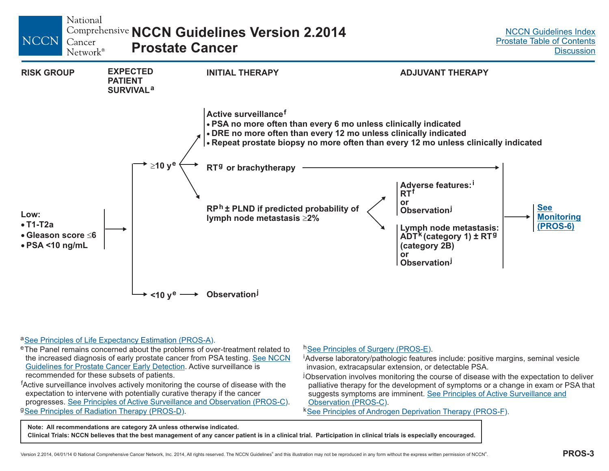<span id="page-9-0"></span>

#### a [See Principles of Life Expectanc](#page-18-0)y Estimation (PROS-A).

e The Panel remains concerned about the problems of over-treatment related to the increased diagnosis of early prostate cancer from PSA testing. <u>See NCCN</u> Guidelines for Prostate Cancer Early Detection. Active surveillance is recommended for these subsets of patients.

f Active surveillance involves actively monitoring the course of disease with the <sup>g</sup>[See Principles of Radiation](#page-24-0) Therapy (PROS-D). expectation to intervene with potentially curative therapy if the cancer progresses. <u>See Principles of Active Surveillance and Observation (PROS-C</u>).

#### <sup>h</sup>[See Principles of Surgery \(PROS-E](#page-26-0)).

'Adverse laboratory/pathologic features include: positive margins, seminal vesicle invasion, extracapsular extension, or detectable PSA.

<u>[Observation \(PROS-C](#page-22-0)</u>). suggests symptoms are imminent. <u>See Principles of [Active Surveillance and](#page-22-0)</u> jObservation involves monitoring the course of disease with the expectation to deliver palliative therapy for the development of symptoms or a change in exam or PSA that

<sup>k</sup> See Principles of [Androgen Deprivation](#page-27-0) Therapy (PROS-F).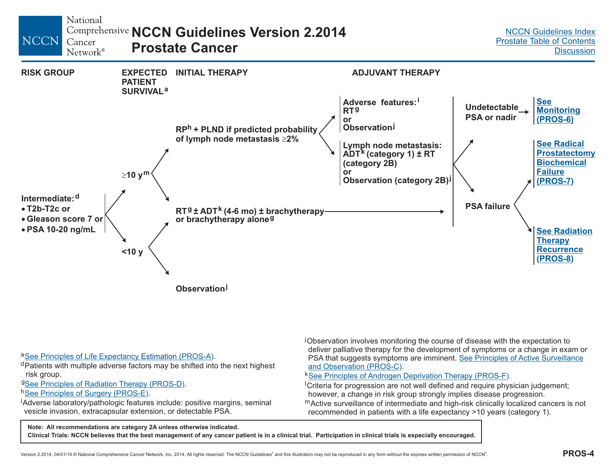<span id="page-10-0"></span>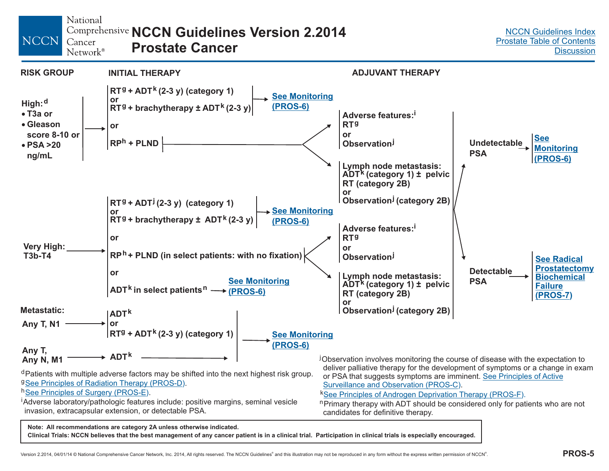<span id="page-11-0"></span>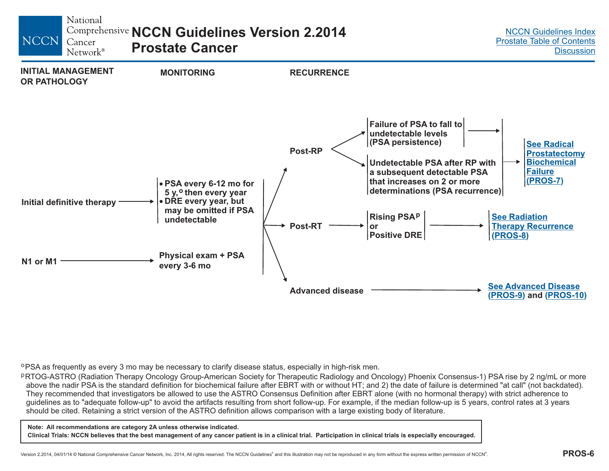<span id="page-12-0"></span>

 $^{\rm o}$ PSA as frequently as every 3 mo may be necessary to clarify disease status, especially in high-risk men.

p RTOG-ASTRO (Radiation Therapy Oncology Group-American Society for Therapeutic Radiology and Oncology) Phoenix Consensus-1) PSA rise by 2 ng/mL or more above the nadir PSA is the standard definition for biochemical failure after EBRT with or without HT; and 2) the date of failure is determined "at call" (not backdated). They recommended that investigators be allowed to use the ASTRO Consensus Definition after EBRT alone (with no hormonal therapy) with strict adherence to guidelines as to "adequate follow-up" to avoid the artifacts resulting from short follow-up. For example, if the median follow-up is 5 years, control rates at 3 years should be cited. Retaining a strict version of the ASTRO definition allows comparison with a large existing body of literature.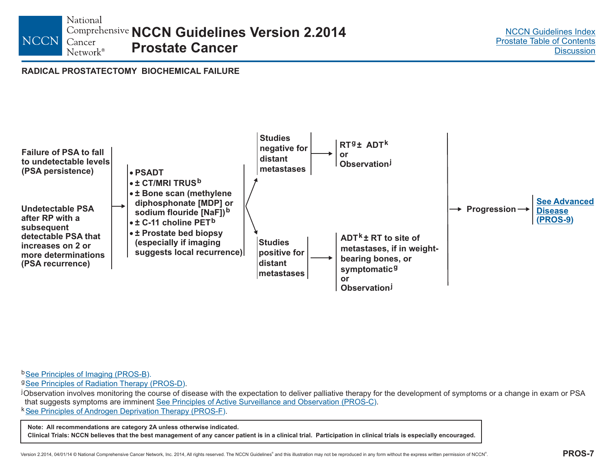<span id="page-13-0"></span>National **NCCN Guidelines Version 2.2014 NCCN** Cancer **Prostate Cancer**Network<sup>®</sup>

# **RADICAL PROSTATECTOMY BIOCHEMICAL FAILURE**



<sup>b</sup>[See Principles of Imaging \(PROS-B](#page-19-0)).

<sup>g</sup>[See Principles of Radiation](#page-24-0) Therapy (PROS-D).

iObservation involves monitoring the course of disease with the expectation to deliver palliative therapy for the development of symptoms or a change in exam or PSA that suggests symptoms are imminent <u>See Principles of [Active Surveillance and Observation \(PROS-C](#page-22-0)</u>).

<sup>k</sup> See Principles of [Androgen Deprivation](#page-27-0) Therapy (PROS-F).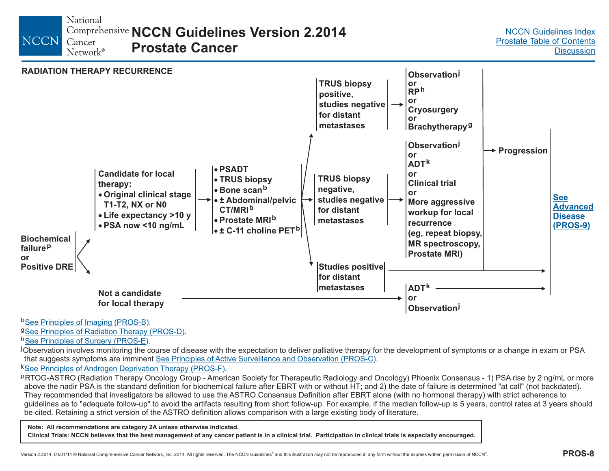<span id="page-14-0"></span>National **NCCN Guidelines Version 2.2014** [NCCN Guidelines Index](#page-0-0)**NCCN** Cancer Prostate [Table of Contents](#page-2-0)**Prostate Cancer**Network® **[Discussion](#page-35-0) RADIATION THERAPY RECURRENCEObservationj TRUS biopsy or RPh positive, orstudies negative Cryosurgery for distantor Brachytherapy g metastasesObservationj Progression or ADTk PSADTCandidate for localorTRUS biopsy TRUS biopsy Clinical trialtherapy: negative, Bone scanb orOriginal clinical stage See ± Abdominal/pelvic studies negative More aggressive T1-T2, NX or N0 [Advanced](#page-15-0)CT/MRIb for distantworkup for local Life expectancy >10 y DiseaseProstate MRIb metastasesrecurrence( ) PROS-9PSA now <10 ng/mL ± C-11 choline PETb (eg, repeat biopsy, BiochemicalMR spectroscopy, failurep Prostate MRI) orStudies positive Positive DRE for distantmetastasesADTk Not a candidatefor local therapy or**<br> $\begin{bmatrix} 1 & 0 \\ 0 & 1 \end{bmatrix}$  **or Observationj**

**B**[See Principles of Imaging \(PROS-B](#page-19-0)).

<sup>g</sup>[See Principles of Radiation](#page-24-0) Therapy (PROS-D).

<sup>h</sup>[See Principles of Surgery \(PROS-E](#page-26-0)).

<sup>j</sup>Observation involves monitoring the course of disease with the expectation to deliver palliative therapy for the development of symptoms or a change in exam or PSA that suggests symptoms are imminent <u>See Principles of [Active Surveillance and Observation \(PROS-C](#page-22-0)</u>).

<sup>k</sup>See Principles of [Androgen Deprivation](#page-27-0) Therapy (PROS-F).

above the nadir PSA is the standard definition for biochemical failure after EBRT with or without HT; and 2) the date of failure is determined "at call" (not backdated). <sup>p</sup>RTOG-ASTRO (Radiation Therapy Oncology Group - American Society for Therapeutic Radiology and Oncology) Phoenix Consensus - 1) PSA rise by 2 ng/mL or more They recommended that investigators be allowed to use the ASTRO Consensus Definition after EBRT alone (with no hormonal therapy) with strict adherence to guidelines as to "adequate follow-up" to avoid the artifacts resulting from short follow-up. For example, if the median follow-up is 5 years, control rates at 3 years should be cited. Retaining a strict version of the ASTRO definition allows comparison with a large existing body of literature.

**Note: All recommendations are category 2A unless otherwise indicated.**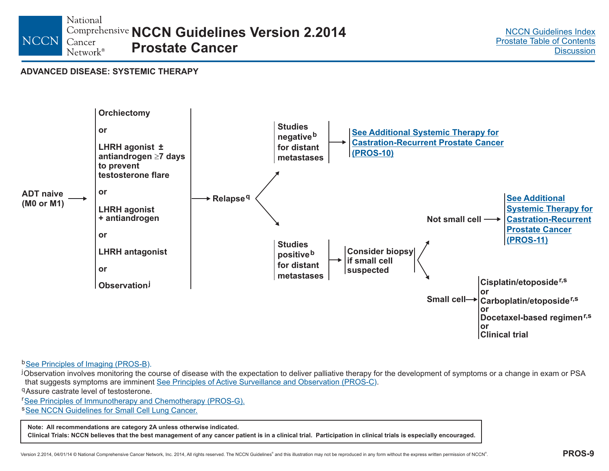<span id="page-15-0"></span>

#### **ADVANCED DISEASE: SYSTEMIC THERAPY**



<sup>b</sup>[See Principles of Imaging \(PROS-B](#page-19-0)).

jObservation involves monitoring the course of disease with the expectation to deliver palliative therapy for the development of symptoms or a change in exam or PSA that suggests symptoms are imminent <u>See Principles of [Active Surveillance and Observation \(PROS-C](#page-22-0)</u>).

<sup>q</sup>Assure castrate level of testosterone.

<sup>r</sup> [See Principles of Immunotherapy](#page-31-0) and Chemotherapy (PROS-G).

<sup>s</sup> See NCCN Guidelines for Small Cell Lung Cancer.

**Note: All recommendations are category 2A unless otherwise indicated.**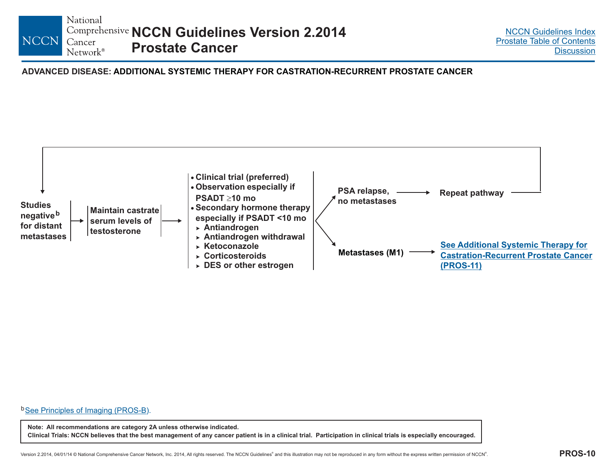<span id="page-16-0"></span>**ADVANCED DISEASE: ADDITIONAL SYSTEMIC THERAPY FOR CASTRATION-RECURRENT PROSTATE CANCER**



b<sub>See</sub> Principles of Imaging (PROS-B).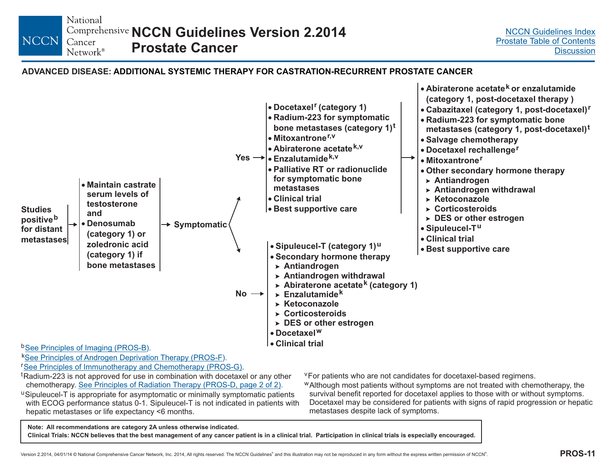<span id="page-17-0"></span>National **NCCN Guidelines Version 2.2014** [NCCN Guidelines Index](#page-0-0)**NCCN** Cancer Prostate [Table of Contents](#page-2-0)**Prostate Cancer**Network® **[Discussion](#page-35-0) ADVANCED DISEASE: ADDITIONAL SYSTEMIC THERAPY FOR CASTRATION-RECURRENT PROSTATE CANCER Abiraterone acetate or ek nzalutamide(category 1, post-docetaxel therapy ) Docetaxel (category 1) r Cabazitaxel (category 1, post-docetaxel) r Radium-223 for symptomatic Radium-223 for symptomatic bone bone metastases (category 1) t** metastases (category 1, post-docetaxel)<sup>t</sup> **Mitoxantroner,v Salvage chemotherapy Abiraterone acetatek,v Docetaxel rechallenge r Enzalutamidek,v Yes Mitoxantroner Palliative RT or radionuclide Other secondary hormone therapy for symptomatic bone Antiandrogen** - **Maintain castratemetastasesAntiandrogen withdrawal serum levels ofClinical trialKetoconazoletestosteroneStudiesBest supportive care Corticosteroidsandpositive b DES or other estrogen** -**Denosumab→ Symptomatic Sipuleucel-T u for distant(category 1) or Clinical trialmetastaseszoledronic acid Sipuleucel-T (category 1) u Best supportive care (category 1) if • Secondary hormone therapy bone metastases Antiandrogen** -**Antiandrogen withdrawal** -▶ Abiraterone acetate<sup>k</sup> (category 1)  $No \rightarrow \perp$ **Enzalutamide**-**k Ketoconazole**-**Corticosteroids**-**DES or other estrogen** - **Docetaxelw Clinical trialB**[See Principles of Imaging \(PROS-B](#page-19-0)). <sup>k</sup>See Principles of [Androgen Deprivation](#page-27-0) Therapy (PROS-F). <sup>r</sup> [See Principles of Immunotherapy](#page-31-0) and Chemotherapy (PROS-G).  $t$ Radium-223 is not approved for use in combination with docetaxel or any other  $\mathrm{^v}$ For patients who are not candidates for docetaxel-based regimens. chemotherapy. See Principles of Radiation [Therapy \(PROS-D, page 2 of 2](#page-25-0)). <code>w</code>Although most patients without symptoms are not treated with chemotherapy, the  $\,$ survival benefit reported for docetaxel applies to those with or without symptoms. <sup>u</sup>Sipuleucel-T is appropriate for asymptomatic or minimally symptomatic patients Docetaxel may be considered for patients with signs of rapid progression or hepatic with ECOG performance status 0-1. Sipuleucel-T is not indicated in patients with metastases despite lack of symptoms. hepatic metastases or life expectancy <6 months. **Note: All recommendations are category 2A unless otherwise indicated. Clinical Trials: NCCN believes that the best management of any cancer patient is in a clinical trial. Participation in clinical trials is especially encouraged.**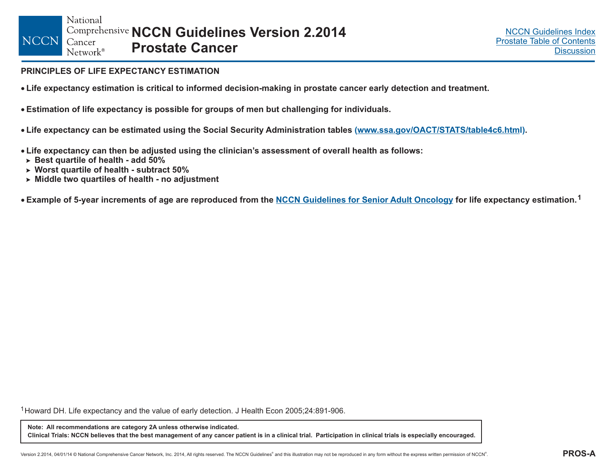#### <span id="page-18-0"></span>**PRINCIPLES OF LIFE EXPECTANCY ESTIMATION**

- **Life expectancy estimation is critical to informed decision-making in prostate cancer early detection and treatment.**
- **Estimation of life expectancy is possible for groups of men but challenging for individuals.**
- **Life expectancy can be estimated using the Social Security Administration tables ( l www.ssa.gov/OACT/STATS/table4c6.htm ) .**
- **Life expectancy can then be adjusted using the assessment of overall health as follows: clinician's**
- **Best quartile of health add 50%** -
- **Worst quartile of health subtract 50%** -
- **Middle two quartiles of health no adjustment** -

• Example of 5-year increments of age are reproduced from the <u>NCCN Guidelines for Senior Adult Oncology</u> for life expectancy estimation. <sup>1</sup>

1Howard DH. Life expectancy and the value of early detection. J Health Econ 2005;24:891-906.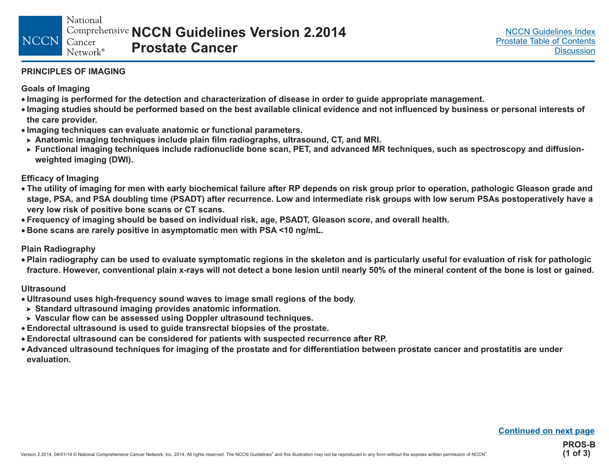#### <span id="page-19-0"></span>**PRINCIPLES OF IMAGING**

**Goals of Imaging**

- **Imaging is performed for the detection and characterization of disease in order to guide appropriate management.**
- **Imaging studies should be performed based on the best available clinical evidence and not influenced by business or personal interests of the care provider.**
- **Imaging techniques can evaluate anatomic or functional parameters.**
- **Anatomic imaging techniques include plain film radiographs, ultrasound, CT, and MRI.** -
- **Functional imaging techniques include radionuclide bone scan, PET, and advanced MR techniques, such as spectroscopy and diffusion- weighted imaging (DWI).**

**Efficacy of Imaging**

- **The utility of imaging for men with early biochemical failure after RP depends on risk group prior to operation, pathologic Gleason grade and stage, PSA, and PSA doubling time (PSADT) after recurrence. Low and intermediate risk groups with low serum PSAs postoperatively have a very low risk of positive bone scans or CT scans.**
- **Frequency of imaging should be based on individual risk, age, PSADT, Gleason score, and overall health.**
- **Bone scans are rarely positive in asymptomatic men with PSA <10 ng/mL.**

**Plain Radiography**

**Plain radiography can be used to evaluate symptomatic regions in the skeleton and is particularly useful for evaluation of risk for pathologic fracture. However, conventional plain x-rays will not detect a bone lesion until nearly 50% of the mineral content of the bone is lost or gained.**

**Ultrasound**

- **Ultrasound uses high-frequency sound waves to image small regions of the body.**
- **Standard ultrasound imaging provides anatomic information.** -
- **Vascular flow can be assessed using Doppler ultrasound techniques.** -
- **Endorectal ultrasound is used to guide transrectal biopsies of the prostate.**
- **Endorectal ultrasound can be considered for patients with suspected recurrence after RP.**
- **Advanced ultrasound techniques for imaging of the prostate and for differentiation between prostate cancer and prostatitis are under evaluation.**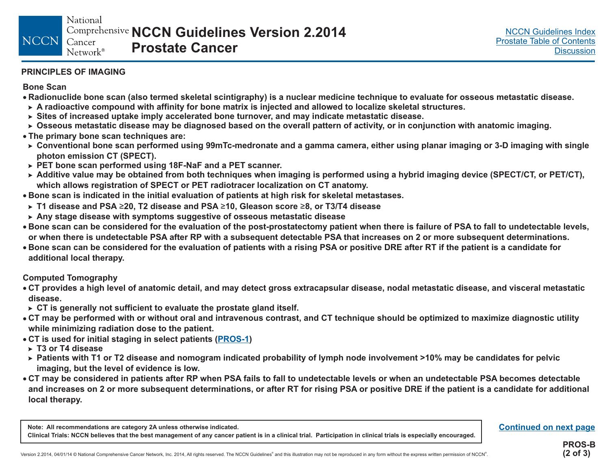#### **PRINCIPLES OF IMAGING**

#### **Bone Scan**

- **Radionuclide bone scan (also termed skeletal scintigraphy) is a nuclear medicine technique to evaluate for osseous metastatic disease.**
- **A radioactive compound with affinity for bone matrix is injected and allowed to localize skeletal structures.** -
- **Sites of increased uptake imply accelerated bone turnover, and may indicate metastatic disease.** -
- **Osseous metastatic disease may be diagnosed based on the overall pattern of activity, or in conjunction with anatomic imaging.** -
- **The primary bone scan techniques are:**
- **Conventional bone scan performed using 99mTc-medronate and a gamma camera, either using planar imaging or 3-D imaging with single photon emission CT (SPECT).**
- **PET bone scan performed using 18F-NaF and a PET scanner.** -
- **Additive value may be obtained from both techniques when imaging is performed using a hybrid imaging device (SPECT/CT, or PET/CT), which allows registration of SPECT or PET radiotracer localization on CT anatomy.**
- **Bone scan is indicated in the initial evaluation of patients at high risk for skeletal metastases.**
- **T1 disease and PSA 20, T2 disease and PSA 10, Gleason score 8, or T3/T4 disease** -≥ ≥≥
- **Any stage disease with symptoms suggestive of osseous metastatic disease** -
- **Bone scan can be considered for the evaluation of the post-prostatectomy patient when there is failure of PSA to fall to undetectable levels, or when there is undetectable PSA after RP with a subsequent detectable PSA that increases on 2 or more subsequent determinations.**
- **Bone scan can be considered for the evaluation of patients with a rising PSA or positive DRE after RT if the patient is a candidate for additional local therapy.**

**Computed Tomography**

- **CT provides a high level of anatomic detail, and may detect gross extracapsular disease, nodal metastatic disease, and visceral metastatic disease.**
- **CT is generally not sufficient to evaluate the prostate gland itself.** -
- **CT may be performed with or without oral and intravenous contrast, and CT technique should be optimized to maximize diagnostic utility while minimizing radiation dose to the patient.**
- $\bullet$  CT is used for initial staging in select patients (<u>[PROS-1](#page-7-0)</u>)
- **T3 or T4 disease**-
- **Patients with T1 or T2 disease and nomogram indicated probability of lymph node involvement >10% may be candidates for pelvic imaging, but the level of evidence is low.**
- **CT may be considered in patients after RP when PSA fails to fall to undetectable levels or when an undetectable PSA becomes detectable and increases on 2 or more subsequent determinations, or after RT for rising PSA or positive DRE if the patient is a candidate for additional local therapy.**

Note: All recommendations are category 2A unless otherwise indicated. **Continued on next page**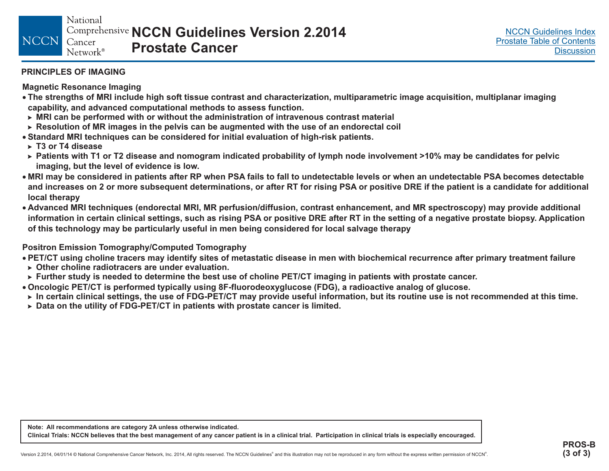#### **PRINCIPLES OF IMAGING**

**Magnetic Resonance Imaging**

- **The strengths of MRI include high soft tissue contrast and characterization, multiparametric image acquisition, multiplanar imaging capability, and advanced computational methods to assess function.**
- **MRI can be performed with or without the administration of intravenous contrast material** -
- **Resolution of MR images in the pelvis can be augmented with the use of an endorectal coil** -
- **Standard MRI techniques can be considered for initial evaluation of high-risk patients.**
- **T3 or T4 disease**-
- **Patients with T1 or T2 disease and nomogram indicated probability of lymph node involvement >10% may be candidates for pelvic imaging, but the level of evidence is low.**
- **MRI may be considered in patients after RP when PSA fails to fall to undetectable levels or when an undetectable PSA becomes detectable** and increases on 2 or more subsequent determinations, or after RT for rising PSA or positive DRE if the patient is a candidate for additional **local therapy**
- **Advanced MRI techniques (endorectal MRI, MR perfusion/diffusion, contrast enhancement, and MR spectroscopy) may provide additional information in certain clinical settings, such as rising PSA or positive DRE after RT in the setting of a negative prostate biopsy. Application of this technology may be particularly useful in men being considered for local salvage therapy**

#### **Positron Emission Tomography/Computed Tomography**

- **PET/CT using choline tracers may identify sites of metastatic disease in men with biochemical recurrence after primary treatment failure**
- **Other choline radiotracers are under evaluation.**-
- **Further study is needed to determine the best use of choline PET/CT imaging in patients with prostate cancer.** -
- $\bullet$  Oncologic PET/CT is performed typically using 8F-fluorodeoxyglucose (FDG), a radioactive analog of glucose.
- **In certain clinical settings, the use of FDG-PET/CT may provide useful information, but its routine use is not recommended at this time.** -
- ▶ Data on the utility of FDG-PET/CT in patients with prostate cancer is limited.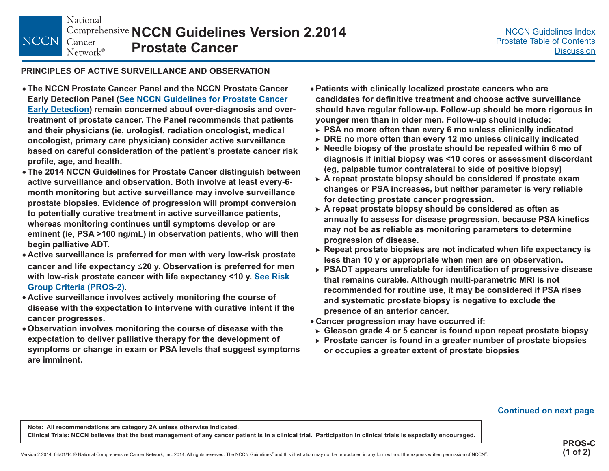#### <span id="page-22-0"></span>**PRINCIPLES OF ACTIVE SURVEILLANCE AND OBSERVATION**

- **The NCCN Prostate Cancer Panel and the NCCN Prostate CancerEarly Detection Panel ( See NCCN Guidelines for Prostate Cancer ) remain concerned about over-diagnosis and over-Early Detection treatment of prostate cancer. The Panel recommends that patients** and their physicians (ie, urologist, radiation oncologist, medical oncologist, primary care physician) consider active surveillance **based on careful consideration of the patient's prostate cancer risk profile, age, and health.**
- **The 2014 NCCN Guidelines for Prostate Cancer distinguish between active surveillance and observation. Both involve at least every-6 month monitoring but active surveillance may involve surveillance prostate biopsies. Evidence of progression will prompt conversion to potentially curative treatment in active surveillance patients, whereas monitoring continues until symptoms develop or are eminent (ie, PSA >100 ng/mL) in observation patients, who will then begin palliative ADT.**
- **y. with low-risk prostate cancer with life expectancy <10 [See Risk](#page-8-0) . Group [Criteria \(PROS-2\)](#page-8-0) Active surveillance is preferred for men with very low-risk prostate cancer and life expectancy 20 y. Observation is preferred for men**
- **Active surveillance involves actively monitoring the course of disease with the expectation to intervene with curative intent if the cancer progresses.**
- **Observation involves monitoring the course of disease with the expectation to deliver palliative therapy for the development of symptoms or change in exam or PSA levels that suggest symptoms are imminent.**
- **Patients with clinically localized prostate cancers who are candidates for definitive treatment and choose active surveillanceshould have regular follow-up. Follow-up should be more rigorous in younger men than in older men. Follow-up should include:**
- **PSA no more often than every 6 mo unless clinically indicated** -
- **DRE no more often than every 12 mo unless clinically indicated** -
- **Needle biopsy of the prostate should be repeated within 6 mo of diagnosis if initial biopsy was <10 cores or assessment discordant (eg, palpable tumor contralateral to side of positive biopsy)**
- **A repeat prostate biopsy should be considered if prostate exam changes or PSA increases, but neither parameter is very reliable for detecting prostate cancer progression.**
- **A repeat prostate biopsy should be considered as often as annually to assess for disease progression, because PSA kinetics may not be as reliable as monitoring parameters to determine progression of disease.**
- **Repeat prostate biopsies are not indicated when life expectancy is less than 10 y or appropriate when men are on observation.**
- **PSADT appears unreliable for identification of progressive disease that remains curable. Although multi-parametric MRI is not recommended for routine use, it may be considered if PSA rises and systematic prostate biopsy is negative to exclude the presence of an anterior cancer.**
- **Cancer progression may have occurred if:**
- ► Gleason grade 4 or 5 cancer is found upon repeat prostate biopsy
- **Prostate cancer is found in a greater number of prostate biopsies or occupies a greater extent of prostate biopsies**

**Continued on next page**

**Note: All recommendations are category 2A unless otherwise indicated.**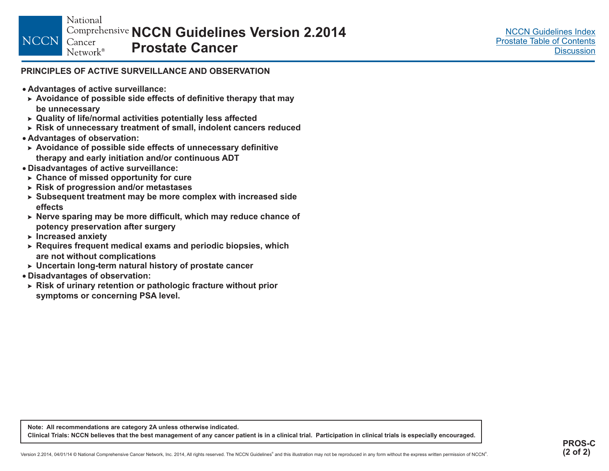#### <span id="page-23-0"></span>**PRINCIPLES OF ACTIVE SURVEILLANCE AND OBSERVATION**

- **Advantages of active surveillance:**
- **Avoidance of possible side effects of definitive therapy that may be unnecessary**
- **Quality of life/normal activities potentially less affected**
- **Risk of unnecessary treatment of small, indolent cancers reduced**
- **Advantages of observation:**
- **Avoidance of possible side effects of unnecessary definitive therapy and early initiation and/or continuous ADT**
- **Disadvantages of active surveillance:**
- -**Chance of missed opportunity for cure**
- **Risk of progression and/or metastases**
- **Subsequent treatment may be more complex with increased side effects**
- **► Nerve sparing may be more difficult, which may reduce chance of potency preservation after surgery**
- -**Increased anxiety**
- -**Requires frequent medical exams and periodic biopsies, which are not without complications**
- **Uncertain long-term natural history of prostate cancer**
- **Disadvantages of observation:**
- **Risk of urinary retention or pathologic fracture without prior symptoms or concerning PSA level.**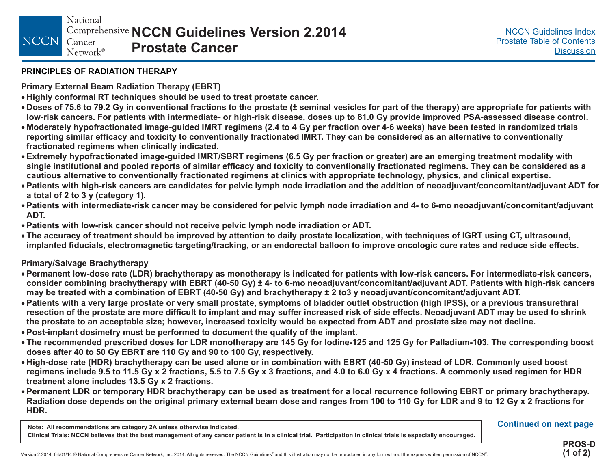#### <span id="page-24-0"></span>**PRINCIPLES OF RADIATION THERAPY**

**Primary External Beam Radiation Therapy (EBRT)**

- **Highly conformal RT techniques should be used to treat prostate cancer.**
- **Doses of 75.6 to 79.2 Gy in conventional fractions to the prostate (± seminal vesicles for part of the therapy) are appropriate for patients with low-risk cancers. For patients with intermediate- or high-risk disease, doses up to 81.0 Gy provide improved PSA-assessed disease control.**
- **Moderately hypofractionated image-guided IMRT regimens (2.4 to 4 Gy per fraction over 4-6 weeks) have been tested in randomized trials reporting similar efficacy and toxicity to conventionally fractionated IMRT. They can be considered as an alternative to conventionally fractionated regimens when clinically indicated.**
- **Extremely hypofractionated image-guided IMRT/SBRT regimens (6.5 Gy per fraction or greater) are an emerging treatment modality with single institutional and pooled reports of similar efficacy and toxicity to conventionally fractionated regimens. They can be considered as a cautious alternative to conventionally fractionated regimens at clinics with appropriate technology, physics, and clinical expertise.**
- **Patients with high-risk cancers are candidates for pelvic lymph node irradiation and the addition of neoadjuvant/concomitant/adjuvant ADT for a total of 2 to 3 y (category 1).**
- **Patients with intermediate-risk cancer may be considered for pelvic lymph node irradiation and 4- to 6-mo neoadjuvant/concomitant/adjuvant ADT.**
- **Patients with low-risk cancer should not receive pelvic lymph node irradiation or ADT.**
- **The accuracy of treatment should be improved by attention to daily prostate localization, with techniques of IGRT using CT, ultrasound, implanted fiducials, electromagnetic targeting/tracking, or an endorectal balloon to improve oncologic cure rates and reduce side effects.**

## **Primary/Salvage Brachytherapy**

- **Permanent low-dose rate (LDR) brachytherapy as monotherapy is indicated for patients with low-risk cancers. For intermediate-risk cancers, consider combining brachytherapy with EBRT (40-50 Gy) ± 4- to 6-mo neoadjuvant/concomitant/adjuvant ADT. Patients with high-risk cancers may be treated with a combination of EBRT (40-50 Gy) and brachytherapy ± neoadjuvant/concomitant/adjuvant ADT. 2 to3 y**
- **Patients with a very large prostate or very small prostate, symptoms of bladder outlet obstruction (high IPSS), or a previous transurethral resection of the prostate are more difficult to implant and may suffer increased risk of side effects. Neoadjuvant ADT may be used to shrink the prostate to an acceptable size; however, increased toxicity would be expected from ADT and prostate size may not decline.**
- **Post-implant dosimetry must be performed to document the quality of the implant.**
- **The recommended prescribed doses for LDR monotherapy are 145 Gy for Iodine-125 and 125 Gy for Palladium-103. The corresponding boost doses after 40 to 50 Gy EBRT are 110 Gy and 90 to 100 Gy, respectively.**
- **High-dose rate (HDR) brachytherapy can be used alone or in combination with EBRT (40-50 Gy) instead of LDR. Commonly used boost regimens include 9.5 to 11.5 Gy x 2 fractions, 5.5 to 7.5 Gy x 3 fractions, and 4.0 to 6.0 Gy x 4 fractions. A commonly used regimen for HDR treatment alone includes 13.5 Gy x 2 fractions.**
- **Permanent LDR or temporary HDR brachytherapy can be used as treatment for a local recurrence following EBRT or primary brachytherapy. Radiation dose depends on the original primary external beam dose and ranges from 100 to 110 Gy for LDR and 9 to 12 Gy x 2 fractions for HDR.**

**Note: All recommendations are category 2A unless otherwise indicated. Clinical Trials: NCCN believes that the best management of any cancer patient is in a clinical trial. Participation in clinical trials is especially encouraged.** **Continued on next page**

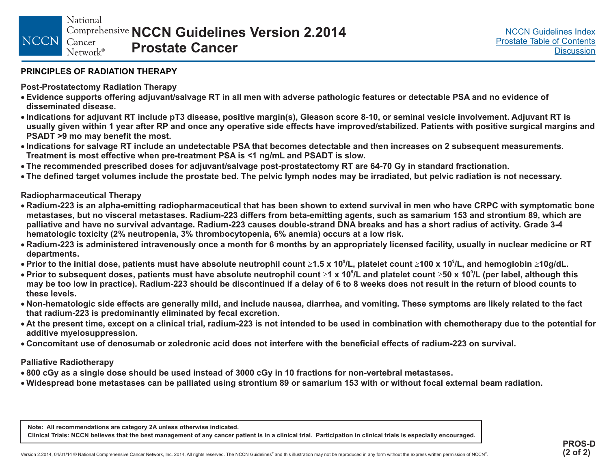#### <span id="page-25-0"></span>**PRINCIPLES OF RADIATION THERAPY**

**Post-Prostatectomy Radiation Therapy**

- **Evidence supports offering adjuvant/salvage RT in all men with adverse pathologic features or detectable PSA and no evidence of disseminated disease.**
- **Indications for adjuvant RT include pT3 disease, positive margin(s), Gleason score 8-10, or seminal vesicle involvement. Adjuvant RT is usually given within 1 year after RP and once any operative side effects have improved/stabilized. Patients with positive surgical margins and PSADT >9 mo may benefit the most.**
- **Indications for salvage RT include an undetectable PSA that becomes detectable and then increases on 2 subsequent measurements. Treatment is most effective when pre-treatment PSA is <1 ng/mL and PSADT is slow.**
- **The recommended prescribed doses for adjuvant/salvage post-prostatectomy RT are 64-70 Gy in standard fractionation.**
- **The defined target volumes include the prostate bed. The pelvic lymph nodes may be irradiated, but pelvic radiation is not necessary.**

**Radiopharmaceutical Therapy**

- **Radium-223 is an alpha-emitting radiopharmaceutical that has been shown to extend survival in men who have CRPC with symptomatic bone metastases, but no visceral metastases. Radium-223 differs from beta-emitting agents, such as samarium 153 and strontium 89, which are palliative and have no survival advantage. Radium-223 causes double-strand DNA breaks and has a short radius of activity. Grade 3-4 hematologic toxicity (2% neutropenia, 3% thrombocytopenia, 6% anemia) occurs at a low risk.**
- **Radium-223 is administered intravenously once a month for 6 months by an appropriately licensed facility, usually in nuclear medicine or RT departments.**
- Prior to the initial dose, patients must have absolute neutrophil count ≥1.5 x 10˚/L, platelet count ≥100 x 10˚/L, and hemoglobin ≥10g/dL.
- ∙ Prior to subsequent doses, patients must have absolute neutrophil count ≥1 x 10°/L and platelet count ≥50 x 10°/L (per label, although this **may be too low in practice). Radium-223 should be discontinued if a delay of 6 to 8 weeks does not result in the return of blood counts to these levels.**
- **Non-hematologic side effects are generally mild, and include nausea, diarrhea, and vomiting. These symptoms are likely related to the fact that radium-223 is predominantly eliminated by fecal excretion.**
- **At the present time, except on a clinical trial, radium-223 is not intended to be used in combination with chemotherapy due to the potential for additive myelosuppression.**
- **Concomitant use of denosumab or zoledronic acid does not interfere with the beneficial effects of radium-223 on survival.**

**Palliative Radiotherapy**

- **800 cGy as a single dose should be used instead of 3000 cGy in 10 fractions for non-vertebral metastases.**
- **Widespread bone metastases can be palliated using strontium 89 or samarium 153 with or without focal external beam radiation.**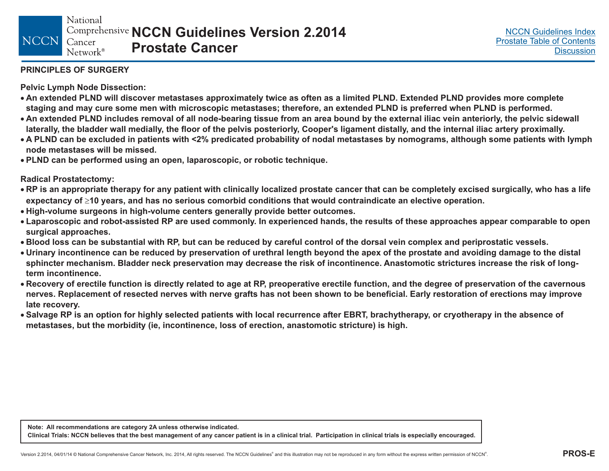#### <span id="page-26-0"></span>**PRINCIPLES OF SURGERY**

**Pelvic Lymph Node Dissection:**

- **An extended PLND will discover metastases approximately twice as often as a limited PLND. Extended PLND provides more complete staging and may cure some men with microscopic metastases; therefore, an extended PLND is preferred when PLND is performed.**
- **An extended PLND includes removal of all node-bearing tissue from an area bound by the external iliac vein anteriorly, the pelvic sidewall laterally, the bladder wall medially, the floor of the pelvis posteriorly, Cooper's ligament distally, and the internal iliac artery proximally.**
- **A PLND can be excluded in patients with <2% predicated probability of nodal metastases by nomograms, although some patients with lymph node metastases will be missed.**
- **PLND can be performed using an open, laparoscopic, or robotic technique.**

**Radical Prostatectomy:**

- **RP is an appropriate therapy for any patient with clinically localized prostate cancer that can be completely excised surgically, who has a life expectancy of 10 years, and has no serious comorbid conditions that would contraindicate an elective operation.**
- **High-volume surgeons in high-volume centers generally provide better outcomes.**
- **Laparoscopic and robot-assisted RP are used commonly. In experienced hands, the results of these approaches appear comparable to open surgical approaches.**
- **Blood loss can be substantial with RP, but can be reduced by careful control of the dorsal vein complex and periprostatic vessels.**
- **Urinary incontinence can be reduced by preservation of urethral length beyond the apex of the prostate and avoiding damage to the distal sphincter mechanism. Bladder neck preservation may decrease the risk of incontinence. Anastomotic strictures increase the risk of longterm incontinence.**
- Recovery of erectile function is directly related to age at RP, preoperative erectile function, and the degree of preservation of the cavernous **nerves. Replacement of resected nerves with nerve grafts has not been shown to be beneficial. Early restoration of erections may improve late recovery.**
- **Salvage RP is an option for highly selected patients with local recurrence after EBRT, brachytherapy, or cryotherapy in the absence of metastases, but the morbidity incontinence, loss of erection, anastomotic stricture) is high. (ie,**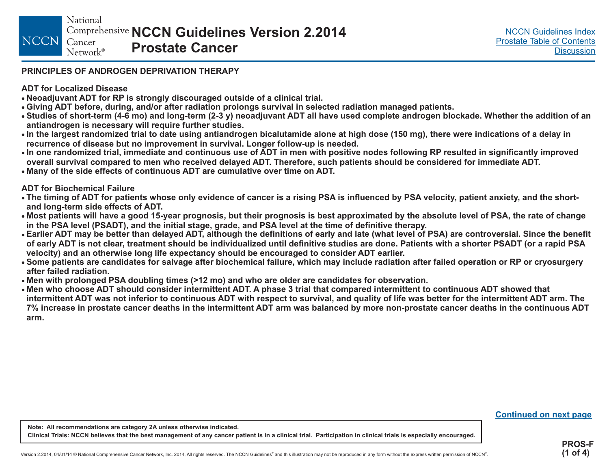<span id="page-27-0"></span>**ADT forLocalized Disease**

- **Neoadjuvant ADT for RP is strongly discouraged outside of a clinical trial.**
- **Giving ADT before, during, and/or after radiation prolongs survival in selected radiation managed patients.**
- **Studies of short-term (4-6 mo) and long-term (2-3 y) neoadjuvant ADT all have used complete androgen blockade. Whether the addition of an antiandrogen is necessary will require further studies.**
- **In the largest randomized trial to date using antiandrogen bicalutamide alone at high dose (150 mg), there were indications of a delay in recurrence of disease but no improvement in survival. Longer follow-up is needed.**
- **In one randomized trial, immediate and continuous use of ADT in men with positive nodes following RP resulted in significantly improved overall survival compared to men who received delayed ADT. Therefore, such patients should be considered for immediate ADT.**
- **Many of the side effects of continuous ADT are cumulative over time on ADT.**

**ADT for Biochemical Failure**

- **The timing of ADT for patients whose only evidence of cancer is a rising PSA is influenced by PSA velocity, patient anxiety, and the short and long-term side effects of ADT.**
- **Most patients will have a good 15-year prognosis, but their prognosis is best approximated by the absolute level of PSA, the rate of change in the PSA level (PSADT), and the initial stage, grade, and PSA level at the time of definitive therapy.**
- **Earlier ADT may be better than delayed ADT, although the definitions of early and late (what level of PSA) are controversial. Since the benefit of early ADT is not clear, treatment should be individualized until definitive studies are done. Patients with a shorter PSADT (or a rapid PSA velocity) and an otherwise long life expectancy should be encouraged to consider ADT earlier.**
- **fter biochemical failure, which may include Some patients are candidates for salvage a radiation after failed operation or RP or cryosurgery after failed radiation.**
- **Men with prolonged PSA doubling times (>12 mo) and who are older are candidates for observation.**
- **Men who choose ADT should consider intermittent ADT. A phase 3 trial that compared intermittent to continuous ADT showed that intermittent ADT was not inferior to continuous ADT with respect to survival, and quality of life was better for the intermittent ADT arm. The 7% increase in prostate cancer deaths in the intermittent ADT arm was balanced by more non-prostate cancer deaths in the continuous ADT arm.**

**Continued on next page**

**Note: All recommendations are category 2A unless otherwise indicated.**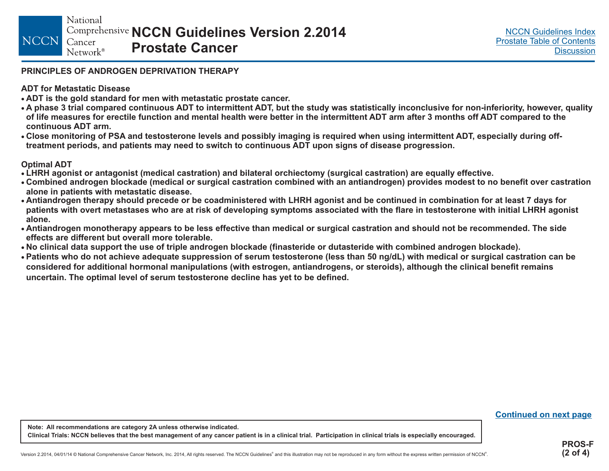#### **ADT for Metastatic Disease**

- **ADT is the gold standard for men with metastatic prostate cancer.**
- **A phase 3 trial compared continuous ADT to intermittent ADT, but the study was statistically inconclusive for non-inferiority, however, quality of life measures for erectile function and mental health were better in the intermittent ADT arm after 3 months off ADT compared to the continuous ADT arm.**
- **Close monitoring of PSA and testosterone levels and possibly imaging is required when using intermittent ADT, especially during off treatment periods, and patients may need to switch to continuous ADT upon signs of disease progression.**

#### **Optimal ADT**

- **LHRH agonist or antagonist (medical castration) and bilateral orchiectomy (surgical castration) are equally effective.**
- **Combined androgen blockade (medical or surgical castration combined with an antiandrogen) provides modest to no benefit over castration alone in patients with metastatic disease.**
- **Antiandrogen therapy should precede or be coadministered with LHRH agonist and be continued in combination for at least 7 days for patients with overt metastases who are at risk of developing symptoms associated with the flare in testosterone with initial LHRH agonist alone.**
- **Antiandrogen monotherapy appears to be less effective than medical or surgical castration and should not be recommended. The side effects are different but overall more tolerable.**
- **No clinical data support the use of triple androgen blockade (finasteride or dutasteride with combined androgen blockade).**
- **Patients who do not achieve adequate suppression of serum testosterone (less than 50 ng/dL) with medical or surgical castration can be considered for additional hormonal manipulations (with estrogen, antiandrogens, or steroids), although the clinical benefit remains uncertain. The optimal level of serum testosterone decline has yet to be defined.**

**Continued on next page**

**Note: All recommendations are category 2A unless otherwise indicated.**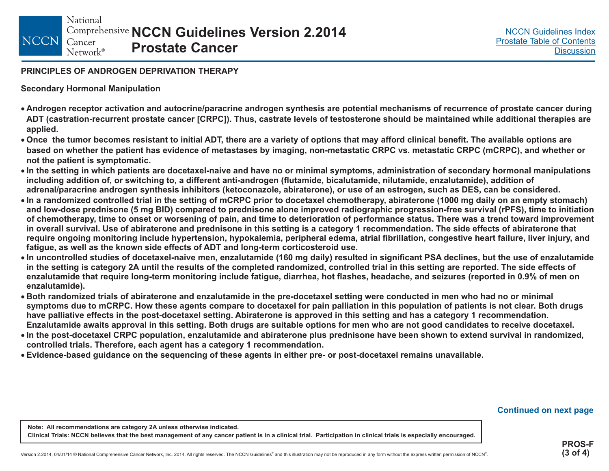<span id="page-29-0"></span>**Secondary Hormonal Manipulation**

- **Androgen receptor activation and autocrine/paracrine androgen synthesis are potential mechanisms of recurrence of prostate cancer during ADT (castration-recurrent prostate cancer [CRPC]). Thus, castrate levels of testosterone should be maintained while additional therapies are applied.**
- **Once the tumor becomes resistant to initial ADT, there are a variety of options that may afford clinical benefit. The available options are based on whether the patient has evidence of metastases by imaging, non-metastatic CRPC vs. metastatic CRPC (mCRPC), and whether or not the patient is symptomatic.**
- **In the setting in which patients are docetaxel-naive and have no or minimal symptoms, administration of secondary hormonal manipulations including addition of, or switching to, a different anti-androgen (flutamide, bicalutamide, nilutamide, enzalutamide), addition of adrenal/paracrine androgen synthesis inhibitors (ketoconazole, abiraterone), or use of an estrogen, such as DES, can be considered.**
- **In a randomized controlled trial in the setting of mCRPC prior to docetaxel chemotherapy, abiraterone (1000 mg daily on an empty stomach)** and low-dose prednisone (5 mg BID) compared to prednisone alone improved radiographic progression-free survival (rPFS), time to initiation **of chemotherapy, time to onset or worsening of pain, and time to deterioration of performance status. There was a trend toward improvement in overall survival. Use of abiraterone and prednisone in this setting is a category 1 recommendation. The side effects of abiraterone that require ongoing monitoring include hypertension, hypokalemia, peripheral edema, atrial fibrillation, congestive heart failure, liver injury, and fatigue, as well as the known side effects of ADT and long-term corticosteroid use.**
- **In uncontrolled studies of docetaxel-naive men, enzalutamide (160 mg daily) resulted in significant PSA declines, but the use of enzalutamide in the setting is category 2A until the results of the completed randomized, controlled trial in this setting are reported. The side effects of enzalutamide that require long-term monitoring include fatigue, diarrhea, hot flashes, headache, and seizures (reported in 0.9% of men on enzalutamide).**
- **Both randomized trials of abiraterone and enzalutamide in the pre-docetaxel setting were conducted in men who had no or minimal symptoms due to mCRPC. How these agents compare to docetaxel for pain palliation in this population of patients is not clear. Both drugs have palliative effects in the post-docetaxel setting. Abiraterone is approved in this setting and has a category 1 recommendation. Enzalutamide awaits approval in this setting. Both drugs are suitable options for men who are not good candidates to receive docetaxel.**
- $\bullet$  In the post-docetaxel CRPC population, enzalutamide and abiraterone plus prednisone have been shown to extend survival in randomized, **controlled trials. Therefore, each agent has a category 1 recommendation.**
- **Evidence-based guidance on the sequencing of these agents in either pre- or post-docetaxel remains unavailable.**

#### **Continued on next page**

**Note: All recommendations are category 2A unless otherwise indicated.**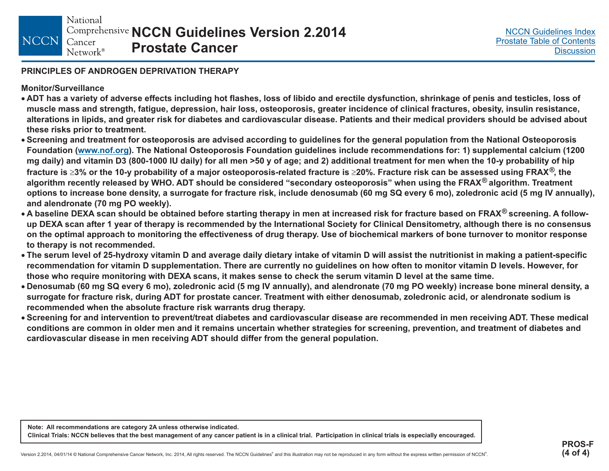**Monitor/Surveillance**

- ADT has a variety of adverse effects including hot flashes, loss of libido and erectile dysfunction, shrinkage of penis and testicles, loss of muscle mass and strength, fatigue, depression, hair loss, osteoporosis, greater incidence of clinical fractures, obesity, insulin resistance, **alterations in lipids, and greater risk for diabetes and cardiovascular disease. Patients and their me dical providers should be advised about these risks prior to treatment.**
- **Screening and treatment for osteoporosis are advised according to guidelines for the general population from the National Osteoporosis** Foundation (<u>www.nof.org</u>). The National Osteoporosis Foundation guidelines include recommendations for: 1) supplemental calcium (1200 **mg daily) and vitamin D3 (800-1000 IU daily) for all men >50 y of age; and 2) additional treatment for men when the 10-y probability of hip fracture is 3% or the 10-y probability of a major osteoporosis-related fracture is 20%. Fracture risk can be assessed using FRAX , the ® algorithm recently released by WHO. ADT should be considered "secondary osteoporosis" when using the FRAX algorithm. Treatment ® options to increase bone density, a surrogate for fracture risk, include denosumab (60 mg SQ every 6 mo), zoledronic acid (5 mg IV annually), and alendronate (70 mg PO weekly).**
- **A baseline DEXA scan should be obtained before starting therapy in men at increased risk for fracture based on FRAX screening. A follow- ® up DEXA scan after 1 year of therapy is recommended by the International Society for Clinical Densitometry, although there is no consensus on the optimal approach to monitoring the effectiveness of drug therapy. Use of biochemical markers of bone turnover to monitor response to therapy is not recommended.**
- **The serum level of 25-hydroxy vitamin D and average daily dietary intake of vitamin D will assist the nutritionist in making a patient-specific recommendation for vitamin D supplementation. There are currently no guidelines on how often to monitor vitamin D levels. However, for those who require monitoring with DEXA scans, it makes sense to check the serum vitamin D level at the same time.**
- **Denosumab (60 mg SQ every 6 mo), zoledronic acid (5 mg IV annually), and alendronate (70 mg PO weekly) increase bone mineral density, a surrogate for fracture risk, during ADT for prostate cancer. Treatment with either denosumab, zoledronic acid, or alendronate sodium is recommended when the absolute fracture risk warrants drug therapy.**
- **Screening for and intervention to prevent/treat diabetes and cardiovascular disease are recommended in men receiving ADT. These medical conditions are common in older men and it remains uncertain whether strategies for screening, prevention, and treatment of diabetes and cardiovascular disease in men receiving ADT should differ from the general population.**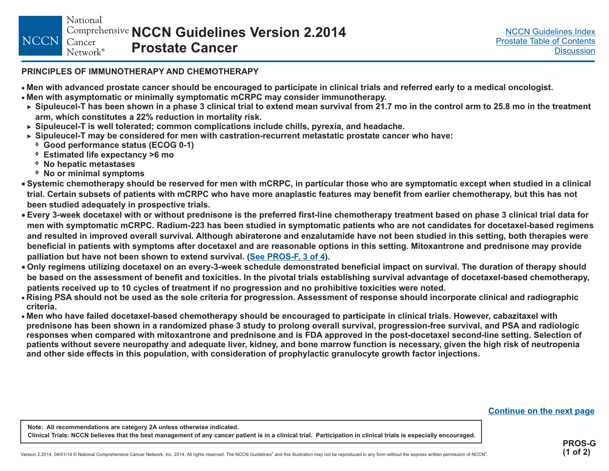#### <span id="page-31-0"></span>**PRINCIPLES OF IMMUNOTHERAPY AND CHEMOTHERAPY**

- **Men with advanced prostate cancer should be encouraged to participate in clinical trials and referred early to a medical oncologist.**
- **Men with asymptomatic or minimally symptomatic mCRPC may consider immunotherapy.**
- **Sipuleucel-T has been shown in a phase 3 clinical trial to extend mean survival from 21.7 mo in the control arm to 25.8 mo in the treatment arm, which constitutes a 22% reduction in mortality risk.**
- **Sipuleucel-T is well tolerated; common complications include chills, pyrexia, and headache.** -
- **Sipuleucel-T may be considered for men with castration-recurrent metastatic prostate cancer who have:** -
	- **Good performance status (ECOG 0-1)**
	- **Estimated life expectancy >6 mo**
	- **No hepatic metastases**
	- **No or minimal symptoms**
- **Systemic chemotherapy should be reserved for men with mCRPC, in particular those who are symptomatic except when studied in a clinical trial. Certain subsets of patients with mCRPC who have more anaplastic features may benefit from earlier chemotherapy, but this has not been adequately in prospective trials. studied**
- **Every 3-week docetaxel with or without prednisone is the preferred first-line chemotherapy treatment based on phase 3 clinical trial data for men with symptomatic mCRPC. Radium-223 has been studied in symptomatic patients who are not candidates for docetaxel-based regimens and resulted in improved overall survival. Although abiraterone and enzalutamide have not been studied in this setting, both therapies were beneficial in patients with symptoms after docetaxel and are reasonable options in this setting. Mitoxantrone and prednisone may provide** palliation but have not been shown to extend survival. (<u>[See PROS-F, 3 of 4](#page-29-0)</u>).
- **Only regimens utilizing docetaxel on an every-3-week schedule demonstrated beneficial impact on survival. The duration of therapy should be based on the assessment of benefit and toxicities. In the pivotal trials establishing survival advantage of docetaxel-based chemotherapy, patients received up to 10 cycles of treatment if no progression and no prohibitive toxicities were noted.**
- **Rising PSA should not be used as the sole criteria for progression. Assessment of response should incorporate clinical and radiographic criteria.**
- **Men who have failed docetaxel-based chemotherapy should be encouraged to participate in clinical trials. However, cabazitaxel with prednisone has been shown in a randomized phase 3 study to prolong overall survival, progression-free survival, and PSA and radiologic responses when compared with mitoxantrone and prednisone and is FDA approved in the post-docetaxel second-line setting. Selection of patients without severe neuropathy and adequate liver, kidney, and bone marrow function is necessary, given the high risk of neutropenia and other side effects in this population, with consideration of prophylactic granulocyte growth factor injections.**

**Continue on the next page**

**Note: All recommendations are category 2A unless otherwise indicated.**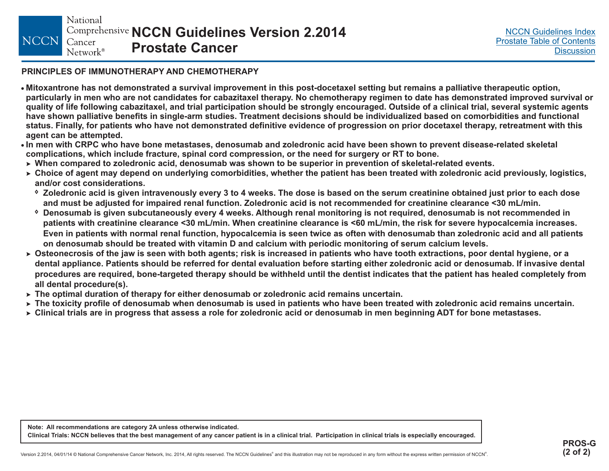#### **PRINCIPLES OF IMMUNOTHERAPY AND CHEMOTHERAPY**

- **Mitoxantrone has not demonstrated a survival improvement in this post-docetaxel setting but remains a palliative therapeutic option, particularly in men who are not candidates for cabazitaxel therapy. No chemotherapy regimen to date has demonstrated improved survival or quality of life following cabazitaxel, and trial participation should be strongly encouraged. Outside of a clinical trial, several systemic agents have shown palliative benefits in single-arm studies. Treatment decisions should be individualized based on comorbidities and functional status. Finally, for patients who have not demonstrated definitive evidence of progression on prior docetaxel therapy, retreatment with this agent can be attempted.**
- **In men with CRPC who have bone metastases, denosumab and zoledronic acid have been shown to prevent disease-related skeletal complications, which include fracture, spinal cord compression, or the need for surgery or RT to bone.**
- **When compared to zoledronic acid, denosumab was shown to be superior in prevention of skeletal-related events.** -
- **Choice of agent may depend on underlying comorbidities, whether the patient has been treated with zoledronic acid previously, logistics, and/or cost considerations.**
- **Zoledronic acid is given intravenously every 3 to 4 weeks. The dose is based on the serum creatinine obtained just prior to each dose and must be adjusted for impaired renal function. Zoledronic acid is not recommended for creatinine clearance <30 mL/min.**
- **Denosumab is given subcutaneously every 4 weeks. Although renal monitoring is not required, denosumab is not recommended in patients with creatinine clearance <30 mL/min. When creatinine clearance is <60 mL/min, the risk for severe hypocalcemia increases. Even in patients with normal renal function, hypocalcemia is seen twice as often with denosumab than zoledronic acid and all patients on denosumab should be treated with vitamin D and calcium with periodic monitoring of serum calcium levels.**
- **Osteonecrosis of the jaw is seen with both agents; risk is increased in patients who have tooth extractions, poor dental hygiene, or a dental appliance. Patients should be referred for dental evaluation before starting either zoledronic acid or denosumab. If invasive dental procedures are required, bone-targeted therapy should be withheld until the dentist indicates that the patient has healed completely from all dental procedure(s).**
- **The optimal duration of therapy for either denosumab or zoledronic acid remains uncertain.** -
- **The toxicity profile of denosumab when denosumab is used in patients who have been treated with zoledronic acid remains uncertain.** -
- ► Clinical trials are in progress that assess a role for zoledronic acid or denosumab in men beginning ADT for bone metastases.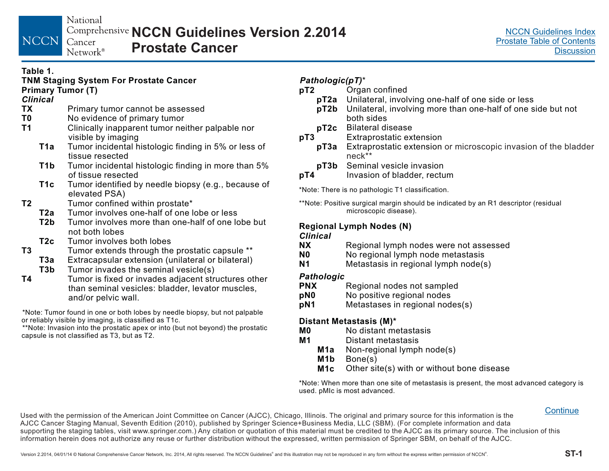National

<span id="page-33-0"></span>**NCCN** 

**NCCN Guidelines Version 2.2014**

**Prostate Cancer**

Cancer Network<sup>®</sup>

|                                             | Table 1.         |                                                                                                         |                                                                                    |                                                                           |  |
|---------------------------------------------|------------------|---------------------------------------------------------------------------------------------------------|------------------------------------------------------------------------------------|---------------------------------------------------------------------------|--|
|                                             |                  | <b>TNM Staging System For Prostate Cancer</b>                                                           | Pathologic( $pT$ )*                                                                |                                                                           |  |
| <b>Primary Tumor (T)</b><br><b>Clinical</b> |                  |                                                                                                         | pT <sub>2</sub>                                                                    | Organ confined<br>Unilateral, involving one-half of one side or less      |  |
|                                             |                  |                                                                                                         | pT2a                                                                               |                                                                           |  |
| TΧ                                          |                  | Primary tumor cannot be assessed                                                                        | pT2b                                                                               | Unilateral, involving more than one-half of one side but not              |  |
| T0                                          |                  | No evidence of primary tumor                                                                            |                                                                                    | both sides                                                                |  |
| T <sub>1</sub>                              |                  | Clinically inapparent tumor neither palpable nor                                                        | pT2c                                                                               | <b>Bilateral disease</b>                                                  |  |
|                                             |                  | visible by imaging                                                                                      | pT3                                                                                | <b>Extraprostatic extension</b>                                           |  |
|                                             | T1a              | Tumor incidental histologic finding in 5% or less of<br>tissue resected                                 | рТ3а                                                                               | Extraprostatic extension or microscopic invasion of the bladder<br>neck** |  |
|                                             | T1b              | Tumor incidental histologic finding in more than 5%                                                     | pT3b                                                                               | Seminal vesicle invasion                                                  |  |
|                                             |                  | of tissue resected                                                                                      | pT4                                                                                | Invasion of bladder, rectum                                               |  |
|                                             | T <sub>1</sub> c | Tumor identified by needle biopsy (e.g., because of<br>elevated PSA)                                    |                                                                                    | *Note: There is no pathologic T1 classification.                          |  |
| T2                                          |                  | Tumor confined within prostate*                                                                         | **Note: Positive surgical margin should be indicated by an R1 descriptor (residual |                                                                           |  |
|                                             | T2a              | Tumor involves one-half of one lobe or less                                                             | microscopic disease).                                                              |                                                                           |  |
|                                             | T <sub>2</sub> b | Tumor involves more than one-half of one lobe but<br>not both lobes                                     | <b>Regional Lymph Nodes (N)</b><br><b>Clinical</b>                                 |                                                                           |  |
|                                             | T <sub>2c</sub>  | Tumor involves both lobes                                                                               | NΧ                                                                                 | Regional lymph nodes were not assessed                                    |  |
| T3                                          |                  | Tumor extends through the prostatic capsule **                                                          | N <sub>0</sub>                                                                     | No regional lymph node metastasis                                         |  |
|                                             | ТЗа              | Extracapsular extension (unilateral or bilateral)                                                       | N <sub>1</sub>                                                                     | Metastasis in regional lymph node(s)                                      |  |
|                                             | T3b              | Tumor invades the seminal vesicle(s)                                                                    |                                                                                    |                                                                           |  |
| T4                                          |                  | Tumor is fixed or invades adjacent structures other<br>than seminal vesicles: bladder, levator muscles, | Pathologic<br><b>PNX</b>                                                           | Regional nodes not sampled                                                |  |

and/or pelvic wall. \*Note: Tumor found in one or both lobes by needle biopsy, but not palpable or reliably visible by imaging, is classified as T1c.

\*\*Note: Invasion into the prostatic apex or into (but not beyond) the prostatic capsule is not classified as T3, but as T2.

- **pN0** No positive regional nodes
- **pN1** Metastases in regional nodes(s)

#### **Distant Metastasis (M)\***

- **M0**No distant metastasis
- **M1**Distant metastasis
	- **M1a** Non-regional lymph node(s)
	- **M1b**Bone(s)
	- **M1c**Other site(s) with or without bone disease

\*Note: When more than one site of metastasis is present, the most advanced category is used. pMIc is most advanced.

**Continue** 

 Used with the permission of the American Joint Committee on Cancer (AJCC), Chicago, Illinois. The original and primary source for this information is the AJCC Cancer Staging Manual, Seventh Edition (2010), published by Springer Science+Business Media, LLC (SBM). (For complete information and data supporting the staging tables, visit www.springer.com.) Any citation or quotation of this material must be credited to the AJCC as its primary source. The inclusion of this information herein does not authorize any reuse or further distribution without the expressed, written permission of Springer SBM, on behalf of the AJCC.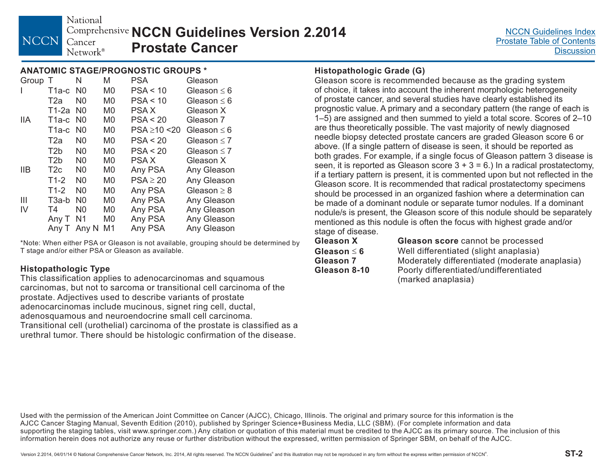National

**NCCN Guidelines Version 2.2014** Cancer

**Prostate Cancer**

**NCCN** Network®

# **ANATOMIC STAGE/PROGNOSTIC GROUPS \***

| Group T    |                    | N              | м              | <b>PSA</b>    | Gleason          |
|------------|--------------------|----------------|----------------|---------------|------------------|
|            | Т1а-с              | N <sub>0</sub> | M0             | PSA < 10      | Gleason $\leq 6$ |
|            | T2a                | N <sub>0</sub> | M0             | PSA < 10      | Gleason $\leq 6$ |
|            | T1-2a              | N <sub>0</sub> | M0             | <b>PSAX</b>   | Gleason X        |
| <b>IIA</b> | T1a-c              | N <sub>0</sub> | M0             | PSA < 20      | Gleason 7        |
|            | $T1a-c$            | N <sub>0</sub> | M0             | PSA > 10 < 20 | Gleason $\leq 6$ |
|            | T2a                | N <sub>0</sub> | M0             | PSA < 20      | Gleason $\leq 7$ |
|            | T <sub>2</sub> b   | N <sub>0</sub> | M0             | PSA < 20      | Gleason $\leq 7$ |
|            | T2b                | N <sub>0</sub> | M0             | <b>PSAX</b>   | Gleason X        |
| 11B        | T <sub>2c</sub>    | N0             | M0             | Any PSA       | Any Gleason      |
|            | $T1-2$             | N <sub>0</sub> | M0             | $PSA \geq 20$ | Any Gleason      |
|            | T1-2               | N <sub>0</sub> | M0             | Any PSA       | Gleason $\geq 8$ |
| Ш          | T <sub>3</sub> a-b | N <sub>0</sub> | M0             | Any PSA       | Any Gleason      |
| IV         | Τ4                 | N <sub>0</sub> | M <sub>0</sub> | Any PSA       | Any Gleason      |
|            | Any T              | N1             | M <sub>0</sub> | Any PSA       | Any Gleason      |
|            | Any T              | Any N          | M1             | Any PSA       | Any Gleason      |

\*Note: When either PSA or Gleason is not available, grouping should be determined by T stage and/or either PSA or Gleason as available.

#### **Histopathologic Type**

This classification applies to adenocarcinomas and squamous carcinomas, but not to sarcoma or transitional cell carcinoma of the prostate. Adjectives used to describe variants of prostate adenocarcinomas include mucinous, signet ring cell, ductal, adenosquamous and neuroendocrine small cell carcinoma *.* Transitional cell (urothelial) carcinoma of the prostate is classified as <sup>a</sup> urethral tumor. There should be histologic confirmation of the disease.

#### **Histopathologic Grade (G)**

Gleason score is recommended because as the grading system of choice, it takes into account the inherent morphologic heterogeneity of prostate cancer, and several studies have clearly established its prognostic value. A primary and a secondary pattern (the range of each is 1–5) are assigned and then summed to yield a total score. Scores of 2–10 are thus theoretically possible. The vast majority of newly diagnosed needle biopsy detected prostate cancers are graded Gleason score 6 or above. (If a single pattern of disease is seen, it should be reported as both grades. For example, if a single focus of Gleason pattern 3 disease is seen, it is reported as Gleason score  $3 + 3 = 6$ .) In a radical prostatectomy, if a tertiary pattern is present, it is commented upon but not reflected in the Gleason score. It is recommended that radical prostatectomy specimens should be processed in an organized fashion where a determination can be made of a dominant nodule or separate tumor nodules. If a dominant nodule/s is present, the Gleason score of this nodule should be separately mentioned as this nodule is often the focus with highest grade and/or stage of disease.

**Gleason 6Gleason 7Gleason 8-10**

**Gleason X Gleason score** cannot be processed Well differentiated (slight anaplasia) Moderately differentiated (moderate anaplasia) Poorly differentiated/undifferentiated (marked anaplasia)

Used with the permission of the American Joint Committee on Cancer (AJCC), Chicago, Illinois. The original and primary source for this information is the AJCC Cancer Staging Manual, Seventh Edition (2010), published by Springer Science+Business Media, LLC (SBM). (For complete information and data supporting the staging tables, visit www.springer.com.) Any citation or quotation of this material must be credited to the AJCC as its primary source. The inclusion of this information herein does not authorize any reuse or further distribution without the expressed, written permission of Springer SBM, on behalf of the AJCC.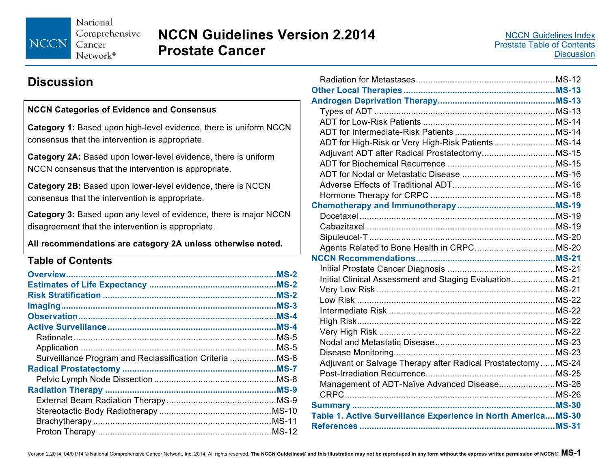National Comprehensive Cancer

<span id="page-35-0"></span>**NCCN** Network®

# **NCCN Guidelines Version 2.2014 Prostate Cancer**

# **Discussion**

#### **NCCN Categories of Evidence and Consensus**

**Category 1:** Based upon high-level evidence, there is uniform NCCN consensus that the intervention is appropriate.

**Category 2A:** Based upon lower-level evidence, there is uniform NCCN consensus that the intervention is appropriate.

**Category 2B:** Based upon lower-level evidence, there is NCCN consensus that the intervention is appropriate.

**Category 3:** Based upon any level of evidence, there is major NCCN disagreement that the intervention is appropriate.

**All recommendations are category 2A unless otherwise noted.** 

## **Table of Contents**

|                                                          | $MS-2$  |
|----------------------------------------------------------|---------|
|                                                          |         |
|                                                          |         |
|                                                          | $MS-3$  |
|                                                          |         |
|                                                          | $MS-4$  |
|                                                          | $.MS-5$ |
|                                                          |         |
| Surveillance Program and Reclassification Criteria  MS-6 |         |
|                                                          |         |
|                                                          |         |
|                                                          |         |
|                                                          |         |
|                                                          |         |
|                                                          |         |
|                                                          |         |

| Initial Clinical Assessment and Staging Evaluation MS-21      |  |
|---------------------------------------------------------------|--|
|                                                               |  |
|                                                               |  |
|                                                               |  |
|                                                               |  |
|                                                               |  |
|                                                               |  |
|                                                               |  |
| Adjuvant or Salvage Therapy after Radical ProstatectomyMS-24  |  |
|                                                               |  |
|                                                               |  |
|                                                               |  |
|                                                               |  |
| Table 1. Active Surveillance Experience in North AmericaMS-30 |  |
|                                                               |  |
|                                                               |  |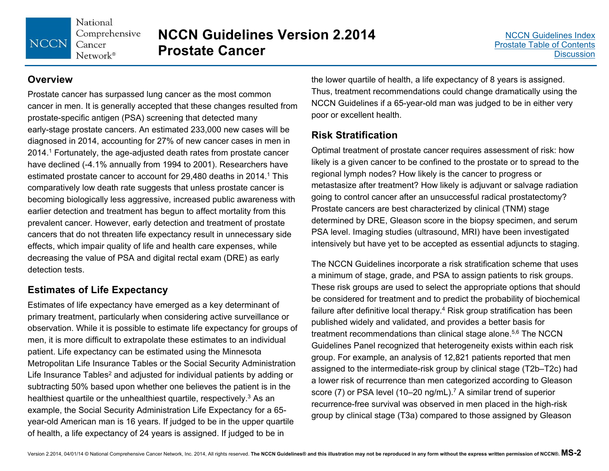National Comprehensive Cancer  $Network^{\circ}$ 

## **Overview**

**NCCN** 

Prostate cancer has surpassed lung cancer as the most common cancer in men. It is generally accepted that these changes resulted from prostate-specific antigen (PSA) screening that detected many early-stage prostate cancers. An estimated 233,000 new cases will be diagnosed in 2014, accounting for 27% of new cancer cases in men in 2014.1 Fortunately, the age-adjusted death rates from prostate cancer have declined (-4.1% annually from 1994 to 2001). Researchers have estimated prostate cancer to account for 29,480 deaths in 2014.<sup>1</sup> This comparatively low death rate suggests that unless prostate cancer is becoming biologically less aggressive, increased public awareness with earlier detection and treatment has begun to affect mortality from this prevalent cancer. However, early detection and treatment of prostate cancers that do not threaten life expectancy result in unnecessary side effects, which impair quality of life and health care expenses, while decreasing the value of PSA and digital rectal exam (DRE) as early detection tests.

# **Estimates of Life Expectancy**

Estimates of life expectancy have emerged as a key determinant of primary treatment, particularly when considering active surveillance or observation. While it is possible to estimate life expectancy for groups of men, it is more difficult to extrapolate these estimates to an individual patient. Life expectancy can be estimated using the Minnesota Metropolitan Life Insurance Tables or the Social Security Administration Life Insurance Tables<sup>2</sup> and adjusted for individual patients by adding or subtracting 50% based upon whether one believes the patient is in the healthiest quartile or the unhealthiest quartile, respectively.<sup>3</sup> As an example, the Social Security Administration Life Expectancy for a 65 year-old American man is 16 years. If judged to be in the upper quartile of health, a life expectancy of 24 years is assigned. If judged to be in

the lower quartile of health, a life expectancy of 8 years is assigned. Thus, treatment recommendations could change dramatically using the NCCN Guidelines if a 65-year-old man was judged to be in either very poor or excellent health.

# **Risk Stratification**

Optimal treatment of prostate cancer requires assessment of risk: how likely is a given cancer to be confined to the prostate or to spread to the regional lymph nodes? How likely is the cancer to progress or metastasize after treatment? How likely is adjuvant or salvage radiation going to control cancer after an unsuccessful radical prostatectomy? Prostate cancers are best characterized by clinical (TNM) stage determined by DRE, Gleason score in the biopsy specimen, and serum PSA level. Imaging studies (ultrasound, MRI) have been investigated intensively but have yet to be accepted as essential adjuncts to staging.

The NCCN Guidelines incorporate a risk stratification scheme that uses a minimum of stage, grade, and PSA to assign patients to risk groups. These risk groups are used to select the appropriate options that should be considered for treatment and to predict the probability of biochemical failure after definitive local therapy.<sup>4</sup> Risk group stratification has been published widely and validated, and provides a better basis for treatment recommendations than clinical stage alone.<sup>5,6</sup> The NCCN Guidelines Panel recognized that heterogeneity exists within each risk group. For example, an analysis of 12,821 patients reported that men assigned to the intermediate-risk group by clinical stage (T2b–T2c) had a lower risk of recurrence than men categorized according to Gleason score (7) or PSA level (10–20 ng/mL).<sup>7</sup> A similar trend of superior recurrence-free survival was observed in men placed in the high-risk group by clinical stage (T3a) compared to those assigned by Gleason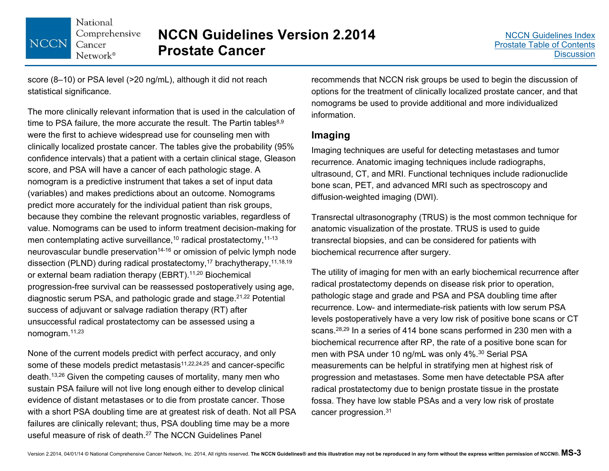score (8–10) or PSA level (>20 ng/mL), although it did not reach statistical significance.

The more clinically relevant information that is used in the calculation of time to PSA failure, the more accurate the result. The Partin tables<sup>8,9</sup> were the first to achieve widespread use for counseling men with clinically localized prostate cancer. The tables give the probability (95% confidence intervals) that a patient with a certain clinical stage, Gleason score, and PSA will have a cancer of each pathologic stage. A nomogram is a predictive instrument that takes a set of input data (variables) and makes predictions about an outcome. Nomograms predict more accurately for the individual patient than risk groups, because they combine the relevant prognostic variables, regardless of value. Nomograms can be used to inform treatment decision-making for men contemplating active surveillance,<sup>10</sup> radical prostatectomy,<sup>11-13</sup> neurovascular bundle preservation<sup>14-16</sup> or omission of pelvic lymph node dissection (PLND) during radical prostatectomy,<sup>17</sup> brachytherapy,<sup>11,18,19</sup> or external beam radiation therapy (EBRT).11,20 Biochemical progression-free survival can be reassessed postoperatively using age, diagnostic serum PSA, and pathologic grade and stage.21,22 Potential success of adjuvant or salvage radiation therapy (RT) after unsuccessful radical prostatectomy can be assessed using a nomogram.11,23

None of the current models predict with perfect accuracy, and only some of these models predict metastasis $11,22,24,25$  and cancer-specific death.13,26 Given the competing causes of mortality, many men who sustain PSA failure will not live long enough either to develop clinical evidence of distant metastases or to die from prostate cancer. Those with a short PSA doubling time are at greatest risk of death. Not all PSA failures are clinically relevant; thus, PSA doubling time may be a more useful measure of risk of death.27 The NCCN Guidelines Panel

recommends that NCCN risk groups be used to begin the discussion of options for the treatment of clinically localized prostate cancer, and that nomograms be used to provide additional and more individualized information.

## **Imaging**

Imaging techniques are useful for detecting metastases and tumor recurrence. Anatomic imaging techniques include radiographs, ultrasound, CT, and MRI. Functional techniques include radionuclide bone scan, PET, and advanced MRI such as spectroscopy and diffusion-weighted imaging (DWI).

Transrectal ultrasonography (TRUS) is the most common technique for anatomic visualization of the prostate. TRUS is used to guide transrectal biopsies, and can be considered for patients with biochemical recurrence after surgery.

The utility of imaging for men with an early biochemical recurrence after radical prostatectomy depends on disease risk prior to operation, pathologic stage and grade and PSA and PSA doubling time after recurrence. Low- and intermediate-risk patients with low serum PSA levels postoperatively have a very low risk of positive bone scans or CT scans.28,29 In a series of 414 bone scans performed in 230 men with a biochemical recurrence after RP, the rate of a positive bone scan for men with PSA under 10 ng/mL was only 4%.<sup>30</sup> Serial PSA measurements can be helpful in stratifying men at highest risk of progression and metastases. Some men have detectable PSA after radical prostatectomy due to benign prostate tissue in the prostate fossa. They have low stable PSAs and a very low risk of prostate cancer progression.31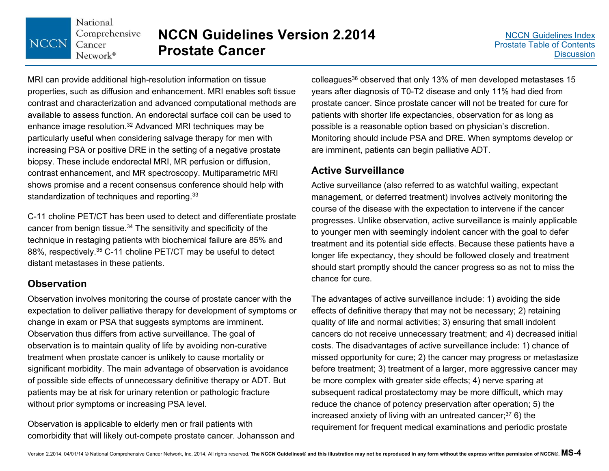National Comprehensive **NCCN** Cancer  $Network^{\circ}$ 

MRI can provide additional high-resolution information on tissue properties, such as diffusion and enhancement. MRI enables soft tissue contrast and characterization and advanced computational methods are available to assess function. An endorectal surface coil can be used to enhance image resolution.32 Advanced MRI techniques may be particularly useful when considering salvage therapy for men with increasing PSA or positive DRE in the setting of a negative prostate biopsy. These include endorectal MRI, MR perfusion or diffusion, contrast enhancement, and MR spectroscopy. Multiparametric MRI shows promise and a recent consensus conference should help with standardization of techniques and reporting.<sup>33</sup>

C-11 choline PET/CT has been used to detect and differentiate prostate cancer from benign tissue.34 The sensitivity and specificity of the technique in restaging patients with biochemical failure are 85% and 88%, respectively.35 C-11 choline PET/CT may be useful to detect distant metastases in these patients.

# **Observation**

Observation involves monitoring the course of prostate cancer with the expectation to deliver palliative therapy for development of symptoms or change in exam or PSA that suggests symptoms are imminent. Observation thus differs from active surveillance. The goal of observation is to maintain quality of life by avoiding non-curative treatment when prostate cancer is unlikely to cause mortality or significant morbidity. The main advantage of observation is avoidance of possible side effects of unnecessary definitive therapy or ADT. But patients may be at risk for urinary retention or pathologic fracture without prior symptoms or increasing PSA level.

Observation is applicable to elderly men or frail patients with comorbidity that will likely out-compete prostate cancer. Johansson and colleagues36 observed that only 13% of men developed metastases 15 years after diagnosis of T0-T2 disease and only 11% had died from prostate cancer. Since prostate cancer will not be treated for cure for patients with shorter life expectancies, observation for as long as possible is a reasonable option based on physician's discretion. Monitoring should include PSA and DRE. When symptoms develop or are imminent, patients can begin palliative ADT.

# **Active Surveillance**

Active surveillance (also referred to as watchful waiting, expectant management, or deferred treatment) involves actively monitoring the course of the disease with the expectation to intervene if the cancer progresses. Unlike observation, active surveillance is mainly applicable to younger men with seemingly indolent cancer with the goal to defer treatment and its potential side effects. Because these patients have a longer life expectancy, they should be followed closely and treatment should start promptly should the cancer progress so as not to miss the chance for cure.

The advantages of active surveillance include: 1) avoiding the side effects of definitive therapy that may not be necessary; 2) retaining quality of life and normal activities; 3) ensuring that small indolent cancers do not receive unnecessary treatment; and 4) decreased initial costs. The disadvantages of active surveillance include: 1) chance of missed opportunity for cure; 2) the cancer may progress or metastasize before treatment; 3) treatment of a larger, more aggressive cancer may be more complex with greater side effects; 4) nerve sparing at subsequent radical prostatectomy may be more difficult, which may reduce the chance of potency preservation after operation; 5) the increased anxiety of living with an untreated cancer; $37$  6) the requirement for frequent medical examinations and periodic prostate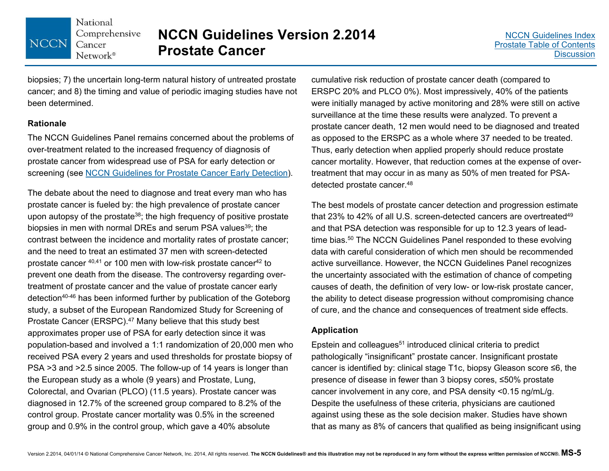biopsies; 7) the uncertain long-term natural history of untreated prostate cancer; and 8) the timing and value of periodic imaging studies have not been determined.

#### **Rationale**

The NCCN Guidelines Panel remains concerned about the problems of over-treatment related to the increased frequency of diagnosis of prostate cancer from widespread use of PSA for early detection or screening (see NCCN Guidelines for Prostate Cancer Early Detection).

The debate about the need to diagnose and treat every man who has prostate cancer is fueled by: the high prevalence of prostate cancer upon autopsy of the prostate<sup>38</sup>; the high frequency of positive prostate biopsies in men with normal DREs and serum PSA values<sup>39</sup>; the contrast between the incidence and mortality rates of prostate cancer; and the need to treat an estimated 37 men with screen-detected prostate cancer 40,41 or 100 men with low-risk prostate cancer42 to prevent one death from the disease. The controversy regarding overtreatment of prostate cancer and the value of prostate cancer early detection40-46 has been informed further by publication of the Goteborg study, a subset of the European Randomized Study for Screening of Prostate Cancer (ERSPC).47 Many believe that this study best approximates proper use of PSA for early detection since it was population-based and involved a 1:1 randomization of 20,000 men who received PSA every 2 years and used thresholds for prostate biopsy of PSA >3 and >2.5 since 2005. The follow-up of 14 years is longer than the European study as a whole (9 years) and Prostate, Lung, Colorectal, and Ovarian (PLCO) (11.5 years). Prostate cancer was diagnosed in 12.7% of the screened group compared to 8.2% of the control group. Prostate cancer mortality was 0.5% in the screened group and 0.9% in the control group, which gave a 40% absolute

cumulative risk reduction of prostate cancer death (compared to ERSPC 20% and PLCO 0%). Most impressively, 40% of the patients were initially managed by active monitoring and 28% were still on active surveillance at the time these results were analyzed. To prevent a prostate cancer death, 12 men would need to be diagnosed and treated as opposed to the ERSPC as a whole where 37 needed to be treated. Thus, early detection when applied properly should reduce prostate cancer mortality. However, that reduction comes at the expense of overtreatment that may occur in as many as 50% of men treated for PSAdetected prostate cancer.48

The best models of prostate cancer detection and progression estimate that 23% to 42% of all U.S. screen-detected cancers are overtreated<sup>49</sup> and that PSA detection was responsible for up to 12.3 years of leadtime bias.<sup>50</sup> The NCCN Guidelines Panel responded to these evolving data with careful consideration of which men should be recommended active surveillance. However, the NCCN Guidelines Panel recognizes the uncertainty associated with the estimation of chance of competing causes of death, the definition of very low- or low-risk prostate cancer, the ability to detect disease progression without compromising chance of cure, and the chance and consequences of treatment side effects.

### **Application**

Epstein and colleagues<sup>51</sup> introduced clinical criteria to predict pathologically "insignificant" prostate cancer. Insignificant prostate cancer is identified by: clinical stage T1c, biopsy Gleason score ≤6, the presence of disease in fewer than 3 biopsy cores, ≤50% prostate cancer involvement in any core, and PSA density <0.15 ng/mL/g. Despite the usefulness of these criteria, physicians are cautioned against using these as the sole decision maker. Studies have shown that as many as 8% of cancers that qualified as being insignificant using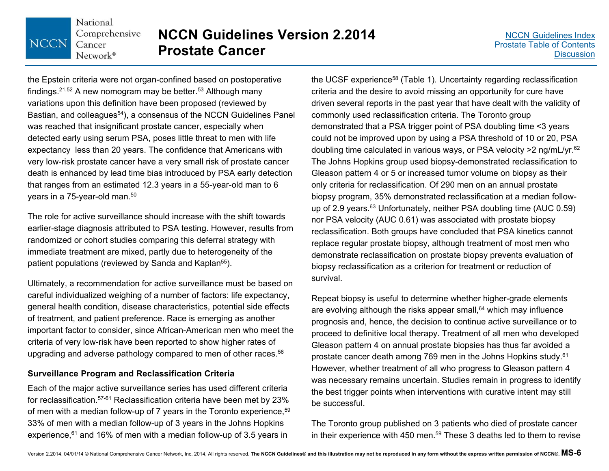# **NCCN Guidelines Version 2.2014 Prostate Cancer**

the Epstein criteria were not organ-confined based on postoperative findings.21,52 A new nomogram may be better.53 Although many variations upon this definition have been proposed (reviewed by Bastian, and colleagues54), a consensus of the NCCN Guidelines Panel was reached that insignificant prostate cancer, especially when detected early using serum PSA, poses little threat to men with life expectancy less than 20 years. The confidence that Americans with very low-risk prostate cancer have a very small risk of prostate cancer death is enhanced by lead time bias introduced by PSA early detection that ranges from an estimated 12.3 years in a 55-year-old man to 6 years in a 75-year-old man.<sup>50</sup>

The role for active surveillance should increase with the shift towards earlier-stage diagnosis attributed to PSA testing. However, results from randomized or cohort studies comparing this deferral strategy with immediate treatment are mixed, partly due to heterogeneity of the patient populations (reviewed by Sanda and Kaplan<sup>55</sup>).

Ultimately, a recommendation for active surveillance must be based on careful individualized weighing of a number of factors: life expectancy, general health condition, disease characteristics, potential side effects of treatment, and patient preference. Race is emerging as another important factor to consider, since African-American men who meet the criteria of very low-risk have been reported to show higher rates of upgrading and adverse pathology compared to men of other races.<sup>56</sup>

## **Surveillance Program and Reclassification Criteria**

Each of the major active surveillance series has used different criteria for reclassification.57-61 Reclassification criteria have been met by 23% of men with a median follow-up of 7 years in the Toronto experience,  $59$ 33% of men with a median follow-up of 3 years in the Johns Hopkins experience,<sup>61</sup> and 16% of men with a median follow-up of 3.5 years in

the UCSF experience58 (Table 1). Uncertainty regarding reclassification criteria and the desire to avoid missing an opportunity for cure have driven several reports in the past year that have dealt with the validity of commonly used reclassification criteria. The Toronto group demonstrated that a PSA trigger point of PSA doubling time <3 years could not be improved upon by using a PSA threshold of 10 or 20, PSA doubling time calculated in various ways, or PSA velocity >2 ng/mL/yr.62 The Johns Hopkins group used biopsy-demonstrated reclassification to Gleason pattern 4 or 5 or increased tumor volume on biopsy as their only criteria for reclassification. Of 290 men on an annual prostate biopsy program, 35% demonstrated reclassification at a median followup of 2.9 years.<sup>63</sup> Unfortunately, neither PSA doubling time (AUC 0.59) nor PSA velocity (AUC 0.61) was associated with prostate biopsy reclassification. Both groups have concluded that PSA kinetics cannot replace regular prostate biopsy, although treatment of most men who demonstrate reclassification on prostate biopsy prevents evaluation of biopsy reclassification as a criterion for treatment or reduction of survival.

Repeat biopsy is useful to determine whether higher-grade elements are evolving although the risks appear small, <sup>64</sup> which may influence prognosis and, hence, the decision to continue active surveillance or to proceed to definitive local therapy. Treatment of all men who developed Gleason pattern 4 on annual prostate biopsies has thus far avoided a prostate cancer death among 769 men in the Johns Hopkins study.61 However, whether treatment of all who progress to Gleason pattern 4 was necessary remains uncertain. Studies remain in progress to identify the best trigger points when interventions with curative intent may still be successful.

The Toronto group published on 3 patients who died of prostate cancer in their experience with 450 men.<sup>59</sup> These 3 deaths led to them to revise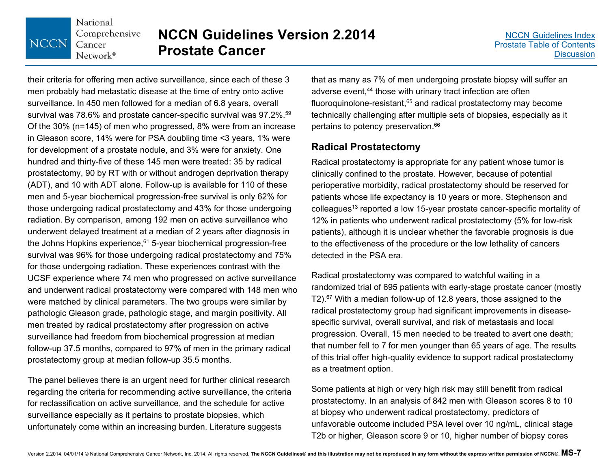# **NCCN Guidelines Version 2.2014 Prostate Cancer**

their criteria for offering men active surveillance, since each of these 3 men probably had metastatic disease at the time of entry onto active surveillance. In 450 men followed for a median of 6.8 years, overall survival was 78.6% and prostate cancer-specific survival was 97.2%.59 Of the 30% (n=145) of men who progressed, 8% were from an increase in Gleason score, 14% were for PSA doubling time <3 years, 1% were for development of a prostate nodule, and 3% were for anxiety. One hundred and thirty-five of these 145 men were treated: 35 by radical prostatectomy, 90 by RT with or without androgen deprivation therapy (ADT), and 10 with ADT alone. Follow-up is available for 110 of these men and 5-year biochemical progression-free survival is only 62% for those undergoing radical prostatectomy and 43% for those undergoing radiation. By comparison, among 192 men on active surveillance who underwent delayed treatment at a median of 2 years after diagnosis in the Johns Hopkins experience, $61$  5-year biochemical progression-free survival was 96% for those undergoing radical prostatectomy and 75% for those undergoing radiation. These experiences contrast with the UCSF experience where 74 men who progressed on active surveillance and underwent radical prostatectomy were compared with 148 men who were matched by clinical parameters. The two groups were similar by pathologic Gleason grade, pathologic stage, and margin positivity. All men treated by radical prostatectomy after progression on active surveillance had freedom from biochemical progression at median follow-up 37.5 months, compared to 97% of men in the primary radical prostatectomy group at median follow-up 35.5 months.

The panel believes there is an urgent need for further clinical research regarding the criteria for recommending active surveillance, the criteria for reclassification on active surveillance, and the schedule for active surveillance especially as it pertains to prostate biopsies, which unfortunately come within an increasing burden. Literature suggests

that as many as 7% of men undergoing prostate biopsy will suffer an adverse event,<sup>44</sup> those with urinary tract infection are often fluoroquinolone-resistant,<sup>65</sup> and radical prostatectomy may become technically challenging after multiple sets of biopsies, especially as it pertains to potency preservation.<sup>66</sup>

# **Radical Prostatectomy**

Radical prostatectomy is appropriate for any patient whose tumor is clinically confined to the prostate. However, because of potential perioperative morbidity, radical prostatectomy should be reserved for patients whose life expectancy is 10 years or more. Stephenson and colleagues<sup>13</sup> reported a low 15-year prostate cancer-specific mortality of 12% in patients who underwent radical prostatectomy (5% for low-risk patients), although it is unclear whether the favorable prognosis is due to the effectiveness of the procedure or the low lethality of cancers detected in the PSA era.

Radical prostatectomy was compared to watchful waiting in a randomized trial of 695 patients with early-stage prostate cancer (mostly T2).67 With a median follow-up of 12.8 years, those assigned to the radical prostatectomy group had significant improvements in diseasespecific survival, overall survival, and risk of metastasis and local progression. Overall, 15 men needed to be treated to avert one death; that number fell to 7 for men younger than 65 years of age. The results of this trial offer high-quality evidence to support radical prostatectomy as a treatment option.

Some patients at high or very high risk may still benefit from radical prostatectomy. In an analysis of 842 men with Gleason scores 8 to 10 at biopsy who underwent radical prostatectomy, predictors of unfavorable outcome included PSA level over 10 ng/mL, clinical stage T2b or higher, Gleason score 9 or 10, higher number of biopsy cores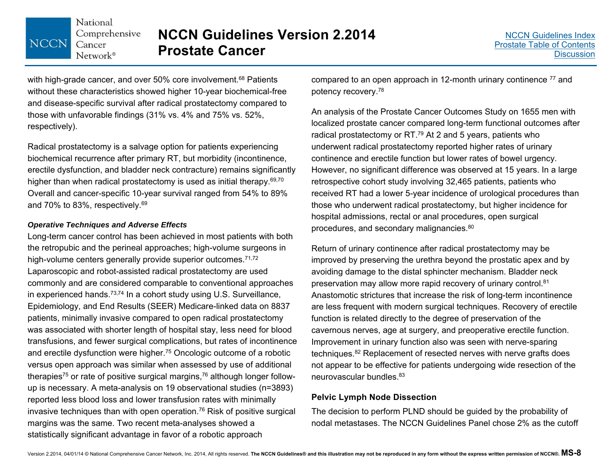with high-grade cancer, and over 50% core involvement.<sup>68</sup> Patients without these characteristics showed higher 10-year biochemical-free and disease-specific survival after radical prostatectomy compared to those with unfavorable findings (31% vs. 4% and 75% vs. 52%, respectively).

Radical prostatectomy is a salvage option for patients experiencing biochemical recurrence after primary RT, but morbidity (incontinence, erectile dysfunction, and bladder neck contracture) remains significantly higher than when radical prostatectomy is used as initial therapy.<sup>69,70</sup> Overall and cancer-specific 10-year survival ranged from 54% to 89% and 70% to 83%, respectively.69

#### *Operative Techniques and Adverse Effects*

Long-term cancer control has been achieved in most patients with both the retropubic and the perineal approaches; high-volume surgeons in high-volume centers generally provide superior outcomes.<sup>71,72</sup> Laparoscopic and robot-assisted radical prostatectomy are used commonly and are considered comparable to conventional approaches in experienced hands.73,74 In a cohort study using U.S. Surveillance, Epidemiology, and End Results (SEER) Medicare-linked data on 8837 patients, minimally invasive compared to open radical prostatectomy was associated with shorter length of hospital stay, less need for blood transfusions, and fewer surgical complications, but rates of incontinence and erectile dysfunction were higher.75 Oncologic outcome of a robotic versus open approach was similar when assessed by use of additional therapies<sup>75</sup> or rate of positive surgical margins,<sup>76</sup> although longer followup is necessary. A meta-analysis on 19 observational studies (n=3893) reported less blood loss and lower transfusion rates with minimally invasive techniques than with open operation.<sup>76</sup> Risk of positive surgical margins was the same. Two recent meta-analyses showed a statistically significant advantage in favor of a robotic approach

compared to an open approach in 12-month urinary continence  $^{77}$  and potency recovery.78

An analysis of the Prostate Cancer Outcomes Study on 1655 men with localized prostate cancer compared long-term functional outcomes after radical prostatectomy or RT.79 At 2 and 5 years, patients who underwent radical prostatectomy reported higher rates of urinary continence and erectile function but lower rates of bowel urgency. However, no significant difference was observed at 15 years. In a large retrospective cohort study involving 32,465 patients, patients who received RT had a lower 5-year incidence of urological procedures than those who underwent radical prostatectomy, but higher incidence for hospital admissions, rectal or anal procedures, open surgical procedures, and secondary malignancies.<sup>80</sup>

Return of urinary continence after radical prostatectomy may be improved by preserving the urethra beyond the prostatic apex and by avoiding damage to the distal sphincter mechanism. Bladder neck preservation may allow more rapid recovery of urinary control.<sup>81</sup> Anastomotic strictures that increase the risk of long-term incontinence are less frequent with modern surgical techniques. Recovery of erectile function is related directly to the degree of preservation of the cavernous nerves, age at surgery, and preoperative erectile function. Improvement in urinary function also was seen with nerve-sparing techniques.82 Replacement of resected nerves with nerve grafts does not appear to be effective for patients undergoing wide resection of the neurovascular bundles.83

#### **Pelvic Lymph Node Dissection**

The decision to perform PLND should be guided by the probability of nodal metastases. The NCCN Guidelines Panel chose 2% as the cutoff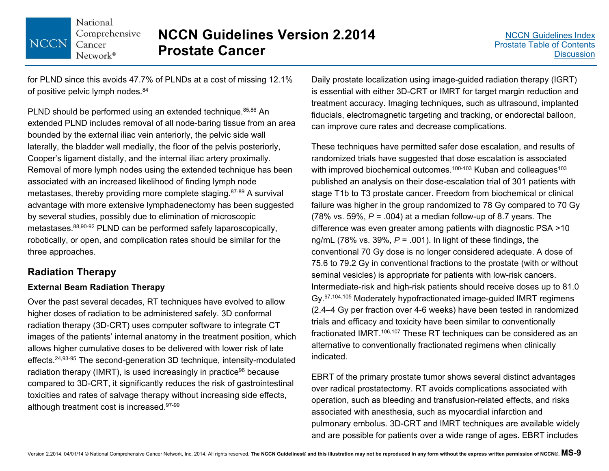**NCCN Guidelines Version 2.2014 Prostate Cancer**

for PLND since this avoids 47.7% of PLNDs at a cost of missing 12.1% of positive pelvic lymph nodes.<sup>84</sup>

PLND should be performed using an extended technique. 85,86 An extended PLND includes removal of all node-baring tissue from an area bounded by the external iliac vein anteriorly, the pelvic side wall laterally, the bladder wall medially, the floor of the pelvis posteriorly, Cooper's ligament distally, and the internal iliac artery proximally. Removal of more lymph nodes using the extended technique has been associated with an increased likelihood of finding lymph node metastases, thereby providing more complete staging.87-89 A survival advantage with more extensive lymphadenectomy has been suggested by several studies, possibly due to elimination of microscopic metastases.88,90-92 PLND can be performed safely laparoscopically, robotically, or open, and complication rates should be similar for the three approaches.

# **Radiation Therapy**

## **External Beam Radiation Therapy**

National

Cancer Network<sup>®</sup>

**NCCN** 

Comprehensive

Over the past several decades, RT techniques have evolved to allow higher doses of radiation to be administered safely. 3D conformal radiation therapy (3D-CRT) uses computer software to integrate CT images of the patients' internal anatomy in the treatment position, which allows higher cumulative doses to be delivered with lower risk of late effects.24,93-95 The second-generation 3D technique, intensity-modulated radiation therapy (IMRT), is used increasingly in practice<sup>96</sup> because compared to 3D-CRT, it significantly reduces the risk of gastrointestinal toxicities and rates of salvage therapy without increasing side effects, although treatment cost is increased.97-99

Daily prostate localization using image-guided radiation therapy (IGRT) is essential with either 3D-CRT or IMRT for target margin reduction and treatment accuracy. Imaging techniques, such as ultrasound, implanted fiducials, electromagnetic targeting and tracking, or endorectal balloon, can improve cure rates and decrease complications.

These techniques have permitted safer dose escalation, and results of randomized trials have suggested that dose escalation is associated with improved biochemical outcomes.<sup>100-103</sup> Kuban and colleagues<sup>103</sup> published an analysis on their dose-escalation trial of 301 patients with stage T1b to T3 prostate cancer. Freedom from biochemical or clinical failure was higher in the group randomized to 78 Gy compared to 70 Gy (78% vs. 59%, *P* = .004) at a median follow-up of 8.7 years. The difference was even greater among patients with diagnostic PSA >10 ng/mL (78% vs. 39%, *P* = .001). In light of these findings, the conventional 70 Gy dose is no longer considered adequate. A dose of 75.6 to 79.2 Gy in conventional fractions to the prostate (with or without seminal vesicles) is appropriate for patients with low-risk cancers. Intermediate-risk and high-risk patients should receive doses up to 81.0 Gy.97,104,105 Moderately hypofractionated image-guided IMRT regimens (2.4–4 Gy per fraction over 4-6 weeks) have been tested in randomized trials and efficacy and toxicity have been similar to conventionally fractionated IMRT.106,107 These RT techniques can be considered as an alternative to conventionally fractionated regimens when clinically indicated.

EBRT of the primary prostate tumor shows several distinct advantages over radical prostatectomy. RT avoids complications associated with operation, such as bleeding and transfusion-related effects, and risks associated with anesthesia, such as myocardial infarction and pulmonary embolus. 3D-CRT and IMRT techniques are available widely and are possible for patients over a wide range of ages. EBRT includes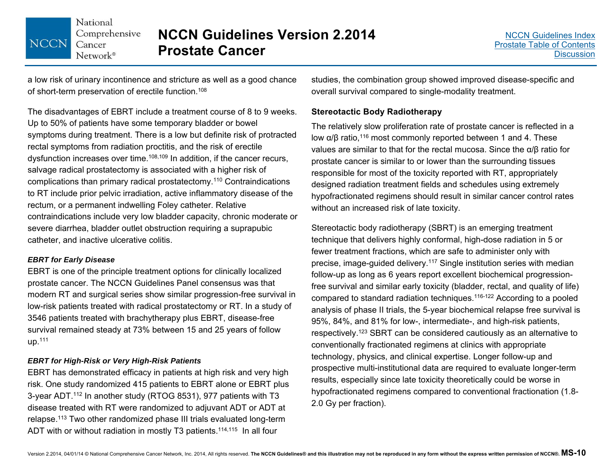a low risk of urinary incontinence and stricture as well as a good chance of short-term preservation of erectile function.<sup>108</sup>

The disadvantages of EBRT include a treatment course of 8 to 9 weeks. Up to 50% of patients have some temporary bladder or bowel symptoms during treatment. There is a low but definite risk of protracted rectal symptoms from radiation proctitis, and the risk of erectile dysfunction increases over time.<sup>108,109</sup> In addition, if the cancer recurs, salvage radical prostatectomy is associated with a higher risk of complications than primary radical prostatectomy.110 Contraindications to RT include prior pelvic irradiation, active inflammatory disease of the rectum, or a permanent indwelling Foley catheter. Relative contraindications include very low bladder capacity, chronic moderate or severe diarrhea, bladder outlet obstruction requiring a suprapubic catheter, and inactive ulcerative colitis.

#### *EBRT for Early Disease*

EBRT is one of the principle treatment options for clinically localized prostate cancer. The NCCN Guidelines Panel consensus was that modern RT and surgical series show similar progression-free survival in low-risk patients treated with radical prostatectomy or RT. In a study of 3546 patients treated with brachytherapy plus EBRT, disease-free survival remained steady at 73% between 15 and 25 years of follow  $up.111$ 

### *EBRT for High-Risk or Very High-Risk Patients*

EBRT has demonstrated efficacy in patients at high risk and very high risk. One study randomized 415 patients to EBRT alone or EBRT plus 3-year ADT.112 In another study (RTOG 8531), 977 patients with T3 disease treated with RT were randomized to adjuvant ADT or ADT at relapse.113 Two other randomized phase III trials evaluated long-term ADT with or without radiation in mostly T3 patients.<sup>114,115</sup> In all four

studies, the combination group showed improved disease-specific and overall survival compared to single-modality treatment.

## **Stereotactic Body Radiotherapy**

The relatively slow proliferation rate of prostate cancer is reflected in a low  $α/β$  ratio,<sup>116</sup> most commonly reported between 1 and 4. These values are similar to that for the rectal mucosa. Since the α/β ratio for prostate cancer is similar to or lower than the surrounding tissues responsible for most of the toxicity reported with RT, appropriately designed radiation treatment fields and schedules using extremely hypofractionated regimens should result in similar cancer control rates without an increased risk of late toxicity.

Stereotactic body radiotherapy (SBRT) is an emerging treatment technique that delivers highly conformal, high-dose radiation in 5 or fewer treatment fractions, which are safe to administer only with precise, image-guided delivery.117 Single institution series with median follow-up as long as 6 years report excellent biochemical progressionfree survival and similar early toxicity (bladder, rectal, and quality of life) compared to standard radiation techniques.116-122 According to a pooled analysis of phase II trials, the 5-year biochemical relapse free survival is 95%, 84%, and 81% for low-, intermediate-, and high-risk patients, respectively.123 SBRT can be considered cautiously as an alternative to conventionally fractionated regimens at clinics with appropriate technology, physics, and clinical expertise. Longer follow-up and prospective multi-institutional data are required to evaluate longer-term results, especially since late toxicity theoretically could be worse in hypofractionated regimens compared to conventional fractionation (1.8- 2.0 Gy per fraction).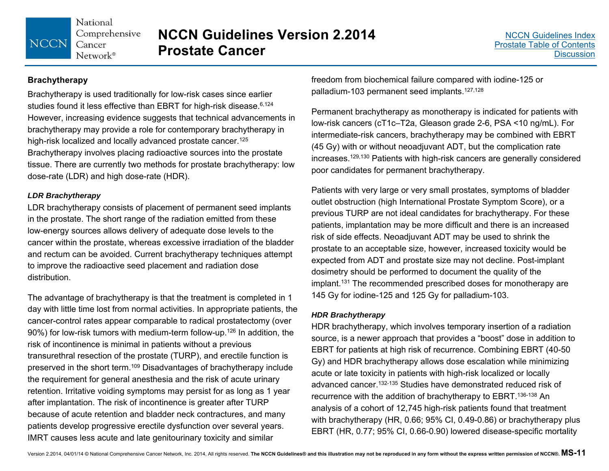#### **Brachytherapy**

**NCCN** 

Brachytherapy is used traditionally for low-risk cases since earlier studies found it less effective than EBRT for high-risk disease.<sup>6,124</sup> However, increasing evidence suggests that technical advancements in brachytherapy may provide a role for contemporary brachytherapy in high-risk localized and locally advanced prostate cancer.<sup>125</sup> Brachytherapy involves placing radioactive sources into the prostate tissue. There are currently two methods for prostate brachytherapy: low dose-rate (LDR) and high dose-rate (HDR).

#### *LDR Brachytherapy*

LDR brachytherapy consists of placement of permanent seed implants in the prostate. The short range of the radiation emitted from these low-energy sources allows delivery of adequate dose levels to the cancer within the prostate, whereas excessive irradiation of the bladder and rectum can be avoided. Current brachytherapy techniques attempt to improve the radioactive seed placement and radiation dose distribution.

The advantage of brachytherapy is that the treatment is completed in 1 day with little time lost from normal activities. In appropriate patients, the cancer-control rates appear comparable to radical prostatectomy (over 90%) for low-risk tumors with medium-term follow-up.126 In addition, the risk of incontinence is minimal in patients without a previous transurethral resection of the prostate (TURP), and erectile function is preserved in the short term.109 Disadvantages of brachytherapy include the requirement for general anesthesia and the risk of acute urinary retention. Irritative voiding symptoms may persist for as long as 1 year after implantation. The risk of incontinence is greater after TURP because of acute retention and bladder neck contractures, and many patients develop progressive erectile dysfunction over several years. IMRT causes less acute and late genitourinary toxicity and similar

freedom from biochemical failure compared with iodine-125 or palladium-103 permanent seed implants.127,128

Permanent brachytherapy as monotherapy is indicated for patients with low-risk cancers (cT1c–T2a, Gleason grade 2-6, PSA <10 ng/mL). For intermediate-risk cancers, brachytherapy may be combined with EBRT (45 Gy) with or without neoadjuvant ADT, but the complication rate increases.129,130 Patients with high-risk cancers are generally considered poor candidates for permanent brachytherapy.

Patients with very large or very small prostates, symptoms of bladder outlet obstruction (high International Prostate Symptom Score), or a previous TURP are not ideal candidates for brachytherapy. For these patients, implantation may be more difficult and there is an increased risk of side effects. Neoadjuvant ADT may be used to shrink the prostate to an acceptable size, however, increased toxicity would be expected from ADT and prostate size may not decline. Post-implant dosimetry should be performed to document the quality of the implant.<sup>131</sup> The recommended prescribed doses for monotherapy are 145 Gy for iodine-125 and 125 Gy for palladium-103.

#### *HDR Brachytherapy*

HDR brachytherapy, which involves temporary insertion of a radiation source, is a newer approach that provides a "boost" dose in addition to EBRT for patients at high risk of recurrence. Combining EBRT (40-50 Gy) and HDR brachytherapy allows dose escalation while minimizing acute or late toxicity in patients with high-risk localized or locally advanced cancer.<sup>132-135</sup> Studies have demonstrated reduced risk of recurrence with the addition of brachytherapy to EBRT.136-138 An analysis of a cohort of 12,745 high-risk patients found that treatment with brachytherapy (HR, 0.66; 95% CI, 0.49-0.86) or brachytherapy plus EBRT (HR, 0.77; 95% CI, 0.66-0.90) lowered disease-specific mortality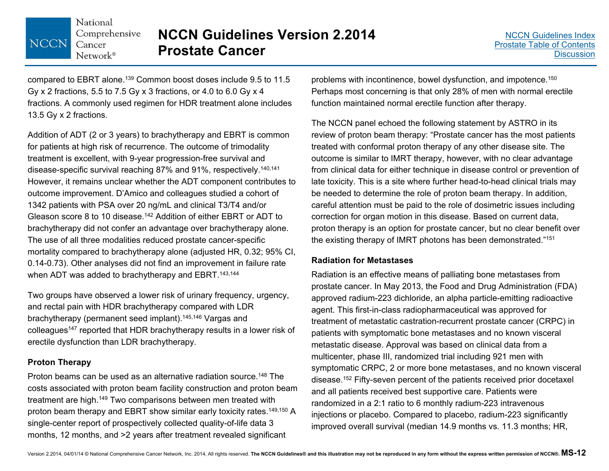compared to EBRT alone.139 Common boost doses include 9.5 to 11.5 Gy x 2 fractions, 5.5 to 7.5 Gy x 3 fractions, or 4.0 to 6.0 Gy x 4 fractions. A commonly used regimen for HDR treatment alone includes 13.5 Gy x 2 fractions.

Addition of ADT (2 or 3 years) to brachytherapy and EBRT is common for patients at high risk of recurrence. The outcome of trimodality treatment is excellent, with 9-year progression-free survival and disease-specific survival reaching 87% and 91%, respectively.<sup>140,141</sup> However, it remains unclear whether the ADT component contributes to outcome improvement. D'Amico and colleagues studied a cohort of 1342 patients with PSA over 20 ng/mL and clinical T3/T4 and/or Gleason score 8 to 10 disease.<sup>142</sup> Addition of either EBRT or ADT to brachytherapy did not confer an advantage over brachytherapy alone. The use of all three modalities reduced prostate cancer-specific mortality compared to brachytherapy alone (adjusted HR, 0.32; 95% CI, 0.14-0.73). Other analyses did not find an improvement in failure rate when ADT was added to brachytherapy and EBRT.<sup>143,144</sup>

Two groups have observed a lower risk of urinary frequency, urgency, and rectal pain with HDR brachytherapy compared with LDR brachytherapy (permanent seed implant).145,146 Vargas and colleagues<sup>147</sup> reported that HDR brachytherapy results in a lower risk of erectile dysfunction than LDR brachytherapy.

### **Proton Therapy**

Proton beams can be used as an alternative radiation source.<sup>148</sup> The costs associated with proton beam facility construction and proton beam treatment are high.149 Two comparisons between men treated with proton beam therapy and EBRT show similar early toxicity rates.149,150 A single-center report of prospectively collected quality-of-life data 3 months, 12 months, and >2 years after treatment revealed significant

problems with incontinence, bowel dysfunction, and impotence.150 Perhaps most concerning is that only 28% of men with normal erectile function maintained normal erectile function after therapy.

The NCCN panel echoed the following statement by ASTRO in its review of proton beam therapy: "Prostate cancer has the most patients treated with conformal proton therapy of any other disease site. The outcome is similar to IMRT therapy, however, with no clear advantage from clinical data for either technique in disease control or prevention of late toxicity. This is a site where further head-to-head clinical trials may be needed to determine the role of proton beam therapy. In addition, careful attention must be paid to the role of dosimetric issues including correction for organ motion in this disease. Based on current data, proton therapy is an option for prostate cancer, but no clear benefit over the existing therapy of IMRT photons has been demonstrated."151

#### **Radiation for Metastases**

Radiation is an effective means of palliating bone metastases from prostate cancer. In May 2013, the Food and Drug Administration (FDA) approved radium-223 dichloride, an alpha particle-emitting radioactive agent. This first-in-class radiopharmaceutical was approved for treatment of metastatic castration-recurrent prostate cancer (CRPC) in patients with symptomatic bone metastases and no known visceral metastatic disease. Approval was based on clinical data from a multicenter, phase III, randomized trial including 921 men with symptomatic CRPC, 2 or more bone metastases, and no known visceral disease.152 Fifty-seven percent of the patients received prior docetaxel and all patients received best supportive care. Patients were randomized in a 2:1 ratio to 6 monthly radium-223 intravenous injections or placebo. Compared to placebo, radium-223 significantly improved overall survival (median 14.9 months vs. 11.3 months; HR,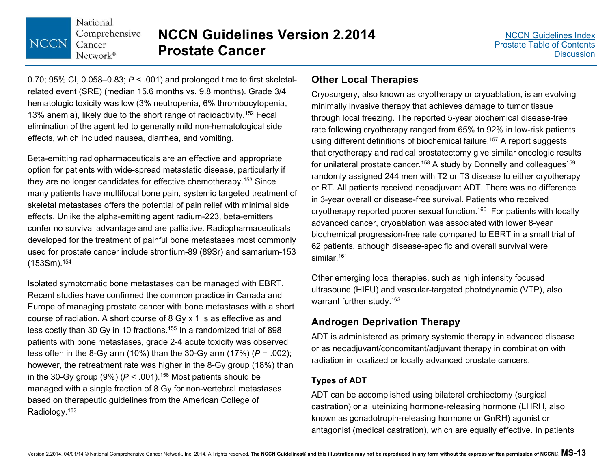0.70; 95% CI, 0.058–0.83; *P* < .001) and prolonged time to first skeletalrelated event (SRE) (median 15.6 months vs. 9.8 months). Grade 3/4 hematologic toxicity was low (3% neutropenia, 6% thrombocytopenia, 13% anemia), likely due to the short range of radioactivity.152 Fecal elimination of the agent led to generally mild non-hematological side effects, which included nausea, diarrhea, and vomiting.

Beta-emitting radiopharmaceuticals are an effective and appropriate option for patients with wide-spread metastatic disease, particularly if they are no longer candidates for effective chemotherapy.153 Since many patients have multifocal bone pain, systemic targeted treatment of skeletal metastases offers the potential of pain relief with minimal side effects. Unlike the alpha-emitting agent radium-223, beta-emitters confer no survival advantage and are palliative. Radiopharmaceuticals developed for the treatment of painful bone metastases most commonly used for prostate cancer include strontium-89 (89Sr) and samarium-153 (153Sm).154

Isolated symptomatic bone metastases can be managed with EBRT. Recent studies have confirmed the common practice in Canada and Europe of managing prostate cancer with bone metastases with a short course of radiation. A short course of 8 Gy x 1 is as effective as and less costly than 30 Gy in 10 fractions.<sup>155</sup> In a randomized trial of 898 patients with bone metastases, grade 2-4 acute toxicity was observed less often in the 8-Gy arm (10%) than the 30-Gy arm (17%) (*P* = .002); however, the retreatment rate was higher in the 8-Gy group (18%) than in the 30-Gy group  $(9\%)$  ( $P < .001$ ).<sup>156</sup> Most patients should be managed with a single fraction of 8 Gy for non-vertebral metastases based on therapeutic guidelines from the American College of Radiology.153

## **Other Local Therapies**

Cryosurgery, also known as cryotherapy or cryoablation, is an evolving minimally invasive therapy that achieves damage to tumor tissue through local freezing. The reported 5-year biochemical disease-free rate following cryotherapy ranged from 65% to 92% in low-risk patients using different definitions of biochemical failure.<sup>157</sup> A report suggests that cryotherapy and radical prostatectomy give similar oncologic results for unilateral prostate cancer.<sup>158</sup> A study by Donnelly and colleagues<sup>159</sup> randomly assigned 244 men with T2 or T3 disease to either cryotherapy or RT. All patients received neoadjuvant ADT. There was no difference in 3-year overall or disease-free survival. Patients who received cryotherapy reported poorer sexual function.160 For patients with locally advanced cancer, cryoablation was associated with lower 8-year biochemical progression-free rate compared to EBRT in a small trial of 62 patients, although disease-specific and overall survival were similar.<sup>161</sup>

Other emerging local therapies, such as high intensity focused ultrasound (HIFU) and vascular-targeted photodynamic (VTP), also warrant further study.<sup>162</sup>

# **Androgen Deprivation Therapy**

ADT is administered as primary systemic therapy in advanced disease or as neoadjuvant/concomitant/adjuvant therapy in combination with radiation in localized or locally advanced prostate cancers.

## **Types of ADT**

ADT can be accomplished using bilateral orchiectomy (surgical castration) or a luteinizing hormone-releasing hormone (LHRH, also known as gonadotropin-releasing hormone or GnRH) agonist or antagonist (medical castration), which are equally effective. In patients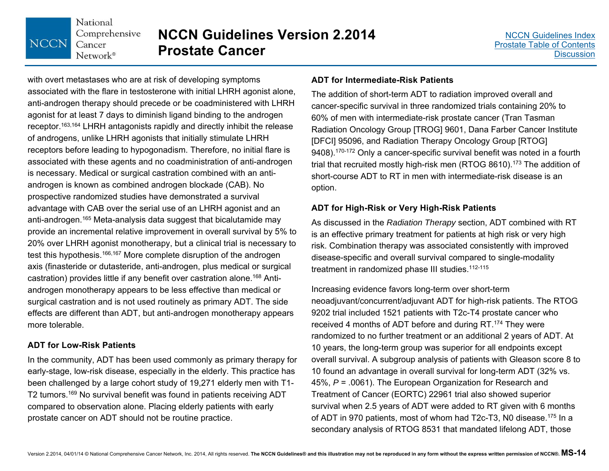# **NCCN Guidelines Version 2.2014 Prostate Cancer**

with overt metastases who are at risk of developing symptoms associated with the flare in testosterone with initial LHRH agonist alone, anti-androgen therapy should precede or be coadministered with LHRH agonist for at least 7 days to diminish ligand binding to the androgen receptor.163,164 LHRH antagonists rapidly and directly inhibit the release of androgens, unlike LHRH agonists that initially stimulate LHRH receptors before leading to hypogonadism. Therefore, no initial flare is associated with these agents and no coadministration of anti-androgen is necessary. Medical or surgical castration combined with an antiandrogen is known as combined androgen blockade (CAB). No prospective randomized studies have demonstrated a survival advantage with CAB over the serial use of an LHRH agonist and an anti-androgen.165 Meta-analysis data suggest that bicalutamide may provide an incremental relative improvement in overall survival by 5% to 20% over LHRH agonist monotherapy, but a clinical trial is necessary to test this hypothesis.166,167 More complete disruption of the androgen axis (finasteride or dutasteride, anti-androgen, plus medical or surgical castration) provides little if any benefit over castration alone.168 Antiandrogen monotherapy appears to be less effective than medical or surgical castration and is not used routinely as primary ADT. The side effects are different than ADT, but anti-androgen monotherapy appears more tolerable.

### **ADT for Low-Risk Patients**

In the community, ADT has been used commonly as primary therapy for early-stage, low-risk disease, especially in the elderly. This practice has been challenged by a large cohort study of 19,271 elderly men with T1- T2 tumors.169 No survival benefit was found in patients receiving ADT compared to observation alone. Placing elderly patients with early prostate cancer on ADT should not be routine practice.

## **ADT for Intermediate-Risk Patients**

The addition of short-term ADT to radiation improved overall and cancer-specific survival in three randomized trials containing 20% to 60% of men with intermediate-risk prostate cancer (Tran Tasman Radiation Oncology Group [TROG] 9601, Dana Farber Cancer Institute [DFCI] 95096, and Radiation Therapy Oncology Group [RTOG] 9408).<sup>170-172</sup> Only a cancer-specific survival benefit was noted in a fourth trial that recruited mostly high-risk men (RTOG 8610).<sup>173</sup> The addition of short-course ADT to RT in men with intermediate-risk disease is an option.

## **ADT for High-Risk or Very High-Risk Patients**

As discussed in the *Radiation Therapy* section, ADT combined with RT is an effective primary treatment for patients at high risk or very high risk. Combination therapy was associated consistently with improved disease-specific and overall survival compared to single-modality treatment in randomized phase III studies.<sup>112-115</sup>

Increasing evidence favors long-term over short-term neoadjuvant/concurrent/adjuvant ADT for high-risk patients. The RTOG 9202 trial included 1521 patients with T2c-T4 prostate cancer who received 4 months of ADT before and during RT.174 They were randomized to no further treatment or an additional 2 years of ADT. At 10 years, the long-term group was superior for all endpoints except overall survival. A subgroup analysis of patients with Gleason score 8 to 10 found an advantage in overall survival for long-term ADT (32% vs. 45%, *P* = .0061). The European Organization for Research and Treatment of Cancer (EORTC) 22961 trial also showed superior survival when 2.5 years of ADT were added to RT given with 6 months of ADT in 970 patients, most of whom had T2c-T3, N0 disease.175 In a secondary analysis of RTOG 8531 that mandated lifelong ADT, those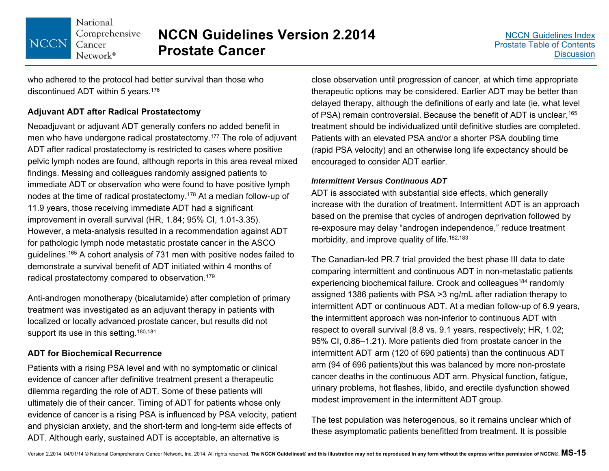who adhered to the protocol had better survival than those who discontinued ADT within 5 years.<sup>176</sup>

## **Adjuvant ADT after Radical Prostatectomy**

Neoadjuvant or adjuvant ADT generally confers no added benefit in men who have undergone radical prostatectomy.177 The role of adjuvant ADT after radical prostatectomy is restricted to cases where positive pelvic lymph nodes are found, although reports in this area reveal mixed findings. Messing and colleagues randomly assigned patients to immediate ADT or observation who were found to have positive lymph nodes at the time of radical prostatectomy.178 At a median follow-up of 11.9 years, those receiving immediate ADT had a significant improvement in overall survival (HR, 1.84; 95% CI, 1.01-3.35). However, a meta-analysis resulted in a recommendation against ADT for pathologic lymph node metastatic prostate cancer in the ASCO guidelines.165 A cohort analysis of 731 men with positive nodes failed to demonstrate a survival benefit of ADT initiated within 4 months of radical prostatectomy compared to observation.179

Anti-androgen monotherapy (bicalutamide) after completion of primary treatment was investigated as an adjuvant therapy in patients with localized or locally advanced prostate cancer, but results did not support its use in this setting.<sup>180,181</sup>

## **ADT for Biochemical Recurrence**

Patients with a rising PSA level and with no symptomatic or clinical evidence of cancer after definitive treatment present a therapeutic dilemma regarding the role of ADT. Some of these patients will ultimately die of their cancer. Timing of ADT for patients whose only evidence of cancer is a rising PSA is influenced by PSA velocity, patient and physician anxiety, and the short-term and long-term side effects of ADT. Although early, sustained ADT is acceptable, an alternative is

close observation until progression of cancer, at which time appropriate therapeutic options may be considered. Earlier ADT may be better than delayed therapy, although the definitions of early and late (ie, what level of PSA) remain controversial. Because the benefit of ADT is unclear,<sup>165</sup> treatment should be individualized until definitive studies are completed. Patients with an elevated PSA and/or a shorter PSA doubling time (rapid PSA velocity) and an otherwise long life expectancy should be encouraged to consider ADT earlier.

#### *Intermittent Versus Continuous ADT*

ADT is associated with substantial side effects, which generally increase with the duration of treatment. Intermittent ADT is an approach based on the premise that cycles of androgen deprivation followed by re-exposure may delay "androgen independence," reduce treatment morbidity, and improve quality of life.<sup>182,183</sup>

The Canadian-led PR.7 trial provided the best phase III data to date comparing intermittent and continuous ADT in non-metastatic patients experiencing biochemical failure. Crook and colleagues<sup>184</sup> randomly assigned 1386 patients with PSA >3 ng/mL after radiation therapy to intermittent ADT or continuous ADT. At a median follow-up of 6.9 years, the intermittent approach was non-inferior to continuous ADT with respect to overall survival (8.8 vs. 9.1 years, respectively; HR, 1.02; 95% CI, 0.86–1.21). More patients died from prostate cancer in the intermittent ADT arm (120 of 690 patients) than the continuous ADT arm (94 of 696 patients)but this was balanced by more non-prostate cancer deaths in the continuous ADT arm. Physical function, fatigue, urinary problems, hot flashes, libido, and erectile dysfunction showed modest improvement in the intermittent ADT group.

The test population was heterogenous, so it remains unclear which of these asymptomatic patients benefitted from treatment. It is possible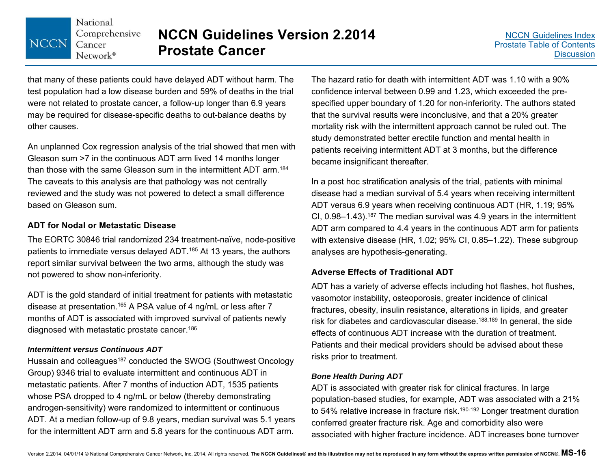that many of these patients could have delayed ADT without harm. The test population had a low disease burden and 59% of deaths in the trial were not related to prostate cancer, a follow-up longer than 6.9 years may be required for disease-specific deaths to out-balance deaths by other causes.

An unplanned Cox regression analysis of the trial showed that men with Gleason sum >7 in the continuous ADT arm lived 14 months longer than those with the same Gleason sum in the intermittent ADT arm.184 The caveats to this analysis are that pathology was not centrally reviewed and the study was not powered to detect a small difference based on Gleason sum.

#### **ADT for Nodal or Metastatic Disease**

The EORTC 30846 trial randomized 234 treatment-naïve, node-positive patients to immediate versus delayed ADT.185 At 13 years, the authors report similar survival between the two arms, although the study was not powered to show non-inferiority.

ADT is the gold standard of initial treatment for patients with metastatic disease at presentation.165 A PSA value of 4 ng/mL or less after 7 months of ADT is associated with improved survival of patients newly diagnosed with metastatic prostate cancer.186

#### *Intermittent versus Continuous ADT*

Hussain and colleagues<sup>187</sup> conducted the SWOG (Southwest Oncology Group) 9346 trial to evaluate intermittent and continuous ADT in metastatic patients. After 7 months of induction ADT, 1535 patients whose PSA dropped to 4 ng/mL or below (thereby demonstrating androgen-sensitivity) were randomized to intermittent or continuous ADT. At a median follow-up of 9.8 years, median survival was 5.1 years for the intermittent ADT arm and 5.8 years for the continuous ADT arm.

The hazard ratio for death with intermittent ADT was 1.10 with a 90% confidence interval between 0.99 and 1.23, which exceeded the prespecified upper boundary of 1.20 for non-inferiority. The authors stated that the survival results were inconclusive, and that a 20% greater mortality risk with the intermittent approach cannot be ruled out. The study demonstrated better erectile function and mental health in patients receiving intermittent ADT at 3 months, but the difference became insignificant thereafter.

In a post hoc stratification analysis of the trial, patients with minimal disease had a median survival of 5.4 years when receiving intermittent ADT versus 6.9 years when receiving continuous ADT (HR, 1.19; 95% CI, 0.98-1.43).<sup>187</sup> The median survival was 4.9 years in the intermittent ADT arm compared to 4.4 years in the continuous ADT arm for patients with extensive disease (HR, 1.02; 95% CI, 0.85–1.22). These subgroup analyses are hypothesis-generating.

#### **Adverse Effects of Traditional ADT**

ADT has a variety of adverse effects including hot flashes, hot flushes, vasomotor instability, osteoporosis, greater incidence of clinical fractures, obesity, insulin resistance, alterations in lipids, and greater risk for diabetes and cardiovascular disease.188,189 In general, the side effects of continuous ADT increase with the duration of treatment. Patients and their medical providers should be advised about these risks prior to treatment.

#### *Bone Health During ADT*

ADT is associated with greater risk for clinical fractures. In large population-based studies, for example, ADT was associated with a 21% to 54% relative increase in fracture risk.<sup>190-192</sup> Longer treatment duration conferred greater fracture risk. Age and comorbidity also were associated with higher fracture incidence. ADT increases bone turnover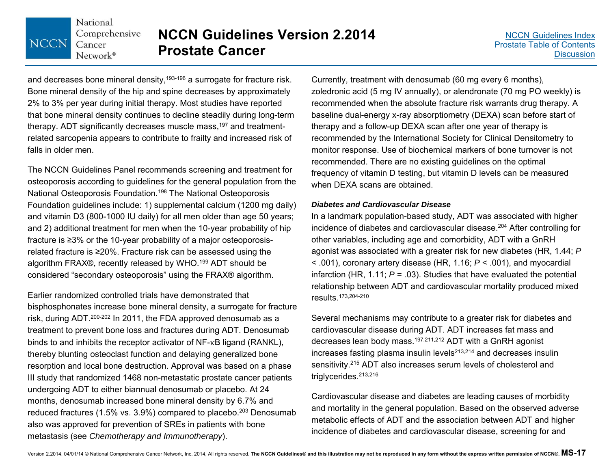# **NCCN Guidelines Version 2.2014 Prostate Cancer**

and decreases bone mineral density,<sup>193-196</sup> a surrogate for fracture risk. Bone mineral density of the hip and spine decreases by approximately 2% to 3% per year during initial therapy. Most studies have reported that bone mineral density continues to decline steadily during long-term therapy. ADT significantly decreases muscle mass,197 and treatmentrelated sarcopenia appears to contribute to frailty and increased risk of falls in older men.

The NCCN Guidelines Panel recommends screening and treatment for osteoporosis according to guidelines for the general population from the National Osteoporosis Foundation.198 The National Osteoporosis Foundation guidelines include: 1) supplemental calcium (1200 mg daily) and vitamin D3 (800-1000 IU daily) for all men older than age 50 years; and 2) additional treatment for men when the 10-year probability of hip fracture is ≥3% or the 10-year probability of a major osteoporosisrelated fracture is ≥20%. Fracture risk can be assessed using the algorithm FRAX®, recently released by WHO.199 ADT should be considered "secondary osteoporosis" using the FRAX® algorithm.

Earlier randomized controlled trials have demonstrated that bisphosphonates increase bone mineral density, a surrogate for fracture risk, during ADT.200-202 In 2011, the FDA approved denosumab as a treatment to prevent bone loss and fractures during ADT. Denosumab binds to and inhibits the receptor activator of  $NF - kB$  ligand (RANKL), thereby blunting osteoclast function and delaying generalized bone resorption and local bone destruction. Approval was based on a phase III study that randomized 1468 non-metastatic prostate cancer patients undergoing ADT to either biannual denosumab or placebo. At 24 months, denosumab increased bone mineral density by 6.7% and reduced fractures (1.5% vs. 3.9%) compared to placebo.<sup>203</sup> Denosumab also was approved for prevention of SREs in patients with bone metastasis (see *Chemotherapy and Immunotherapy*).

Currently, treatment with denosumab (60 mg every 6 months), zoledronic acid (5 mg IV annually), or alendronate (70 mg PO weekly) is recommended when the absolute fracture risk warrants drug therapy. A baseline dual-energy x-ray absorptiometry (DEXA) scan before start of therapy and a follow-up DEXA scan after one year of therapy is recommended by the International Society for Clinical Densitometry to monitor response. Use of biochemical markers of bone turnover is not recommended. There are no existing guidelines on the optimal frequency of vitamin D testing, but vitamin D levels can be measured when DEXA scans are obtained.

#### *Diabetes and Cardiovascular Disease*

In a landmark population-based study, ADT was associated with higher incidence of diabetes and cardiovascular disease.204 After controlling for other variables, including age and comorbidity, ADT with a GnRH agonist was associated with a greater risk for new diabetes (HR, 1.44; *P* < .001), coronary artery disease (HR, 1.16; *P* < .001), and myocardial infarction (HR, 1.11;  $P = .03$ ). Studies that have evaluated the potential relationship between ADT and cardiovascular mortality produced mixed results.173,204-210

Several mechanisms may contribute to a greater risk for diabetes and cardiovascular disease during ADT. ADT increases fat mass and decreases lean body mass.197,211,212 ADT with a GnRH agonist increases fasting plasma insulin levels<sup>213,214</sup> and decreases insulin sensitivity.<sup>215</sup> ADT also increases serum levels of cholesterol and triglycerides.213,216

Cardiovascular disease and diabetes are leading causes of morbidity and mortality in the general population. Based on the observed adverse metabolic effects of ADT and the association between ADT and higher incidence of diabetes and cardiovascular disease, screening for and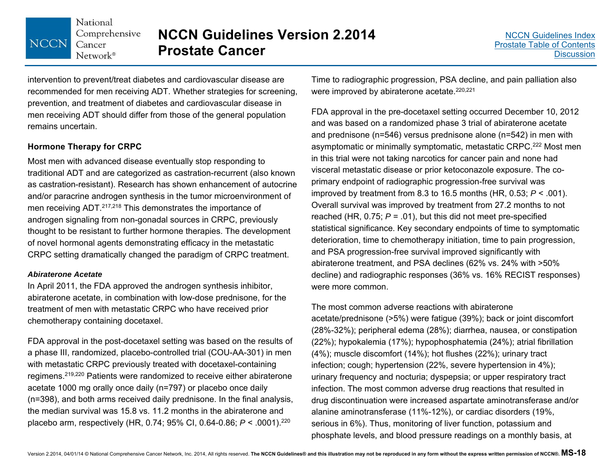intervention to prevent/treat diabetes and cardiovascular disease are recommended for men receiving ADT. Whether strategies for screening, prevention, and treatment of diabetes and cardiovascular disease in men receiving ADT should differ from those of the general population remains uncertain.

## **Hormone Therapy for CRPC**

Most men with advanced disease eventually stop responding to traditional ADT and are categorized as castration-recurrent (also known as castration-resistant). Research has shown enhancement of autocrine and/or paracrine androgen synthesis in the tumor microenvironment of men receiving ADT.<sup>217,218</sup> This demonstrates the importance of androgen signaling from non-gonadal sources in CRPC, previously thought to be resistant to further hormone therapies. The development of novel hormonal agents demonstrating efficacy in the metastatic CRPC setting dramatically changed the paradigm of CRPC treatment.

#### *Abiraterone Acetate*

In April 2011, the FDA approved the androgen synthesis inhibitor, abiraterone acetate, in combination with low-dose prednisone, for the treatment of men with metastatic CRPC who have received prior chemotherapy containing docetaxel.

FDA approval in the post-docetaxel setting was based on the results of a phase III, randomized, placebo-controlled trial (COU-AA-301) in men with metastatic CRPC previously treated with docetaxel-containing regimens.219,220 Patients were randomized to receive either abiraterone acetate 1000 mg orally once daily (n=797) or placebo once daily (n=398), and both arms received daily prednisone. In the final analysis, the median survival was 15.8 vs. 11.2 months in the abiraterone and placebo arm, respectively (HR, 0.74; 95% CI, 0.64-0.86; *P* < .0001).220

Time to radiographic progression, PSA decline, and pain palliation also were improved by abiraterone acetate.<sup>220,221</sup>

FDA approval in the pre-docetaxel setting occurred December 10, 2012 and was based on a randomized phase 3 trial of abiraterone acetate and prednisone (n=546) versus prednisone alone (n=542) in men with asymptomatic or minimally symptomatic, metastatic CRPC.<sup>222</sup> Most men in this trial were not taking narcotics for cancer pain and none had visceral metastatic disease or prior ketoconazole exposure. The coprimary endpoint of radiographic progression-free survival was improved by treatment from 8.3 to 16.5 months (HR, 0.53; *P* < .001). Overall survival was improved by treatment from 27.2 months to not reached (HR, 0.75; *P* = .01), but this did not meet pre-specified statistical significance. Key secondary endpoints of time to symptomatic deterioration, time to chemotherapy initiation, time to pain progression, and PSA progression-free survival improved significantly with abiraterone treatment, and PSA declines (62% vs. 24% with >50% decline) and radiographic responses (36% vs. 16% RECIST responses) were more common.

The most common adverse reactions with abiraterone acetate/prednisone (>5%) were fatigue (39%); back or joint discomfort (28%-32%); peripheral edema (28%); diarrhea, nausea, or constipation (22%); hypokalemia (17%); hypophosphatemia (24%); atrial fibrillation (4%); muscle discomfort (14%); hot flushes (22%); urinary tract infection; cough; hypertension (22%, severe hypertension in 4%); urinary frequency and nocturia; dyspepsia; or upper respiratory tract infection. The most common adverse drug reactions that resulted in drug discontinuation were increased aspartate aminotransferase and/or alanine aminotransferase (11%-12%), or cardiac disorders (19%, serious in 6%). Thus, monitoring of liver function, potassium and phosphate levels, and blood pressure readings on a monthly basis, at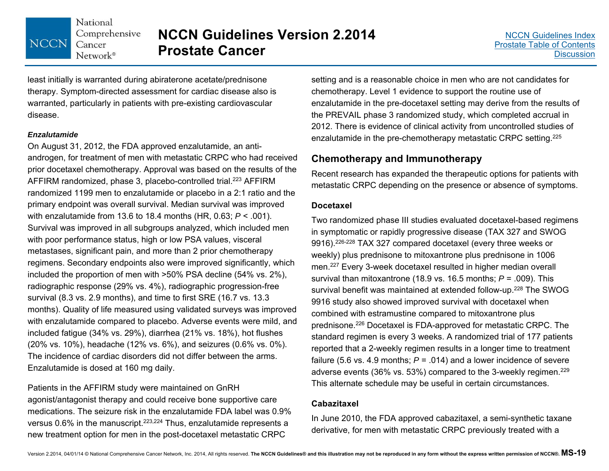least initially is warranted during abiraterone acetate/prednisone therapy. Symptom-directed assessment for cardiac disease also is warranted, particularly in patients with pre-existing cardiovascular disease.

#### *Enzalutamide*

On August 31, 2012, the FDA approved enzalutamide, an antiandrogen, for treatment of men with metastatic CRPC who had received prior docetaxel chemotherapy. Approval was based on the results of the AFFIRM randomized, phase 3, placebo-controlled trial.<sup>223</sup> AFFIRM randomized 1199 men to enzalutamide or placebo in a 2:1 ratio and the primary endpoint was overall survival. Median survival was improved with enzalutamide from 13.6 to 18.4 months (HR, 0.63; *P* < .001). Survival was improved in all subgroups analyzed, which included men with poor performance status, high or low PSA values, visceral metastases, significant pain, and more than 2 prior chemotherapy regimens. Secondary endpoints also were improved significantly, which included the proportion of men with >50% PSA decline (54% vs. 2%), radiographic response (29% vs. 4%), radiographic progression-free survival (8.3 vs. 2.9 months), and time to first SRE (16.7 vs. 13.3 months). Quality of life measured using validated surveys was improved with enzalutamide compared to placebo. Adverse events were mild, and included fatigue (34% vs. 29%), diarrhea (21% vs. 18%), hot flushes (20% vs. 10%), headache (12% vs. 6%), and seizures (0.6% vs. 0%). The incidence of cardiac disorders did not differ between the arms. Enzalutamide is dosed at 160 mg daily.

Patients in the AFFIRM study were maintained on GnRH agonist/antagonist therapy and could receive bone supportive care medications. The seizure risk in the enzalutamide FDA label was 0.9% versus 0.6% in the manuscript.223,224 Thus, enzalutamide represents a new treatment option for men in the post-docetaxel metastatic CRPC

setting and is a reasonable choice in men who are not candidates for chemotherapy. Level 1 evidence to support the routine use of enzalutamide in the pre-docetaxel setting may derive from the results of the PREVAIL phase 3 randomized study, which completed accrual in 2012. There is evidence of clinical activity from uncontrolled studies of enzalutamide in the pre-chemotherapy metastatic CRPC setting.225

# **Chemotherapy and Immunotherapy**

Recent research has expanded the therapeutic options for patients with metastatic CRPC depending on the presence or absence of symptoms.

#### **Docetaxel**

Two randomized phase III studies evaluated docetaxel-based regimens in symptomatic or rapidly progressive disease (TAX 327 and SWOG 9916).226-228 TAX 327 compared docetaxel (every three weeks or weekly) plus prednisone to mitoxantrone plus prednisone in 1006 men.227 Every 3-week docetaxel resulted in higher median overall survival than mitoxantrone (18.9 vs. 16.5 months; *P* = .009). This survival benefit was maintained at extended follow-up.<sup>228</sup> The SWOG 9916 study also showed improved survival with docetaxel when combined with estramustine compared to mitoxantrone plus prednisone.226 Docetaxel is FDA-approved for metastatic CRPC. The standard regimen is every 3 weeks. A randomized trial of 177 patients reported that a 2-weekly regimen results in a longer time to treatment failure (5.6 vs. 4.9 months; *P* = .014) and a lower incidence of severe adverse events (36% vs. 53%) compared to the 3-weekly regimen.<sup>229</sup> This alternate schedule may be useful in certain circumstances.

### **Cabazitaxel**

In June 2010, the FDA approved cabazitaxel, a semi-synthetic taxane derivative, for men with metastatic CRPC previously treated with a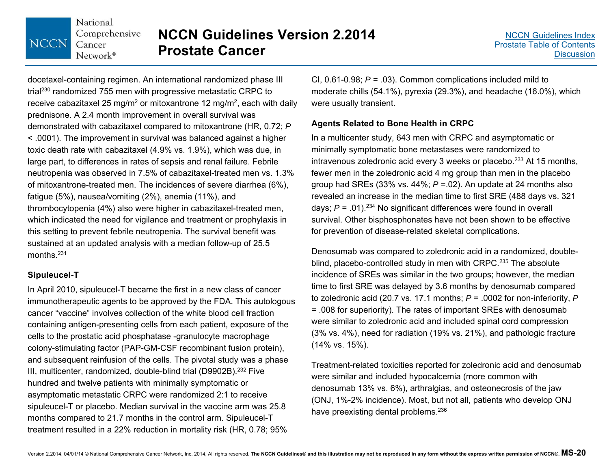

# **NCCN Guidelines Version 2.2014 Prostate Cancer**

docetaxel-containing regimen. An international randomized phase III trial230 randomized 755 men with progressive metastatic CRPC to receive cabazitaxel 25 mg/m2 or mitoxantrone 12 mg/m2, each with daily prednisone. A 2.4 month improvement in overall survival was demonstrated with cabazitaxel compared to mitoxantrone (HR, 0.72; *P* < .0001). The improvement in survival was balanced against a higher toxic death rate with cabazitaxel (4.9% vs. 1.9%), which was due, in large part, to differences in rates of sepsis and renal failure. Febrile neutropenia was observed in 7.5% of cabazitaxel-treated men vs. 1.3% of mitoxantrone-treated men. The incidences of severe diarrhea (6%), fatigue (5%), nausea/vomiting (2%), anemia (11%), and thrombocytopenia (4%) also were higher in cabazitaxel-treated men, which indicated the need for vigilance and treatment or prophylaxis in this setting to prevent febrile neutropenia. The survival benefit was sustained at an updated analysis with a median follow-up of 25.5 months.231

### **Sipuleucel-T**

In April 2010, sipuleucel-T became the first in a new class of cancer immunotherapeutic agents to be approved by the FDA. This autologous cancer "vaccine" involves collection of the white blood cell fraction containing antigen-presenting cells from each patient, exposure of the cells to the prostatic acid phosphatase -granulocyte macrophage colony-stimulating factor (PAP-GM-CSF recombinant fusion protein), and subsequent reinfusion of the cells. The pivotal study was a phase III, multicenter, randomized, double-blind trial (D9902B).232 Five hundred and twelve patients with minimally symptomatic or asymptomatic metastatic CRPC were randomized 2:1 to receive sipuleucel-T or placebo. Median survival in the vaccine arm was 25.8 months compared to 21.7 months in the control arm. Sipuleucel-T treatment resulted in a 22% reduction in mortality risk (HR, 0.78; 95%

CI, 0.61-0.98; *P* = .03). Common complications included mild to moderate chills (54.1%), pyrexia (29.3%), and headache (16.0%), which were usually transient.

## **Agents Related to Bone Health in CRPC**

In a multicenter study, 643 men with CRPC and asymptomatic or minimally symptomatic bone metastases were randomized to intravenous zoledronic acid every 3 weeks or placebo.<sup>233</sup> At 15 months, fewer men in the zoledronic acid 4 mg group than men in the placebo group had SREs (33% vs. 44%; *P* =.02). An update at 24 months also revealed an increase in the median time to first SRE (488 days vs. 321 days; *P* = .01).234 No significant differences were found in overall survival. Other bisphosphonates have not been shown to be effective for prevention of disease-related skeletal complications.

Denosumab was compared to zoledronic acid in a randomized, doubleblind, placebo-controlled study in men with CRPC.<sup>235</sup> The absolute incidence of SREs was similar in the two groups; however, the median time to first SRE was delayed by 3.6 months by denosumab compared to zoledronic acid (20.7 vs. 17.1 months; *P* = .0002 for non-inferiority, *P* = .008 for superiority). The rates of important SREs with denosumab were similar to zoledronic acid and included spinal cord compression (3% vs. 4%), need for radiation (19% vs. 21%), and pathologic fracture (14% vs. 15%).

Treatment-related toxicities reported for zoledronic acid and denosumab were similar and included hypocalcemia (more common with denosumab 13% vs. 6%), arthralgias, and osteonecrosis of the jaw (ONJ, 1%-2% incidence). Most, but not all, patients who develop ONJ have preexisting dental problems.<sup>236</sup>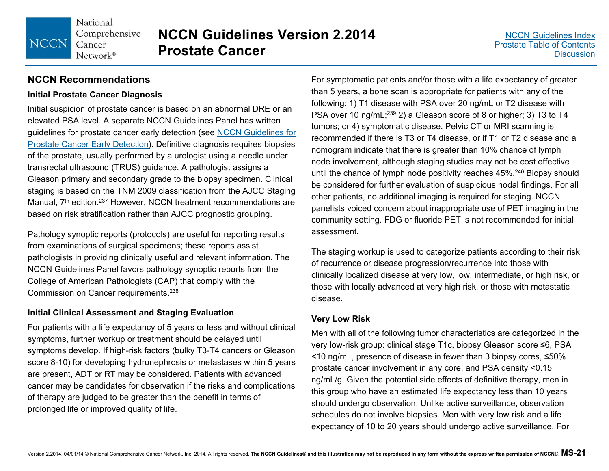# **NCCN Guidelines Version 2.2014 Prostate Cancer**

# **NCCN Recommendations**

## **Initial Prostate Cancer Diagnosis**

Initial suspicion of prostate cancer is based on an abnormal DRE or an elevated PSA level. A separate NCCN Guidelines Panel has written guidelines for prostate cancer early detection (see [NCCN Guidelines for](#page-0-0)  [Prostate Cancer Early Detection\).](#page-0-0) Definitive diagnosis requires biopsies of the prostate, usually performed by a urologist using a needle under transrectal ultrasound (TRUS) guidance. A pathologist assigns a Gleason primary and secondary grade to the biopsy specimen. Clinical staging is based on the TNM 2009 classification from the AJCC Staging Manual, 7<sup>th</sup> edition.<sup>237</sup> However, NCCN treatment recommendations are based on risk stratification rather than AJCC prognostic grouping.

Pathology synoptic reports (protocols) are useful for reporting results from examinations of surgical specimens; these reports assist pathologists in providing clinically useful and relevant information. The NCCN Guidelines Panel favors pathology synoptic reports from the College of American Pathologists (CAP) that comply with the Commission on Cancer requirements.238

## **Initial Clinical Assessment and Staging Evaluation**

For patients with a life expectancy of 5 years or less and without clinical symptoms, further workup or treatment should be delayed until symptoms develop. If high-risk factors (bulky T3-T4 cancers or Gleason score 8-10) for developing hydronephrosis or metastases within 5 years are present, ADT or RT may be considered. Patients with advanced cancer may be candidates for observation if the risks and complications of therapy are judged to be greater than the benefit in terms of prolonged life or improved quality of life.

For symptomatic patients and/or those with a life expectancy of greater than 5 years, a bone scan is appropriate for patients with any of the following: 1) T1 disease with PSA over 20 ng/mL or T2 disease with PSA over 10 ng/mL;<sup>239</sup> 2) a Gleason score of 8 or higher; 3) T3 to T4 tumors; or 4) symptomatic disease. Pelvic CT or MRI scanning is recommended if there is T3 or T4 disease, or if T1 or T2 disease and a nomogram indicate that there is greater than 10% chance of lymph node involvement, although staging studies may not be cost effective until the chance of lymph node positivity reaches 45%.<sup>240</sup> Biopsy should be considered for further evaluation of suspicious nodal findings. For all other patients, no additional imaging is required for staging. NCCN panelists voiced concern about inappropriate use of PET imaging in the community setting. FDG or fluoride PET is not recommended for initial assessment.

The staging workup is used to categorize patients according to their risk of recurrence or disease progression/recurrence into those with clinically localized disease at very low, low, intermediate, or high risk, or those with locally advanced at very high risk, or those with metastatic disease.

## **Very Low Risk**

Men with all of the following tumor characteristics are categorized in the very low-risk group: clinical stage T1c, biopsy Gleason score ≤6, PSA <10 ng/mL, presence of disease in fewer than 3 biopsy cores, ≤50% prostate cancer involvement in any core, and PSA density <0.15 ng/mL/g. Given the potential side effects of definitive therapy, men in this group who have an estimated life expectancy less than 10 years should undergo observation. Unlike active surveillance, observation schedules do not involve biopsies. Men with very low risk and a life expectancy of 10 to 20 years should undergo active surveillance. For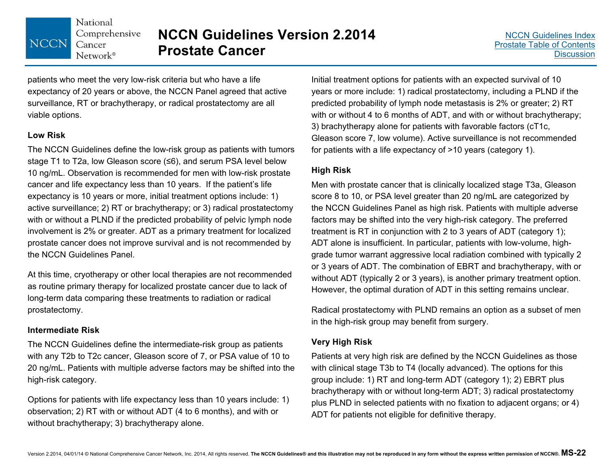National Comprehensive **NCCN** Cancer  $Network^{\circ}$ 

patients who meet the very low-risk criteria but who have a life expectancy of 20 years or above, the NCCN Panel agreed that active surveillance, RT or brachytherapy, or radical prostatectomy are all viable options.

#### **Low Risk**

The NCCN Guidelines define the low-risk group as patients with tumors stage T1 to T2a, low Gleason score (≤6), and serum PSA level below 10 ng/mL. Observation is recommended for men with low-risk prostate cancer and life expectancy less than 10 years. If the patient's life expectancy is 10 years or more, initial treatment options include: 1) active surveillance; 2) RT or brachytherapy; or 3) radical prostatectomy with or without a PLND if the predicted probability of pelvic lymph node involvement is 2% or greater. ADT as a primary treatment for localized prostate cancer does not improve survival and is not recommended by the NCCN Guidelines Panel.

At this time, cryotherapy or other local therapies are not recommended as routine primary therapy for localized prostate cancer due to lack of long-term data comparing these treatments to radiation or radical prostatectomy.

### **Intermediate Risk**

The NCCN Guidelines define the intermediate-risk group as patients with any T2b to T2c cancer, Gleason score of 7, or PSA value of 10 to 20 ng/mL. Patients with multiple adverse factors may be shifted into the high-risk category.

Options for patients with life expectancy less than 10 years include: 1) observation; 2) RT with or without ADT (4 to 6 months), and with or without brachytherapy; 3) brachytherapy alone.

Initial treatment options for patients with an expected survival of 10 years or more include: 1) radical prostatectomy, including a PLND if the predicted probability of lymph node metastasis is 2% or greater; 2) RT with or without 4 to 6 months of ADT, and with or without brachytherapy; 3) brachytherapy alone for patients with favorable factors (cT1c, Gleason score 7, low volume). Active surveillance is not recommended for patients with a life expectancy of >10 years (category 1).

## **High Risk**

Men with prostate cancer that is clinically localized stage T3a, Gleason score 8 to 10, or PSA level greater than 20 ng/mL are categorized by the NCCN Guidelines Panel as high risk. Patients with multiple adverse factors may be shifted into the very high-risk category. The preferred treatment is RT in conjunction with 2 to 3 years of ADT (category 1); ADT alone is insufficient. In particular, patients with low-volume, highgrade tumor warrant aggressive local radiation combined with typically 2 or 3 years of ADT. The combination of EBRT and brachytherapy, with or without ADT (typically 2 or 3 years), is another primary treatment option. However, the optimal duration of ADT in this setting remains unclear.

Radical prostatectomy with PLND remains an option as a subset of men in the high-risk group may benefit from surgery.

## **Very High Risk**

Patients at very high risk are defined by the NCCN Guidelines as those with clinical stage T3b to T4 (locally advanced). The options for this group include: 1) RT and long-term ADT (category 1); 2) EBRT plus brachytherapy with or without long-term ADT; 3) radical prostatectomy plus PLND in selected patients with no fixation to adjacent organs; or 4) ADT for patients not eligible for definitive therapy.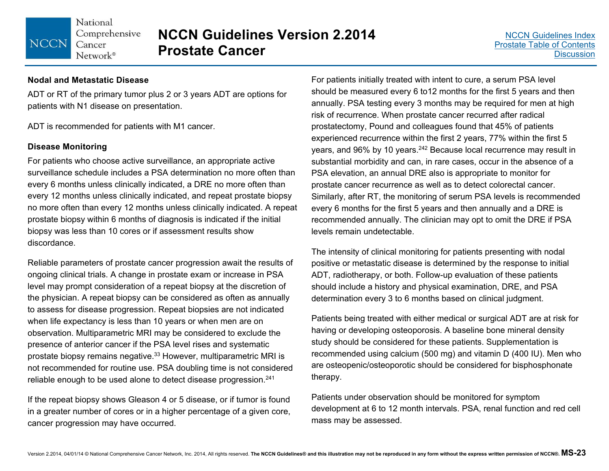National Comprehensive **NCCN** Cancer  $Network^{\circ}$ 

#### **Nodal and Metastatic Disease**

ADT or RT of the primary tumor plus 2 or 3 years ADT are options for patients with N1 disease on presentation.

ADT is recommended for patients with M1 cancer.

### **Disease Monitoring**

For patients who choose active surveillance, an appropriate active surveillance schedule includes a PSA determination no more often than every 6 months unless clinically indicated, a DRE no more often than every 12 months unless clinically indicated, and repeat prostate biopsy no more often than every 12 months unless clinically indicated. A repeat prostate biopsy within 6 months of diagnosis is indicated if the initial biopsy was less than 10 cores or if assessment results show discordance.

Reliable parameters of prostate cancer progression await the results of ongoing clinical trials. A change in prostate exam or increase in PSA level may prompt consideration of a repeat biopsy at the discretion of the physician. A repeat biopsy can be considered as often as annually to assess for disease progression. Repeat biopsies are not indicated when life expectancy is less than 10 years or when men are on observation. Multiparametric MRI may be considered to exclude the presence of anterior cancer if the PSA level rises and systematic prostate biopsy remains negative.33 However, multiparametric MRI is not recommended for routine use. PSA doubling time is not considered reliable enough to be used alone to detect disease progression.241

If the repeat biopsy shows Gleason 4 or 5 disease, or if tumor is found in a greater number of cores or in a higher percentage of a given core, cancer progression may have occurred.

For patients initially treated with intent to cure, a serum PSA level should be measured every 6 to12 months for the first 5 years and then annually. PSA testing every 3 months may be required for men at high risk of recurrence. When prostate cancer recurred after radical prostatectomy, Pound and colleagues found that 45% of patients experienced recurrence within the first 2 years, 77% within the first 5 years, and 96% by 10 years.<sup>242</sup> Because local recurrence may result in substantial morbidity and can, in rare cases, occur in the absence of a PSA elevation, an annual DRE also is appropriate to monitor for prostate cancer recurrence as well as to detect colorectal cancer. Similarly, after RT, the monitoring of serum PSA levels is recommended every 6 months for the first 5 years and then annually and a DRE is recommended annually. The clinician may opt to omit the DRE if PSA levels remain undetectable.

The intensity of clinical monitoring for patients presenting with nodal positive or metastatic disease is determined by the response to initial ADT, radiotherapy, or both. Follow-up evaluation of these patients should include a history and physical examination, DRE, and PSA determination every 3 to 6 months based on clinical judgment.

Patients being treated with either medical or surgical ADT are at risk for having or developing osteoporosis. A baseline bone mineral density study should be considered for these patients. Supplementation is recommended using calcium (500 mg) and vitamin D (400 IU). Men who are osteopenic/osteoporotic should be considered for bisphosphonate therapy.

Patients under observation should be monitored for symptom development at 6 to 12 month intervals. PSA, renal function and red cell mass may be assessed.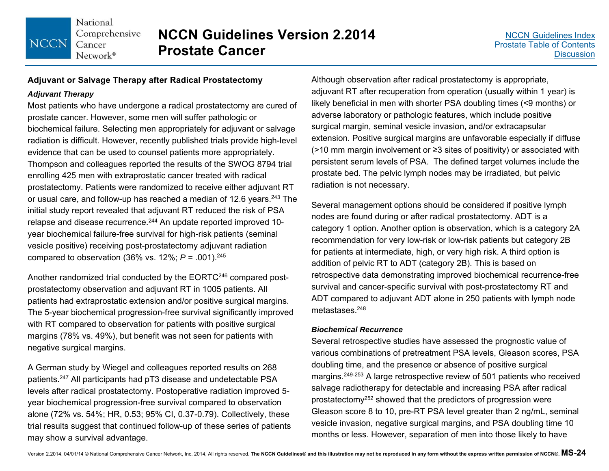## **Adjuvant or Salvage Therapy after Radical Prostatectomy**

## *Adjuvant Therapy*

**NCCN** 

Most patients who have undergone a radical prostatectomy are cured of prostate cancer. However, some men will suffer pathologic or biochemical failure. Selecting men appropriately for adjuvant or salvage radiation is difficult. However, recently published trials provide high-level evidence that can be used to counsel patients more appropriately. Thompson and colleagues reported the results of the SWOG 8794 trial enrolling 425 men with extraprostatic cancer treated with radical prostatectomy. Patients were randomized to receive either adjuvant RT or usual care, and follow-up has reached a median of 12.6 years.<sup>243</sup> The initial study report revealed that adjuvant RT reduced the risk of PSA relapse and disease recurrence.244 An update reported improved 10 year biochemical failure-free survival for high-risk patients (seminal vesicle positive) receiving post-prostatectomy adjuvant radiation compared to observation (36% vs. 12%; *P* = .001).245

Another randomized trial conducted by the EORTC246 compared postprostatectomy observation and adjuvant RT in 1005 patients. All patients had extraprostatic extension and/or positive surgical margins. The 5-year biochemical progression-free survival significantly improved with RT compared to observation for patients with positive surgical margins (78% vs. 49%), but benefit was not seen for patients with negative surgical margins.

A German study by Wiegel and colleagues reported results on 268 patients.247 All participants had pT3 disease and undetectable PSA levels after radical prostatectomy. Postoperative radiation improved 5 year biochemical progression-free survival compared to observation alone (72% vs. 54%; HR, 0.53; 95% CI, 0.37-0.79). Collectively, these trial results suggest that continued follow-up of these series of patients may show a survival advantage.

Although observation after radical prostatectomy is appropriate, adjuvant RT after recuperation from operation (usually within 1 year) is likely beneficial in men with shorter PSA doubling times (<9 months) or adverse laboratory or pathologic features, which include positive surgical margin, seminal vesicle invasion, and/or extracapsular extension. Positive surgical margins are unfavorable especially if diffuse (>10 mm margin involvement or ≥3 sites of positivity) or associated with persistent serum levels of PSA. The defined target volumes include the prostate bed. The pelvic lymph nodes may be irradiated, but pelvic radiation is not necessary.

Several management options should be considered if positive lymph nodes are found during or after radical prostatectomy. ADT is a category 1 option. Another option is observation, which is a category 2A recommendation for very low-risk or low-risk patients but category 2B for patients at intermediate, high, or very high risk. A third option is addition of pelvic RT to ADT (category 2B). This is based on retrospective data demonstrating improved biochemical recurrence-free survival and cancer-specific survival with post-prostatectomy RT and ADT compared to adjuvant ADT alone in 250 patients with lymph node metastases.<sup>248</sup>

### *Biochemical Recurrence*

Several retrospective studies have assessed the prognostic value of various combinations of pretreatment PSA levels, Gleason scores, PSA doubling time, and the presence or absence of positive surgical margins.249-253 A large retrospective review of 501 patients who received salvage radiotherapy for detectable and increasing PSA after radical prostatectomy252 showed that the predictors of progression were Gleason score 8 to 10, pre-RT PSA level greater than 2 ng/mL, seminal vesicle invasion, negative surgical margins, and PSA doubling time 10 months or less. However, separation of men into those likely to have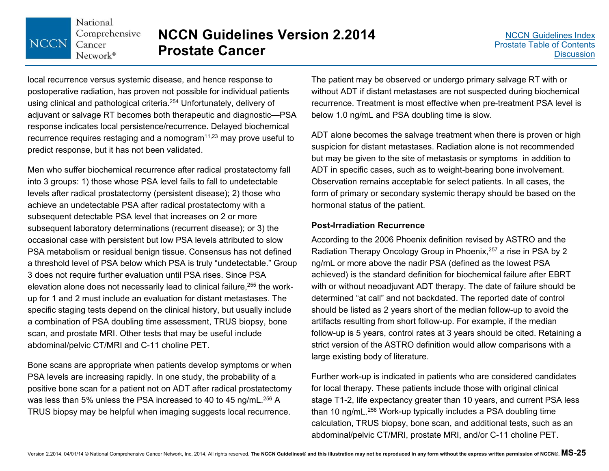**NCCN** 

local recurrence versus systemic disease, and hence response to postoperative radiation, has proven not possible for individual patients using clinical and pathological criteria.254 Unfortunately, delivery of adjuvant or salvage RT becomes both therapeutic and diagnostic—PSA response indicates local persistence/recurrence. Delayed biochemical recurrence requires restaging and a nomogram<sup>11,23</sup> may prove useful to predict response, but it has not been validated.

Men who suffer biochemical recurrence after radical prostatectomy fall into 3 groups: 1) those whose PSA level fails to fall to undetectable levels after radical prostatectomy (persistent disease); 2) those who achieve an undetectable PSA after radical prostatectomy with a subsequent detectable PSA level that increases on 2 or more subsequent laboratory determinations (recurrent disease); or 3) the occasional case with persistent but low PSA levels attributed to slow PSA metabolism or residual benign tissue. Consensus has not defined a threshold level of PSA below which PSA is truly "undetectable." Group 3 does not require further evaluation until PSA rises. Since PSA elevation alone does not necessarily lead to clinical failure,<sup>255</sup> the workup for 1 and 2 must include an evaluation for distant metastases. The specific staging tests depend on the clinical history, but usually include a combination of PSA doubling time assessment, TRUS biopsy, bone scan, and prostate MRI. Other tests that may be useful include abdominal/pelvic CT/MRI and C-11 choline PET.

Bone scans are appropriate when patients develop symptoms or when PSA levels are increasing rapidly. In one study, the probability of a positive bone scan for a patient not on ADT after radical prostatectomy was less than 5% unless the PSA increased to 40 to 45 ng/mL.<sup>256</sup> A TRUS biopsy may be helpful when imaging suggests local recurrence.

The patient may be observed or undergo primary salvage RT with or without ADT if distant metastases are not suspected during biochemical recurrence. Treatment is most effective when pre-treatment PSA level is below 1.0 ng/mL and PSA doubling time is slow.

ADT alone becomes the salvage treatment when there is proven or high suspicion for distant metastases. Radiation alone is not recommended but may be given to the site of metastasis or symptoms in addition to ADT in specific cases, such as to weight-bearing bone involvement. Observation remains acceptable for select patients. In all cases, the form of primary or secondary systemic therapy should be based on the hormonal status of the patient.

#### **Post-Irradiation Recurrence**

According to the 2006 Phoenix definition revised by ASTRO and the Radiation Therapy Oncology Group in Phoenix,257 a rise in PSA by 2 ng/mL or more above the nadir PSA (defined as the lowest PSA achieved) is the standard definition for biochemical failure after EBRT with or without neoadjuvant ADT therapy. The date of failure should be determined "at call" and not backdated. The reported date of control should be listed as 2 years short of the median follow-up to avoid the artifacts resulting from short follow-up. For example, if the median follow-up is 5 years, control rates at 3 years should be cited. Retaining a strict version of the ASTRO definition would allow comparisons with a large existing body of literature.

Further work-up is indicated in patients who are considered candidates for local therapy. These patients include those with original clinical stage T1-2, life expectancy greater than 10 years, and current PSA less than 10 ng/mL.<sup>258</sup> Work-up typically includes a PSA doubling time calculation, TRUS biopsy, bone scan, and additional tests, such as an abdominal/pelvic CT/MRI, prostate MRI, and/or C-11 choline PET.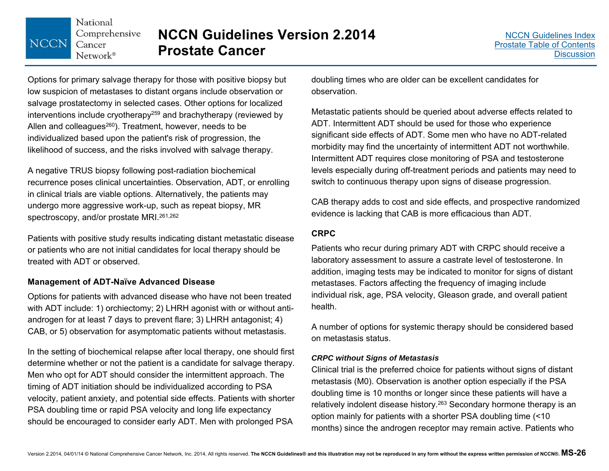Options for primary salvage therapy for those with positive biopsy but low suspicion of metastases to distant organs include observation or salvage prostatectomy in selected cases. Other options for localized interventions include cryotherapy $259$  and brachytherapy (reviewed by Allen and colleagues<sup>260</sup>). Treatment, however, needs to be individualized based upon the patient's risk of progression, the likelihood of success, and the risks involved with salvage therapy.

A negative TRUS biopsy following post-radiation biochemical recurrence poses clinical uncertainties. Observation, ADT, or enrolling in clinical trials are viable options. Alternatively, the patients may undergo more aggressive work-up, such as repeat biopsy, MR spectroscopy, and/or prostate MRI.<sup>261,262</sup>

Patients with positive study results indicating distant metastatic disease or patients who are not initial candidates for local therapy should be treated with ADT or observed.

## **Management of ADT-Naïve Advanced Disease**

Options for patients with advanced disease who have not been treated with ADT include: 1) orchiectomy; 2) LHRH agonist with or without antiandrogen for at least 7 days to prevent flare; 3) LHRH antagonist; 4) CAB, or 5) observation for asymptomatic patients without metastasis.

In the setting of biochemical relapse after local therapy, one should first determine whether or not the patient is a candidate for salvage therapy. Men who opt for ADT should consider the intermittent approach. The timing of ADT initiation should be individualized according to PSA velocity, patient anxiety, and potential side effects. Patients with shorter PSA doubling time or rapid PSA velocity and long life expectancy should be encouraged to consider early ADT. Men with prolonged PSA

doubling times who are older can be excellent candidates for observation.

Metastatic patients should be queried about adverse effects related to ADT. Intermittent ADT should be used for those who experience significant side effects of ADT. Some men who have no ADT-related morbidity may find the uncertainty of intermittent ADT not worthwhile. Intermittent ADT requires close monitoring of PSA and testosterone levels especially during off-treatment periods and patients may need to switch to continuous therapy upon signs of disease progression.

CAB therapy adds to cost and side effects, and prospective randomized evidence is lacking that CAB is more efficacious than ADT.

#### **CRPC**

Patients who recur during primary ADT with CRPC should receive a laboratory assessment to assure a castrate level of testosterone. In addition, imaging tests may be indicated to monitor for signs of distant metastases. Factors affecting the frequency of imaging include individual risk, age, PSA velocity, Gleason grade, and overall patient health.

A number of options for systemic therapy should be considered based on metastasis status.

#### *CRPC without Signs of Metastasis*

Clinical trial is the preferred choice for patients without signs of distant metastasis (M0). Observation is another option especially if the PSA doubling time is 10 months or longer since these patients will have a relatively indolent disease history.263 Secondary hormone therapy is an option mainly for patients with a shorter PSA doubling time (<10 months) since the androgen receptor may remain active. Patients who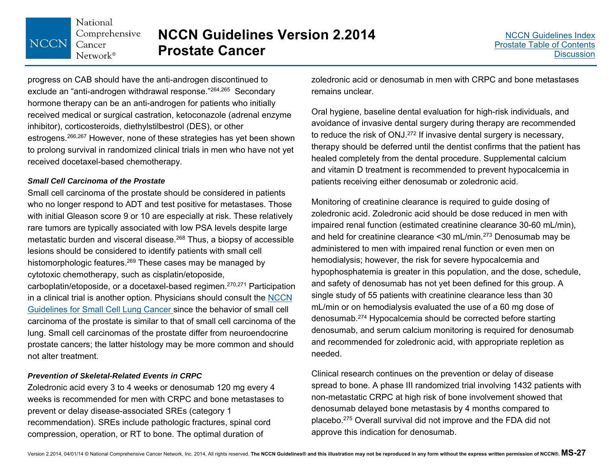progress on CAB should have the anti-androgen discontinued to exclude an "anti-androgen withdrawal response."264,265 Secondary hormone therapy can be an anti-androgen for patients who initially received medical or surgical castration, ketoconazole (adrenal enzyme inhibitor), corticosteroids, diethylstilbestrol (DES), or other estrogens.266,267 However, none of these strategies has yet been shown to prolong survival in randomized clinical trials in men who have not yet received docetaxel-based chemotherapy.

#### *Small Cell Carcinoma of the Prostate*

Small cell carcinoma of the prostate should be considered in patients who no longer respond to ADT and test positive for metastases. Those with initial Gleason score 9 or 10 are especially at risk. These relatively rare tumors are typically associated with low PSA levels despite large metastatic burden and visceral disease.268 Thus, a biopsy of accessible lesions should be considered to identify patients with small cell histomorphologic features.<sup>269</sup> These cases may be managed by cytotoxic chemotherapy, such as cisplatin/etoposide,

carboplatin/etoposide, or a docetaxel-based regimen.270,271 Participation in a clinical trial is another option. Physicians should consult the NCCN Guidelines for Small Cell Lung Cancer since the behavior of small cell carcinoma of the prostate is similar to that of small cell carcinoma of the lung. Small cell carcinomas of the prostate differ from neuroendocrine prostate cancers; the latter histology may be more common and should not alter treatment.

#### *Prevention of Skeletal-Related Events in CRPC*

Zoledronic acid every 3 to 4 weeks or denosumab 120 mg every 4 weeks is recommended for men with CRPC and bone metastases to prevent or delay disease-associated SREs (category 1 recommendation). SREs include pathologic fractures, spinal cord compression, operation, or RT to bone. The optimal duration of

zoledronic acid or denosumab in men with CRPC and bone metastases remains unclear.

Oral hygiene, baseline dental evaluation for high-risk individuals, and avoidance of invasive dental surgery during therapy are recommended to reduce the risk of ONJ.272 If invasive dental surgery is necessary, therapy should be deferred until the dentist confirms that the patient has healed completely from the dental procedure. Supplemental calcium and vitamin D treatment is recommended to prevent hypocalcemia in patients receiving either denosumab or zoledronic acid.

Monitoring of creatinine clearance is required to guide dosing of zoledronic acid. Zoledronic acid should be dose reduced in men with impaired renal function (estimated creatinine clearance 30-60 mL/min), and held for creatinine clearance <30 mL/min.273 Denosumab may be administered to men with impaired renal function or even men on hemodialysis; however, the risk for severe hypocalcemia and hypophosphatemia is greater in this population, and the dose, schedule, and safety of denosumab has not yet been defined for this group. A single study of 55 patients with creatinine clearance less than 30 mL/min or on hemodialysis evaluated the use of a 60 mg dose of denosumab.274 Hypocalcemia should be corrected before starting denosumab, and serum calcium monitoring is required for denosumab and recommended for zoledronic acid, with appropriate repletion as needed.

Clinical research continues on the prevention or delay of disease spread to bone. A phase III randomized trial involving 1432 patients with non-metastatic CRPC at high risk of bone involvement showed that denosumab delayed bone metastasis by 4 months compared to placebo.275 Overall survival did not improve and the FDA did not approve this indication for denosumab.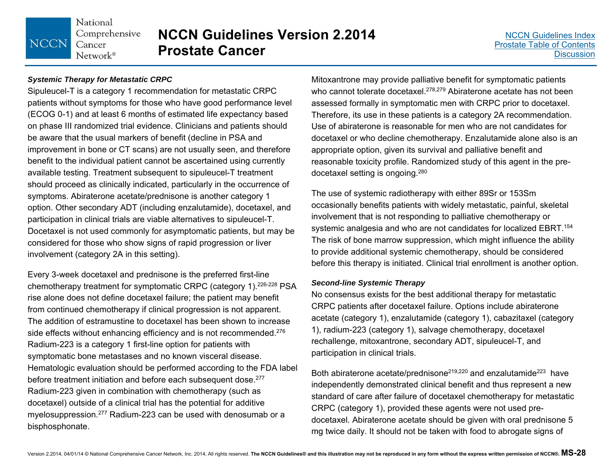# **NCCN Guidelines Version 2.2014 Prostate Cancer**

#### *Systemic Therapy for Metastatic CRPC*

**NCCN** 

Sipuleucel-T is a category 1 recommendation for metastatic CRPC patients without symptoms for those who have good performance level (ECOG 0-1) and at least 6 months of estimated life expectancy based on phase III randomized trial evidence. Clinicians and patients should be aware that the usual markers of benefit (decline in PSA and improvement in bone or CT scans) are not usually seen, and therefore benefit to the individual patient cannot be ascertained using currently available testing. Treatment subsequent to sipuleucel-T treatment should proceed as clinically indicated, particularly in the occurrence of symptoms. Abiraterone acetate/prednisone is another category 1 option. Other secondary ADT (including enzalutamide), docetaxel, and participation in clinical trials are viable alternatives to sipuleucel-T. Docetaxel is not used commonly for asymptomatic patients, but may be considered for those who show signs of rapid progression or liver involvement (category 2A in this setting).

Every 3-week docetaxel and prednisone is the preferred first-line chemotherapy treatment for symptomatic CRPC (category 1).226-228 PSA rise alone does not define docetaxel failure; the patient may benefit from continued chemotherapy if clinical progression is not apparent. The addition of estramustine to docetaxel has been shown to increase side effects without enhancing efficiency and is not recommended.<sup>276</sup> Radium-223 is a category 1 first-line option for patients with symptomatic bone metastases and no known visceral disease. Hematologic evaluation should be performed according to the FDA label before treatment initiation and before each subsequent dose.277 Radium-223 given in combination with chemotherapy (such as docetaxel) outside of a clinical trial has the potential for additive myelosuppression.277 Radium-223 can be used with denosumab or a bisphosphonate.

Mitoxantrone may provide palliative benefit for symptomatic patients who cannot tolerate docetaxel.<sup>278,279</sup> Abiraterone acetate has not been assessed formally in symptomatic men with CRPC prior to docetaxel. Therefore, its use in these patients is a category 2A recommendation. Use of abiraterone is reasonable for men who are not candidates for docetaxel or who decline chemotherapy. Enzalutamide alone also is an appropriate option, given its survival and palliative benefit and reasonable toxicity profile. Randomized study of this agent in the predocetaxel setting is ongoing.280

The use of systemic radiotherapy with either 89Sr or 153Sm occasionally benefits patients with widely metastatic, painful, skeletal involvement that is not responding to palliative chemotherapy or systemic analgesia and who are not candidates for localized EBRT.<sup>154</sup> The risk of bone marrow suppression, which might influence the ability to provide additional systemic chemotherapy, should be considered before this therapy is initiated. Clinical trial enrollment is another option.

#### *Second-line Systemic Therapy*

No consensus exists for the best additional therapy for metastatic CRPC patients after docetaxel failure. Options include abiraterone acetate (category 1), enzalutamide (category 1), cabazitaxel (category 1), radium-223 (category 1), salvage chemotherapy, docetaxel rechallenge, mitoxantrone, secondary ADT, sipuleucel-T, and participation in clinical trials.

Both abiraterone acetate/prednisone<sup>219,220</sup> and enzalutamide<sup>223</sup> have independently demonstrated clinical benefit and thus represent a new standard of care after failure of docetaxel chemotherapy for metastatic CRPC (category 1), provided these agents were not used predocetaxel. Abiraterone acetate should be given with oral prednisone 5 mg twice daily. It should not be taken with food to abrogate signs of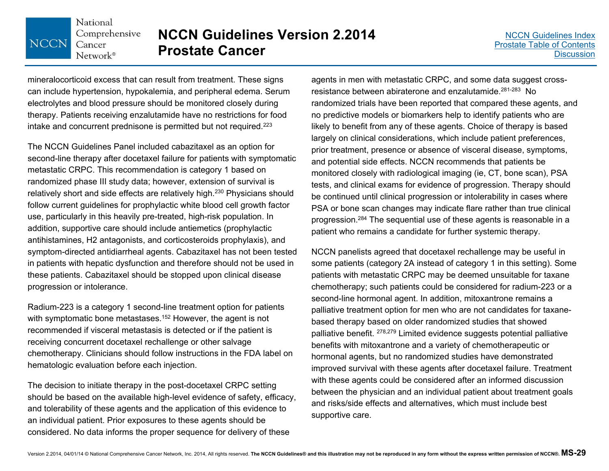mineralocorticoid excess that can result from treatment. These signs can include hypertension, hypokalemia, and peripheral edema. Serum electrolytes and blood pressure should be monitored closely during therapy. Patients receiving enzalutamide have no restrictions for food intake and concurrent prednisone is permitted but not required.<sup>223</sup>

The NCCN Guidelines Panel included cabazitaxel as an option for second-line therapy after docetaxel failure for patients with symptomatic metastatic CRPC. This recommendation is category 1 based on randomized phase III study data; however, extension of survival is relatively short and side effects are relatively high.230 Physicians should follow current guidelines for prophylactic white blood cell growth factor use, particularly in this heavily pre-treated, high-risk population. In addition, supportive care should include antiemetics (prophylactic antihistamines, H2 antagonists, and corticosteroids prophylaxis), and symptom-directed antidiarrheal agents. Cabazitaxel has not been tested in patients with hepatic dysfunction and therefore should not be used in these patients. Cabazitaxel should be stopped upon clinical disease progression or intolerance.

Radium-223 is a category 1 second-line treatment option for patients with symptomatic bone metastases.<sup>152</sup> However, the agent is not recommended if visceral metastasis is detected or if the patient is receiving concurrent docetaxel rechallenge or other salvage chemotherapy. Clinicians should follow instructions in the FDA label on hematologic evaluation before each injection.

The decision to initiate therapy in the post-docetaxel CRPC setting should be based on the available high-level evidence of safety, efficacy, and tolerability of these agents and the application of this evidence to an individual patient. Prior exposures to these agents should be considered. No data informs the proper sequence for delivery of these

agents in men with metastatic CRPC, and some data suggest crossresistance between abiraterone and enzalutamide.281-283 No randomized trials have been reported that compared these agents, and no predictive models or biomarkers help to identify patients who are likely to benefit from any of these agents. Choice of therapy is based largely on clinical considerations, which include patient preferences, prior treatment, presence or absence of visceral disease, symptoms, and potential side effects. NCCN recommends that patients be monitored closely with radiological imaging (ie, CT, bone scan), PSA tests, and clinical exams for evidence of progression. Therapy should be continued until clinical progression or intolerability in cases where PSA or bone scan changes may indicate flare rather than true clinical progression.284 The sequential use of these agents is reasonable in a patient who remains a candidate for further systemic therapy.

NCCN panelists agreed that docetaxel rechallenge may be useful in some patients (category 2A instead of category 1 in this setting). Some patients with metastatic CRPC may be deemed unsuitable for taxane chemotherapy; such patients could be considered for radium-223 or a second-line hormonal agent. In addition, mitoxantrone remains a palliative treatment option for men who are not candidates for taxanebased therapy based on older randomized studies that showed palliative benefit. 278,279 Limited evidence suggests potential palliative benefits with mitoxantrone and a variety of chemotherapeutic or hormonal agents, but no randomized studies have demonstrated improved survival with these agents after docetaxel failure. Treatment with these agents could be considered after an informed discussion between the physician and an individual patient about treatment goals and risks/side effects and alternatives, which must include best supportive care.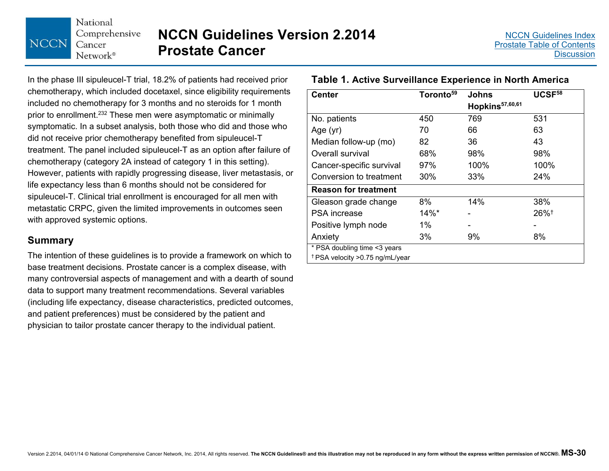

In the phase III sipuleucel-T trial, 18.2% of patients had received prior chemotherapy, which included docetaxel, since eligibility requirements included no chemotherapy for 3 months and no steroids for 1 month prior to enrollment.232 These men were asymptomatic or minimally symptomatic. In a subset analysis, both those who did and those who did not receive prior chemotherapy benefited from sipuleucel-T treatment. The panel included sipuleucel-T as an option after failure of chemotherapy (category 2A instead of category 1 in this setting). However, patients with rapidly progressing disease, liver metastasis, or life expectancy less than 6 months should not be considered for sipuleucel-T. Clinical trial enrollment is encouraged for all men with metastatic CRPC, given the limited improvements in outcomes seen with approved systemic options.

# **Summary**

**NCCN** 

National

Cancer Network<sup>®</sup>

The intention of these guidelines is to provide a framework on which to base treatment decisions. Prostate cancer is a complex disease, with many controversial aspects of management and with a dearth of sound data to support many treatment recommendations. Several variables (including life expectancy, disease characteristics, predicted outcomes, and patient preferences) must be considered by the patient and physician to tailor prostate cancer therapy to the individual patient.

## **Table 1. Active Surveillance Experience in North America**

| <b>Center</b>                                                               | Toronto <sup>59</sup> | <b>Johns</b>                | UCSF <sup>58</sup> |
|-----------------------------------------------------------------------------|-----------------------|-----------------------------|--------------------|
|                                                                             |                       | Hopkins <sup>57,60,61</sup> |                    |
| No. patients                                                                | 450                   | 769                         | 531                |
| Age $(yr)$                                                                  | 70                    | 66                          | 63                 |
| Median follow-up (mo)                                                       | 82                    | 36                          | 43                 |
| Overall survival                                                            | 68%                   | 98%                         | 98%                |
| Cancer-specific survival                                                    | 97%                   | 100%                        | 100%               |
| Conversion to treatment                                                     | 30%                   | 33%                         | 24%                |
| <b>Reason for treatment</b>                                                 |                       |                             |                    |
| Gleason grade change                                                        | 8%                    | 14%                         | 38%                |
| <b>PSA</b> increase                                                         | $14\%$ *              |                             | 26%+               |
| Positive lymph node                                                         | 1%                    |                             |                    |
| Anxiety                                                                     | 3%                    | 9%                          | 8%                 |
| * PSA doubling time <3 years<br><sup>†</sup> PSA velocity > 0.75 ng/mL/year |                       |                             |                    |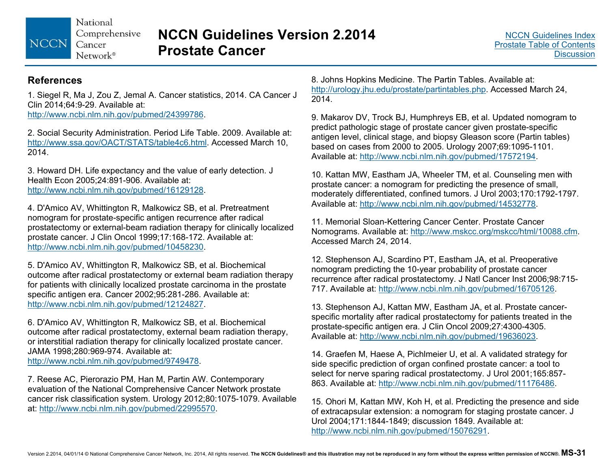National Comprehensive **NCCN** Cancer  $Network^{\circ}$ 

## **References**

1. Siegel R, Ma J, Zou Z, Jemal A. Cancer statistics, 2014. CA Cancer J Clin 2014;64:9-29. Available at:

http://www.ncbi.nlm.nih.gov/pubmed/24399786.

2. Social Security Administration. Period Life Table. 2009. Available at: http://www.ssa.gov/OACT/STATS/table4c6.html. Accessed March 10, 2014.

3. Howard DH. Life expectancy and the value of early detection. J Health Econ 2005;24:891-906. Available at: http://www.ncbi.nlm.nih.gov/pubmed/16129128.

4. D'Amico AV, Whittington R, Malkowicz SB, et al. Pretreatment nomogram for prostate-specific antigen recurrence after radical prostatectomy or external-beam radiation therapy for clinically localized prostate cancer. J Clin Oncol 1999;17:168-172. Available at: http://www.ncbi.nlm.nih.gov/pubmed/10458230.

5. D'Amico AV, Whittington R, Malkowicz SB, et al. Biochemical outcome after radical prostatectomy or external beam radiation therapy for patients with clinically localized prostate carcinoma in the prostate specific antigen era. Cancer 2002;95:281-286. Available at: http://www.ncbi.nlm.nih.gov/pubmed/12124827.

6. D'Amico AV, Whittington R, Malkowicz SB, et al. Biochemical outcome after radical prostatectomy, external beam radiation therapy, or interstitial radiation therapy for clinically localized prostate cancer. JAMA 1998;280:969-974. Available at: http://www.ncbi.nlm.nih.gov/pubmed/9749478.

7. Reese AC, Pierorazio PM, Han M, Partin AW. Contemporary evaluation of the National Comprehensive Cancer Network prostate cancer risk classification system. Urology 2012;80:1075-1079. Available at: http://www.ncbi.nlm.nih.gov/pubmed/22995570.

8. Johns Hopkins Medicine. The Partin Tables. Available at: http://urology.jhu.edu/prostate/partintables.php. Accessed March 24, 2014.

9. Makarov DV, Trock BJ, Humphreys EB, et al. Updated nomogram to predict pathologic stage of prostate cancer given prostate-specific antigen level, clinical stage, and biopsy Gleason score (Partin tables) based on cases from 2000 to 2005. Urology 2007;69:1095-1101. Available at: http://www.ncbi.nlm.nih.gov/pubmed/17572194.

10. Kattan MW, Eastham JA, Wheeler TM, et al. Counseling men with prostate cancer: a nomogram for predicting the presence of small, moderately differentiated, confined tumors. J Urol 2003;170:1792-1797. Available at: http://www.ncbi.nlm.nih.gov/pubmed/14532778.

11. Memorial Sloan-Kettering Cancer Center. Prostate Cancer Nomograms. Available at: http://www.mskcc.org/mskcc/html/10088.cfm. Accessed March 24, 2014.

12. Stephenson AJ, Scardino PT, Eastham JA, et al. Preoperative nomogram predicting the 10-year probability of prostate cancer recurrence after radical prostatectomy. J Natl Cancer Inst 2006;98:715- 717. Available at: http://www.ncbi.nlm.nih.gov/pubmed/16705126.

13. Stephenson AJ, Kattan MW, Eastham JA, et al. Prostate cancerspecific mortality after radical prostatectomy for patients treated in the prostate-specific antigen era. J Clin Oncol 2009;27:4300-4305. Available at: http://www.ncbi.nlm.nih.gov/pubmed/19636023.

14. Graefen M, Haese A, Pichlmeier U, et al. A validated strategy for side specific prediction of organ confined prostate cancer: a tool to select for nerve sparing radical prostatectomy. J Urol 2001;165:857- 863. Available at: http://www.ncbi.nlm.nih.gov/pubmed/11176486.

15. Ohori M, Kattan MW, Koh H, et al. Predicting the presence and side of extracapsular extension: a nomogram for staging prostate cancer. J Urol 2004;171:1844-1849; discussion 1849. Available at: http://www.ncbi.nlm.nih.gov/pubmed/15076291.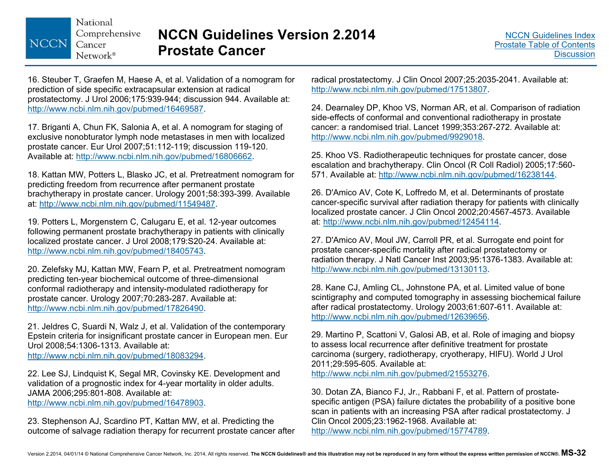National Comprehensive NCCN Cancer  $Network^*$ 

16. Steuber T, Graefen M, Haese A, et al. Validation of a nomogram for prediction of side specific extracapsular extension at radical prostatectomy. J Urol 2006;175:939-944; discussion 944. Available at: http://www.ncbi.nlm.nih.gov/pubmed/16469587.

17. Briganti A, Chun FK, Salonia A, et al. A nomogram for staging of exclusive nonobturator lymph node metastases in men with localized prostate cancer. Eur Urol 2007;51:112-119; discussion 119-120. Available at: http://www.ncbi.nlm.nih.gov/pubmed/16806662.

18. Kattan MW, Potters L, Blasko JC, et al. Pretreatment nomogram for predicting freedom from recurrence after permanent prostate brachytherapy in prostate cancer. Urology 2001;58:393-399. Available at: http://www.ncbi.nlm.nih.gov/pubmed/11549487.

19. Potters L, Morgenstern C, Calugaru E, et al. 12-year outcomes following permanent prostate brachytherapy in patients with clinically localized prostate cancer. J Urol 2008;179:S20-24. Available at: http://www.ncbi.nlm.nih.gov/pubmed/18405743.

20. Zelefsky MJ, Kattan MW, Fearn P, et al. Pretreatment nomogram predicting ten-year biochemical outcome of three-dimensional conformal radiotherapy and intensity-modulated radiotherapy for prostate cancer. Urology 2007;70:283-287. Available at: http://www.ncbi.nlm.nih.gov/pubmed/17826490.

21. Jeldres C, Suardi N, Walz J, et al. Validation of the contemporary Epstein criteria for insignificant prostate cancer in European men. Eur Urol 2008;54:1306-1313. Available at: http://www.ncbi.nlm.nih.gov/pubmed/18083294.

22. Lee SJ, Lindquist K, Segal MR, Covinsky KE. Development and validation of a prognostic index for 4-year mortality in older adults. JAMA 2006;295:801-808. Available at: http://www.ncbi.nlm.nih.gov/pubmed/16478903.

23. Stephenson AJ, Scardino PT, Kattan MW, et al. Predicting the outcome of salvage radiation therapy for recurrent prostate cancer after radical prostatectomy. J Clin Oncol 2007;25:2035-2041. Available at: http://www.ncbi.nlm.nih.gov/pubmed/17513807.

24. Dearnaley DP, Khoo VS, Norman AR, et al. Comparison of radiation side-effects of conformal and conventional radiotherapy in prostate cancer: a randomised trial. Lancet 1999;353:267-272. Available at: http://www.ncbi.nlm.nih.gov/pubmed/9929018.

25. Khoo VS. Radiotherapeutic techniques for prostate cancer, dose escalation and brachytherapy. Clin Oncol (R Coll Radiol) 2005;17:560- 571. Available at: http://www.ncbi.nlm.nih.gov/pubmed/16238144.

26. D'Amico AV, Cote K, Loffredo M, et al. Determinants of prostate cancer-specific survival after radiation therapy for patients with clinically localized prostate cancer. J Clin Oncol 2002;20:4567-4573. Available at: http://www.ncbi.nlm.nih.gov/pubmed/12454114.

27. D'Amico AV, Moul JW, Carroll PR, et al. Surrogate end point for prostate cancer-specific mortality after radical prostatectomy or radiation therapy. J Natl Cancer Inst 2003;95:1376-1383. Available at: http://www.ncbi.nlm.nih.gov/pubmed/13130113.

28. Kane CJ, Amling CL, Johnstone PA, et al. Limited value of bone scintigraphy and computed tomography in assessing biochemical failure after radical prostatectomy. Urology 2003;61:607-611. Available at: http://www.ncbi.nlm.nih.gov/pubmed/12639656.

29. Martino P, Scattoni V, Galosi AB, et al. Role of imaging and biopsy to assess local recurrence after definitive treatment for prostate carcinoma (surgery, radiotherapy, cryotherapy, HIFU). World J Urol 2011;29:595-605. Available at:

http://www.ncbi.nlm.nih.gov/pubmed/21553276.

30. Dotan ZA, Bianco FJ, Jr., Rabbani F, et al. Pattern of prostatespecific antigen (PSA) failure dictates the probability of a positive bone scan in patients with an increasing PSA after radical prostatectomy. J Clin Oncol 2005;23:1962-1968. Available at: http://www.ncbi.nlm.nih.gov/pubmed/15774789.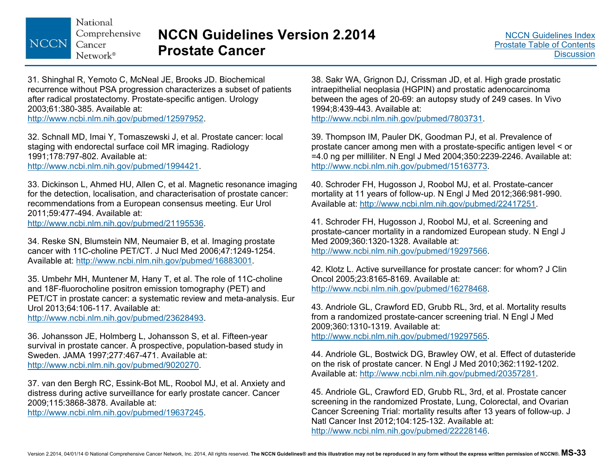31. Shinghal R, Yemoto C, McNeal JE, Brooks JD. Biochemical recurrence without PSA progression characterizes a subset of patients after radical prostatectomy. Prostate-specific antigen. Urology 2003;61:380-385. Available at: http://www.ncbi.nlm.nih.gov/pubmed/12597952.

32. Schnall MD, Imai Y, Tomaszewski J, et al. Prostate cancer: local staging with endorectal surface coil MR imaging. Radiology 1991;178:797-802. Available at:

http://www.ncbi.nlm.nih.gov/pubmed/1994421.

33. Dickinson L, Ahmed HU, Allen C, et al. Magnetic resonance imaging for the detection, localisation, and characterisation of prostate cancer: recommendations from a European consensus meeting. Eur Urol 2011;59:477-494. Available at:

http://www.ncbi.nlm.nih.gov/pubmed/21195536.

34. Reske SN, Blumstein NM, Neumaier B, et al. Imaging prostate cancer with 11C-choline PET/CT. J Nucl Med 2006;47:1249-1254. Available at: http://www.ncbi.nlm.nih.gov/pubmed/16883001.

35. Umbehr MH, Muntener M, Hany T, et al. The role of 11C-choline and 18F-fluorocholine positron emission tomography (PET) and PET/CT in prostate cancer: a systematic review and meta-analysis. Eur Urol 2013;64:106-117. Available at:

http://www.ncbi.nlm.nih.gov/pubmed/23628493.

36. Johansson JE, Holmberg L, Johansson S, et al. Fifteen-year survival in prostate cancer. A prospective, population-based study in Sweden. JAMA 1997;277:467-471. Available at: http://www.ncbi.nlm.nih.gov/pubmed/9020270.

37. van den Bergh RC, Essink-Bot ML, Roobol MJ, et al. Anxiety and distress during active surveillance for early prostate cancer. Cancer 2009;115:3868-3878. Available at:

http://www.ncbi.nlm.nih.gov/pubmed/19637245.

38. Sakr WA, Grignon DJ, Crissman JD, et al. High grade prostatic intraepithelial neoplasia (HGPIN) and prostatic adenocarcinoma between the ages of 20-69: an autopsy study of 249 cases. In Vivo 1994;8:439-443. Available at: http://www.ncbi.nlm.nih.gov/pubmed/7803731.

39. Thompson IM, Pauler DK, Goodman PJ, et al. Prevalence of prostate cancer among men with a prostate-specific antigen level < or =4.0 ng per milliliter. N Engl J Med 2004;350:2239-2246. Available at: http://www.ncbi.nlm.nih.gov/pubmed/15163773.

40. Schroder FH, Hugosson J, Roobol MJ, et al. Prostate-cancer mortality at 11 years of follow-up. N Engl J Med 2012;366:981-990. Available at: http://www.ncbi.nlm.nih.gov/pubmed/22417251.

41. Schroder FH, Hugosson J, Roobol MJ, et al. Screening and prostate-cancer mortality in a randomized European study. N Engl J Med 2009;360:1320-1328. Available at: http://www.ncbi.nlm.nih.gov/pubmed/19297566.

42. Klotz L. Active surveillance for prostate cancer: for whom? J Clin Oncol 2005;23:8165-8169. Available at: http://www.ncbi.nlm.nih.gov/pubmed/16278468.

43. Andriole GL, Crawford ED, Grubb RL, 3rd, et al. Mortality results from a randomized prostate-cancer screening trial. N Engl J Med 2009;360:1310-1319. Available at:

http://www.ncbi.nlm.nih.gov/pubmed/19297565.

44. Andriole GL, Bostwick DG, Brawley OW, et al. Effect of dutasteride on the risk of prostate cancer. N Engl J Med 2010;362:1192-1202. Available at: http://www.ncbi.nlm.nih.gov/pubmed/20357281.

45. Andriole GL, Crawford ED, Grubb RL, 3rd, et al. Prostate cancer screening in the randomized Prostate, Lung, Colorectal, and Ovarian Cancer Screening Trial: mortality results after 13 years of follow-up. J Natl Cancer Inst 2012;104:125-132. Available at: http://www.ncbi.nlm.nih.gov/pubmed/22228146.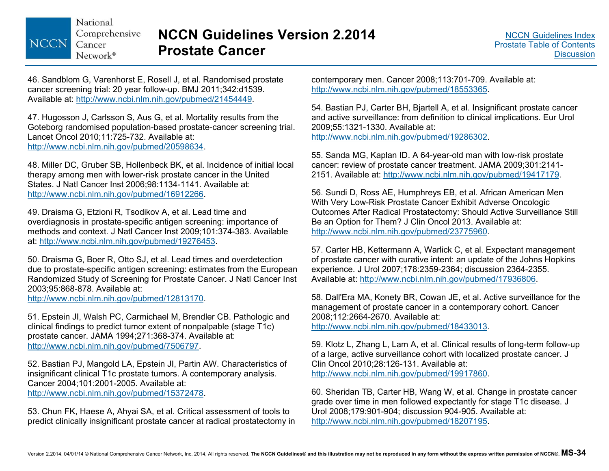46. Sandblom G, Varenhorst E, Rosell J, et al. Randomised prostate cancer screening trial: 20 year follow-up. BMJ 2011;342:d1539. Available at: http://www.ncbi.nlm.nih.gov/pubmed/21454449.

47. Hugosson J, Carlsson S, Aus G, et al. Mortality results from the Goteborg randomised population-based prostate-cancer screening trial. Lancet Oncol 2010;11:725-732. Available at: http://www.ncbi.nlm.nih.gov/pubmed/20598634.

48. Miller DC, Gruber SB, Hollenbeck BK, et al. Incidence of initial local therapy among men with lower-risk prostate cancer in the United States. J Natl Cancer Inst 2006;98:1134-1141. Available at: http://www.ncbi.nlm.nih.gov/pubmed/16912266.

49. Draisma G, Etzioni R, Tsodikov A, et al. Lead time and overdiagnosis in prostate-specific antigen screening: importance of methods and context. J Natl Cancer Inst 2009;101:374-383. Available at: http://www.ncbi.nlm.nih.gov/pubmed/19276453.

50. Draisma G, Boer R, Otto SJ, et al. Lead times and overdetection due to prostate-specific antigen screening: estimates from the European Randomized Study of Screening for Prostate Cancer. J Natl Cancer Inst 2003;95:868-878. Available at:

http://www.ncbi.nlm.nih.gov/pubmed/12813170.

51. Epstein JI, Walsh PC, Carmichael M, Brendler CB. Pathologic and clinical findings to predict tumor extent of nonpalpable (stage T1c) prostate cancer. JAMA 1994;271:368-374. Available at: http://www.ncbi.nlm.nih.gov/pubmed/7506797.

52. Bastian PJ, Mangold LA, Epstein JI, Partin AW. Characteristics of insignificant clinical T1c prostate tumors. A contemporary analysis. Cancer 2004;101:2001-2005. Available at: http://www.ncbi.nlm.nih.gov/pubmed/15372478.

53. Chun FK, Haese A, Ahyai SA, et al. Critical assessment of tools to predict clinically insignificant prostate cancer at radical prostatectomy in contemporary men. Cancer 2008;113:701-709. Available at: http://www.ncbi.nlm.nih.gov/pubmed/18553365.

54. Bastian PJ, Carter BH, Bjartell A, et al. Insignificant prostate cancer and active surveillance: from definition to clinical implications. Eur Urol 2009;55:1321-1330. Available at: http://www.ncbi.nlm.nih.gov/pubmed/19286302.

55. Sanda MG, Kaplan ID. A 64-year-old man with low-risk prostate cancer: review of prostate cancer treatment. JAMA 2009;301:2141- 2151. Available at: http://www.ncbi.nlm.nih.gov/pubmed/19417179.

56. Sundi D, Ross AE, Humphreys EB, et al. African American Men With Very Low-Risk Prostate Cancer Exhibit Adverse Oncologic Outcomes After Radical Prostatectomy: Should Active Surveillance Still Be an Option for Them? J Clin Oncol 2013. Available at: http://www.ncbi.nlm.nih.gov/pubmed/23775960.

57. Carter HB, Kettermann A, Warlick C, et al. Expectant management of prostate cancer with curative intent: an update of the Johns Hopkins experience. J Urol 2007;178:2359-2364; discussion 2364-2355. Available at: http://www.ncbi.nlm.nih.gov/pubmed/17936806.

58. Dall'Era MA, Konety BR, Cowan JE, et al. Active surveillance for the management of prostate cancer in a contemporary cohort. Cancer 2008;112:2664-2670. Available at:

http://www.ncbi.nlm.nih.gov/pubmed/18433013.

59. Klotz L, Zhang L, Lam A, et al. Clinical results of long-term follow-up of a large, active surveillance cohort with localized prostate cancer. J Clin Oncol 2010;28:126-131. Available at: http://www.ncbi.nlm.nih.gov/pubmed/19917860.

60. Sheridan TB, Carter HB, Wang W, et al. Change in prostate cancer grade over time in men followed expectantly for stage T1c disease. J Urol 2008;179:901-904; discussion 904-905. Available at: http://www.ncbi.nlm.nih.gov/pubmed/18207195.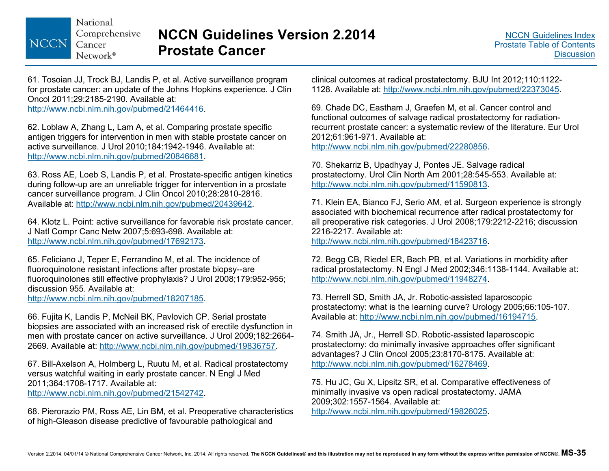61. Tosoian JJ, Trock BJ, Landis P, et al. Active surveillance program for prostate cancer: an update of the Johns Hopkins experience. J Clin Oncol 2011;29:2185-2190. Available at:

http://www.ncbi.nlm.nih.gov/pubmed/21464416.

62. Loblaw A, Zhang L, Lam A, et al. Comparing prostate specific antigen triggers for intervention in men with stable prostate cancer on active surveillance. J Urol 2010;184:1942-1946. Available at: http://www.ncbi.nlm.nih.gov/pubmed/20846681.

63. Ross AE, Loeb S, Landis P, et al. Prostate-specific antigen kinetics during follow-up are an unreliable trigger for intervention in a prostate cancer surveillance program. J Clin Oncol 2010;28:2810-2816. Available at: http://www.ncbi.nlm.nih.gov/pubmed/20439642.

64. Klotz L. Point: active surveillance for favorable risk prostate cancer. J Natl Compr Canc Netw 2007;5:693-698. Available at: http://www.ncbi.nlm.nih.gov/pubmed/17692173.

65. Feliciano J, Teper E, Ferrandino M, et al. The incidence of fluoroquinolone resistant infections after prostate biopsy--are fluoroquinolones still effective prophylaxis? J Urol 2008;179:952-955; discussion 955. Available at:

http://www.ncbi.nlm.nih.gov/pubmed/18207185.

66. Fujita K, Landis P, McNeil BK, Pavlovich CP. Serial prostate biopsies are associated with an increased risk of erectile dysfunction in men with prostate cancer on active surveillance. J Urol 2009;182:2664- 2669. Available at: http://www.ncbi.nlm.nih.gov/pubmed/19836757.

67. Bill-Axelson A, Holmberg L, Ruutu M, et al. Radical prostatectomy versus watchful waiting in early prostate cancer. N Engl J Med 2011;364:1708-1717. Available at: http://www.ncbi.nlm.nih.gov/pubmed/21542742.

68. Pierorazio PM, Ross AE, Lin BM, et al. Preoperative characteristics of high-Gleason disease predictive of favourable pathological and

clinical outcomes at radical prostatectomy. BJU Int 2012;110:1122- 1128. Available at: http://www.ncbi.nlm.nih.gov/pubmed/22373045.

69. Chade DC, Eastham J, Graefen M, et al. Cancer control and functional outcomes of salvage radical prostatectomy for radiationrecurrent prostate cancer: a systematic review of the literature. Eur Urol 2012;61:961-971. Available at:

http://www.ncbi.nlm.nih.gov/pubmed/22280856.

70. Shekarriz B, Upadhyay J, Pontes JE. Salvage radical prostatectomy. Urol Clin North Am 2001;28:545-553. Available at: http://www.ncbi.nlm.nih.gov/pubmed/11590813.

71. Klein EA, Bianco FJ, Serio AM, et al. Surgeon experience is strongly associated with biochemical recurrence after radical prostatectomy for all preoperative risk categories. J Urol 2008;179:2212-2216; discussion 2216-2217. Available at:

http://www.ncbi.nlm.nih.gov/pubmed/18423716.

72. Begg CB, Riedel ER, Bach PB, et al. Variations in morbidity after radical prostatectomy. N Engl J Med 2002;346:1138-1144. Available at: http://www.ncbi.nlm.nih.gov/pubmed/11948274.

73. Herrell SD, Smith JA, Jr. Robotic-assisted laparoscopic prostatectomy: what is the learning curve? Urology 2005;66:105-107. Available at: http://www.ncbi.nlm.nih.gov/pubmed/16194715.

74. Smith JA, Jr., Herrell SD. Robotic-assisted laparoscopic prostatectomy: do minimally invasive approaches offer significant advantages? J Clin Oncol 2005;23:8170-8175. Available at: http://www.ncbi.nlm.nih.gov/pubmed/16278469.

75. Hu JC, Gu X, Lipsitz SR, et al. Comparative effectiveness of minimally invasive vs open radical prostatectomy. JAMA 2009;302:1557-1564. Available at: http://www.ncbi.nlm.nih.gov/pubmed/19826025.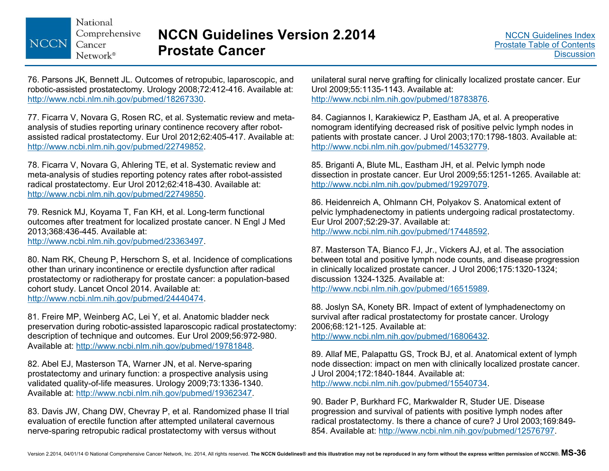76. Parsons JK, Bennett JL. Outcomes of retropubic, laparoscopic, and robotic-assisted prostatectomy. Urology 2008;72:412-416. Available at: http://www.ncbi.nlm.nih.gov/pubmed/18267330.

77. Ficarra V, Novara G, Rosen RC, et al. Systematic review and metaanalysis of studies reporting urinary continence recovery after robotassisted radical prostatectomy. Eur Urol 2012;62:405-417. Available at: http://www.ncbi.nlm.nih.gov/pubmed/22749852.

78. Ficarra V, Novara G, Ahlering TE, et al. Systematic review and meta-analysis of studies reporting potency rates after robot-assisted radical prostatectomy. Eur Urol 2012;62:418-430. Available at: http://www.ncbi.nlm.nih.gov/pubmed/22749850.

79. Resnick MJ, Koyama T, Fan KH, et al. Long-term functional outcomes after treatment for localized prostate cancer. N Engl J Med 2013;368:436-445. Available at:

http://www.ncbi.nlm.nih.gov/pubmed/23363497.

80. Nam RK, Cheung P, Herschorn S, et al. Incidence of complications other than urinary incontinence or erectile dysfunction after radical prostatectomy or radiotherapy for prostate cancer: a population-based cohort study. Lancet Oncol 2014. Available at: http://www.ncbi.nlm.nih.gov/pubmed/24440474.

81. Freire MP, Weinberg AC, Lei Y, et al. Anatomic bladder neck preservation during robotic-assisted laparoscopic radical prostatectomy: description of technique and outcomes. Eur Urol 2009;56:972-980. Available at: http://www.ncbi.nlm.nih.gov/pubmed/19781848.

82. Abel EJ, Masterson TA, Warner JN, et al. Nerve-sparing prostatectomy and urinary function: a prospective analysis using validated quality-of-life measures. Urology 2009;73:1336-1340. Available at: http://www.ncbi.nlm.nih.gov/pubmed/19362347.

83. Davis JW, Chang DW, Chevray P, et al. Randomized phase II trial evaluation of erectile function after attempted unilateral cavernous nerve-sparing retropubic radical prostatectomy with versus without

unilateral sural nerve grafting for clinically localized prostate cancer. Eur Urol 2009;55:1135-1143. Available at: http://www.ncbi.nlm.nih.gov/pubmed/18783876.

84. Cagiannos I, Karakiewicz P, Eastham JA, et al. A preoperative nomogram identifying decreased risk of positive pelvic lymph nodes in patients with prostate cancer. J Urol 2003;170:1798-1803. Available at: http://www.ncbi.nlm.nih.gov/pubmed/14532779.

85. Briganti A, Blute ML, Eastham JH, et al. Pelvic lymph node dissection in prostate cancer. Eur Urol 2009;55:1251-1265. Available at: http://www.ncbi.nlm.nih.gov/pubmed/19297079.

86. Heidenreich A, Ohlmann CH, Polyakov S. Anatomical extent of pelvic lymphadenectomy in patients undergoing radical prostatectomy. Eur Urol 2007;52:29-37. Available at: http://www.ncbi.nlm.nih.gov/pubmed/17448592.

87. Masterson TA, Bianco FJ, Jr., Vickers AJ, et al. The association between total and positive lymph node counts, and disease progression in clinically localized prostate cancer. J Urol 2006;175:1320-1324; discussion 1324-1325. Available at: http://www.ncbi.nlm.nih.gov/pubmed/16515989.

88. Joslyn SA, Konety BR. Impact of extent of lymphadenectomy on survival after radical prostatectomy for prostate cancer. Urology 2006;68:121-125. Available at: http://www.ncbi.nlm.nih.gov/pubmed/16806432.

89. Allaf ME, Palapattu GS, Trock BJ, et al. Anatomical extent of lymph node dissection: impact on men with clinically localized prostate cancer. J Urol 2004;172:1840-1844. Available at: http://www.ncbi.nlm.nih.gov/pubmed/15540734.

90. Bader P, Burkhard FC, Markwalder R, Studer UE. Disease progression and survival of patients with positive lymph nodes after radical prostatectomy. Is there a chance of cure? J Urol 2003;169:849- 854. Available at: http://www.ncbi.nlm.nih.gov/pubmed/12576797.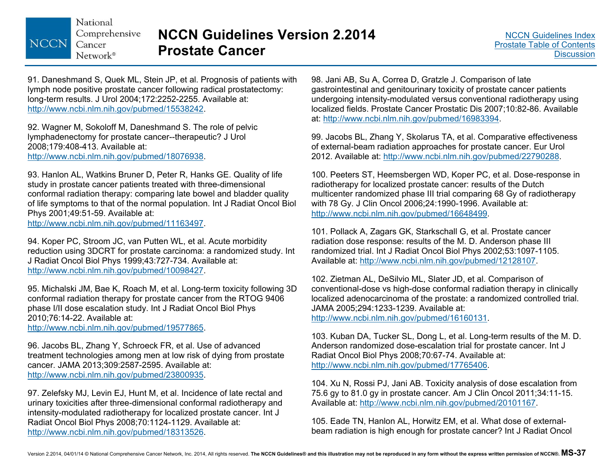91. Daneshmand S, Quek ML, Stein JP, et al. Prognosis of patients with lymph node positive prostate cancer following radical prostatectomy: long-term results. J Urol 2004;172:2252-2255. Available at: http://www.ncbi.nlm.nih.gov/pubmed/15538242.

92. Wagner M, Sokoloff M, Daneshmand S. The role of pelvic lymphadenectomy for prostate cancer--therapeutic? J Urol 2008;179:408-413. Available at: http://www.ncbi.nlm.nih.gov/pubmed/18076938.

93. Hanlon AL, Watkins Bruner D, Peter R, Hanks GE. Quality of life study in prostate cancer patients treated with three-dimensional conformal radiation therapy: comparing late bowel and bladder quality of life symptoms to that of the normal population. Int J Radiat Oncol Biol Phys 2001;49:51-59. Available at: http://www.ncbi.nlm.nih.gov/pubmed/11163497.

94. Koper PC, Stroom JC, van Putten WL, et al. Acute morbidity reduction using 3DCRT for prostate carcinoma: a randomized study. Int J Radiat Oncol Biol Phys 1999;43:727-734. Available at: http://www.ncbi.nlm.nih.gov/pubmed/10098427.

95. Michalski JM, Bae K, Roach M, et al. Long-term toxicity following 3D conformal radiation therapy for prostate cancer from the RTOG 9406 phase I/II dose escalation study. Int J Radiat Oncol Biol Phys 2010;76:14-22. Available at:

http://www.ncbi.nlm.nih.gov/pubmed/19577865.

96. Jacobs BL, Zhang Y, Schroeck FR, et al. Use of advanced treatment technologies among men at low risk of dying from prostate cancer. JAMA 2013;309:2587-2595. Available at: http://www.ncbi.nlm.nih.gov/pubmed/23800935.

97. Zelefsky MJ, Levin EJ, Hunt M, et al. Incidence of late rectal and urinary toxicities after three-dimensional conformal radiotherapy and intensity-modulated radiotherapy for localized prostate cancer. Int J Radiat Oncol Biol Phys 2008;70:1124-1129. Available at: http://www.ncbi.nlm.nih.gov/pubmed/18313526.

98. Jani AB, Su A, Correa D, Gratzle J. Comparison of late gastrointestinal and genitourinary toxicity of prostate cancer patients undergoing intensity-modulated versus conventional radiotherapy using localized fields. Prostate Cancer Prostatic Dis 2007;10:82-86. Available at: http://www.ncbi.nlm.nih.gov/pubmed/16983394.

99. Jacobs BL, Zhang Y, Skolarus TA, et al. Comparative effectiveness of external-beam radiation approaches for prostate cancer. Eur Urol 2012. Available at: http://www.ncbi.nlm.nih.gov/pubmed/22790288.

100. Peeters ST, Heemsbergen WD, Koper PC, et al. Dose-response in radiotherapy for localized prostate cancer: results of the Dutch multicenter randomized phase III trial comparing 68 Gy of radiotherapy with 78 Gy. J Clin Oncol 2006;24:1990-1996. Available at: http://www.ncbi.nlm.nih.gov/pubmed/16648499.

101. Pollack A, Zagars GK, Starkschall G, et al. Prostate cancer radiation dose response: results of the M. D. Anderson phase III randomized trial. Int J Radiat Oncol Biol Phys 2002;53:1097-1105. Available at: http://www.ncbi.nlm.nih.gov/pubmed/12128107.

102. Zietman AL, DeSilvio ML, Slater JD, et al. Comparison of conventional-dose vs high-dose conformal radiation therapy in clinically localized adenocarcinoma of the prostate: a randomized controlled trial. JAMA 2005;294:1233-1239. Available at: http://www.ncbi.nlm.nih.gov/pubmed/16160131.

103. Kuban DA, Tucker SL, Dong L, et al. Long-term results of the M. D. Anderson randomized dose-escalation trial for prostate cancer. Int J Radiat Oncol Biol Phys 2008;70:67-74. Available at: http://www.ncbi.nlm.nih.gov/pubmed/17765406.

104. Xu N, Rossi PJ, Jani AB. Toxicity analysis of dose escalation from 75.6 gy to 81.0 gy in prostate cancer. Am J Clin Oncol 2011;34:11-15. Available at: http://www.ncbi.nlm.nih.gov/pubmed/20101167.

105. Eade TN, Hanlon AL, Horwitz EM, et al. What dose of externalbeam radiation is high enough for prostate cancer? Int J Radiat Oncol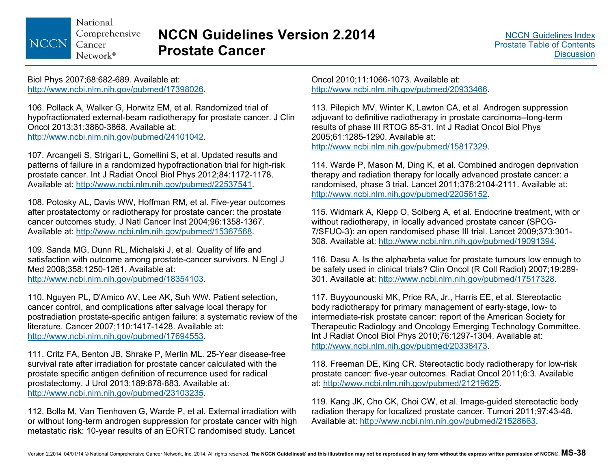National Comprehensive NCCN Cancer  $Network^*$ 

**NCCN Guidelines Version 2.2014 Prostate Cancer**

Biol Phys 2007;68:682-689. Available at: http://www.ncbi.nlm.nih.gov/pubmed/17398026.

106. Pollack A, Walker G, Horwitz EM, et al. Randomized trial of hypofractionated external-beam radiotherapy for prostate cancer. J Clin Oncol 2013;31:3860-3868. Available at: http://www.ncbi.nlm.nih.gov/pubmed/24101042.

107. Arcangeli S, Strigari L, Gomellini S, et al. Updated results and patterns of failure in a randomized hypofractionation trial for high-risk prostate cancer. Int J Radiat Oncol Biol Phys 2012;84:1172-1178. Available at: http://www.ncbi.nlm.nih.gov/pubmed/22537541.

108. Potosky AL, Davis WW, Hoffman RM, et al. Five-year outcomes after prostatectomy or radiotherapy for prostate cancer: the prostate cancer outcomes study. J Natl Cancer Inst 2004;96:1358-1367. Available at: http://www.ncbi.nlm.nih.gov/pubmed/15367568.

109. Sanda MG, Dunn RL, Michalski J, et al. Quality of life and satisfaction with outcome among prostate-cancer survivors. N Engl J Med 2008;358:1250-1261. Available at: http://www.ncbi.nlm.nih.gov/pubmed/18354103.

110. Nguyen PL, D'Amico AV, Lee AK, Suh WW. Patient selection, cancer control, and complications after salvage local therapy for postradiation prostate-specific antigen failure: a systematic review of the literature. Cancer 2007;110:1417-1428. Available at: http://www.ncbi.nlm.nih.gov/pubmed/17694553.

111. Critz FA, Benton JB, Shrake P, Merlin ML. 25-Year disease-free survival rate after irradiation for prostate cancer calculated with the prostate specific antigen definition of recurrence used for radical prostatectomy. J Urol 2013;189:878-883. Available at: http://www.ncbi.nlm.nih.gov/pubmed/23103235.

112. Bolla M, Van Tienhoven G, Warde P, et al. External irradiation with or without long-term androgen suppression for prostate cancer with high metastatic risk: 10-year results of an EORTC randomised study. Lancet

Oncol 2010;11:1066-1073. Available at: http://www.ncbi.nlm.nih.gov/pubmed/20933466.

113. Pilepich MV, Winter K, Lawton CA, et al. Androgen suppression adjuvant to definitive radiotherapy in prostate carcinoma--long-term results of phase III RTOG 85-31. Int J Radiat Oncol Biol Phys 2005;61:1285-1290. Available at: http://www.ncbi.nlm.nih.gov/pubmed/15817329.

114. Warde P, Mason M, Ding K, et al. Combined androgen deprivation therapy and radiation therapy for locally advanced prostate cancer: a randomised, phase 3 trial. Lancet 2011;378:2104-2111. Available at: http://www.ncbi.nlm.nih.gov/pubmed/22056152.

115. Widmark A, Klepp O, Solberg A, et al. Endocrine treatment, with or without radiotherapy, in locally advanced prostate cancer (SPCG-7/SFUO-3): an open randomised phase III trial. Lancet 2009;373:301- 308. Available at: http://www.ncbi.nlm.nih.gov/pubmed/19091394.

116. Dasu A. Is the alpha/beta value for prostate tumours low enough to be safely used in clinical trials? Clin Oncol (R Coll Radiol) 2007;19:289- 301. Available at: http://www.ncbi.nlm.nih.gov/pubmed/17517328.

117. Buyyounouski MK, Price RA, Jr., Harris EE, et al. Stereotactic body radiotherapy for primary management of early-stage, low- to intermediate-risk prostate cancer: report of the American Society for Therapeutic Radiology and Oncology Emerging Technology Committee. Int J Radiat Oncol Biol Phys 2010;76:1297-1304. Available at: http://www.ncbi.nlm.nih.gov/pubmed/20338473.

118. Freeman DE, King CR. Stereotactic body radiotherapy for low-risk prostate cancer: five-year outcomes. Radiat Oncol 2011;6:3. Available at: http://www.ncbi.nlm.nih.gov/pubmed/21219625.

119. Kang JK, Cho CK, Choi CW, et al. Image-guided stereotactic body radiation therapy for localized prostate cancer. Tumori 2011;97:43-48. Available at: http://www.ncbi.nlm.nih.gov/pubmed/21528663.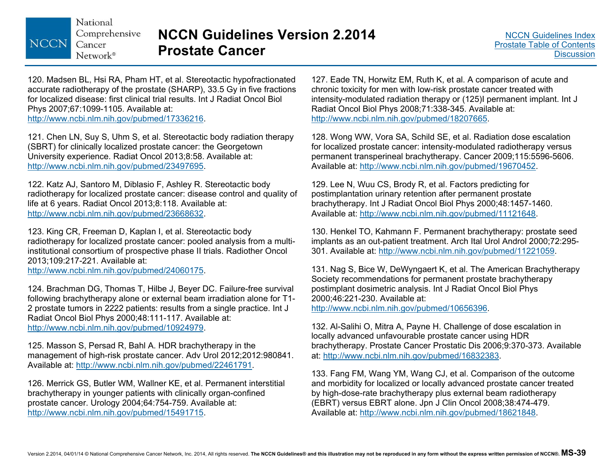120. Madsen BL, Hsi RA, Pham HT, et al. Stereotactic hypofractionated accurate radiotherapy of the prostate (SHARP), 33.5 Gy in five fractions for localized disease: first clinical trial results. Int J Radiat Oncol Biol Phys 2007;67:1099-1105. Available at: http://www.ncbi.nlm.nih.gov/pubmed/17336216.

121. Chen LN, Suy S, Uhm S, et al. Stereotactic body radiation therapy (SBRT) for clinically localized prostate cancer: the Georgetown University experience. Radiat Oncol 2013;8:58. Available at: http://www.ncbi.nlm.nih.gov/pubmed/23497695.

122. Katz AJ, Santoro M, Diblasio F, Ashley R. Stereotactic body radiotherapy for localized prostate cancer: disease control and quality of life at 6 years. Radiat Oncol 2013;8:118. Available at: http://www.ncbi.nlm.nih.gov/pubmed/23668632.

123. King CR, Freeman D, Kaplan I, et al. Stereotactic body radiotherapy for localized prostate cancer: pooled analysis from a multiinstitutional consortium of prospective phase II trials. Radiother Oncol 2013;109:217-221. Available at:

http://www.ncbi.nlm.nih.gov/pubmed/24060175.

124. Brachman DG, Thomas T, Hilbe J, Beyer DC. Failure-free survival following brachytherapy alone or external beam irradiation alone for T1- 2 prostate tumors in 2222 patients: results from a single practice. Int J Radiat Oncol Biol Phys 2000;48:111-117. Available at: http://www.ncbi.nlm.nih.gov/pubmed/10924979.

125. Masson S, Persad R, Bahl A. HDR brachytherapy in the management of high-risk prostate cancer. Adv Urol 2012;2012:980841. Available at: http://www.ncbi.nlm.nih.gov/pubmed/22461791.

126. Merrick GS, Butler WM, Wallner KE, et al. Permanent interstitial brachytherapy in younger patients with clinically organ-confined prostate cancer. Urology 2004;64:754-759. Available at: http://www.ncbi.nlm.nih.gov/pubmed/15491715.

127. Eade TN, Horwitz EM, Ruth K, et al. A comparison of acute and chronic toxicity for men with low-risk prostate cancer treated with intensity-modulated radiation therapy or (125)I permanent implant. Int J Radiat Oncol Biol Phys 2008;71:338-345. Available at: http://www.ncbi.nlm.nih.gov/pubmed/18207665.

128. Wong WW, Vora SA, Schild SE, et al. Radiation dose escalation for localized prostate cancer: intensity-modulated radiotherapy versus permanent transperineal brachytherapy. Cancer 2009;115:5596-5606. Available at: http://www.ncbi.nlm.nih.gov/pubmed/19670452.

129. Lee N, Wuu CS, Brody R, et al. Factors predicting for postimplantation urinary retention after permanent prostate brachytherapy. Int J Radiat Oncol Biol Phys 2000;48:1457-1460. Available at: http://www.ncbi.nlm.nih.gov/pubmed/11121648.

130. Henkel TO, Kahmann F. Permanent brachytherapy: prostate seed implants as an out-patient treatment. Arch Ital Urol Androl 2000;72:295- 301. Available at: http://www.ncbi.nlm.nih.gov/pubmed/11221059.

131. Nag S, Bice W, DeWyngaert K, et al. The American Brachytherapy Society recommendations for permanent prostate brachytherapy postimplant dosimetric analysis. Int J Radiat Oncol Biol Phys 2000;46:221-230. Available at: http://www.ncbi.nlm.nih.gov/pubmed/10656396.

132. Al-Salihi O, Mitra A, Payne H. Challenge of dose escalation in locally advanced unfavourable prostate cancer using HDR brachytherapy. Prostate Cancer Prostatic Dis 2006;9:370-373. Available at: http://www.ncbi.nlm.nih.gov/pubmed/16832383.

133. Fang FM, Wang YM, Wang CJ, et al. Comparison of the outcome and morbidity for localized or locally advanced prostate cancer treated by high-dose-rate brachytherapy plus external beam radiotherapy (EBRT) versus EBRT alone. Jpn J Clin Oncol 2008;38:474-479. Available at: http://www.ncbi.nlm.nih.gov/pubmed/18621848.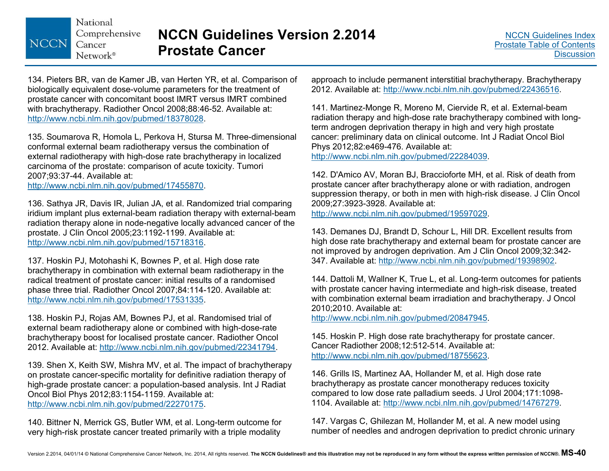134. Pieters BR, van de Kamer JB, van Herten YR, et al. Comparison of biologically equivalent dose-volume parameters for the treatment of prostate cancer with concomitant boost IMRT versus IMRT combined with brachytherapy. Radiother Oncol 2008;88:46-52. Available at: http://www.ncbi.nlm.nih.gov/pubmed/18378028.

135. Soumarova R, Homola L, Perkova H, Stursa M. Three-dimensional conformal external beam radiotherapy versus the combination of external radiotherapy with high-dose rate brachytherapy in localized carcinoma of the prostate: comparison of acute toxicity. Tumori 2007;93:37-44. Available at:

http://www.ncbi.nlm.nih.gov/pubmed/17455870.

136. Sathya JR, Davis IR, Julian JA, et al. Randomized trial comparing iridium implant plus external-beam radiation therapy with external-beam radiation therapy alone in node-negative locally advanced cancer of the prostate. J Clin Oncol 2005;23:1192-1199. Available at: http://www.ncbi.nlm.nih.gov/pubmed/15718316.

137. Hoskin PJ, Motohashi K, Bownes P, et al. High dose rate brachytherapy in combination with external beam radiotherapy in the radical treatment of prostate cancer: initial results of a randomised phase three trial. Radiother Oncol 2007;84:114-120. Available at: http://www.ncbi.nlm.nih.gov/pubmed/17531335.

138. Hoskin PJ, Rojas AM, Bownes PJ, et al. Randomised trial of external beam radiotherapy alone or combined with high-dose-rate brachytherapy boost for localised prostate cancer. Radiother Oncol 2012. Available at: http://www.ncbi.nlm.nih.gov/pubmed/22341794.

139. Shen X, Keith SW, Mishra MV, et al. The impact of brachytherapy on prostate cancer-specific mortality for definitive radiation therapy of high-grade prostate cancer: a population-based analysis. Int J Radiat Oncol Biol Phys 2012;83:1154-1159. Available at: http://www.ncbi.nlm.nih.gov/pubmed/22270175.

140. Bittner N, Merrick GS, Butler WM, et al. Long-term outcome for very high-risk prostate cancer treated primarily with a triple modality

approach to include permanent interstitial brachytherapy. Brachytherapy 2012. Available at: http://www.ncbi.nlm.nih.gov/pubmed/22436516.

141. Martinez-Monge R, Moreno M, Ciervide R, et al. External-beam radiation therapy and high-dose rate brachytherapy combined with longterm androgen deprivation therapy in high and very high prostate cancer: preliminary data on clinical outcome. Int J Radiat Oncol Biol Phys 2012;82:e469-476. Available at:

http://www.ncbi.nlm.nih.gov/pubmed/22284039.

142. D'Amico AV, Moran BJ, Braccioforte MH, et al. Risk of death from prostate cancer after brachytherapy alone or with radiation, androgen suppression therapy, or both in men with high-risk disease. J Clin Oncol 2009;27:3923-3928. Available at:

http://www.ncbi.nlm.nih.gov/pubmed/19597029.

143. Demanes DJ, Brandt D, Schour L, Hill DR. Excellent results from high dose rate brachytherapy and external beam for prostate cancer are not improved by androgen deprivation. Am J Clin Oncol 2009;32:342- 347. Available at: http://www.ncbi.nlm.nih.gov/pubmed/19398902.

144. Dattoli M, Wallner K, True L, et al. Long-term outcomes for patients with prostate cancer having intermediate and high-risk disease, treated with combination external beam irradiation and brachytherapy. J Oncol 2010;2010. Available at:

http://www.ncbi.nlm.nih.gov/pubmed/20847945.

145. Hoskin P. High dose rate brachytherapy for prostate cancer. Cancer Radiother 2008;12:512-514. Available at: http://www.ncbi.nlm.nih.gov/pubmed/18755623.

146. Grills IS, Martinez AA, Hollander M, et al. High dose rate brachytherapy as prostate cancer monotherapy reduces toxicity compared to low dose rate palladium seeds. J Urol 2004;171:1098- 1104. Available at: http://www.ncbi.nlm.nih.gov/pubmed/14767279.

147. Vargas C, Ghilezan M, Hollander M, et al. A new model using number of needles and androgen deprivation to predict chronic urinary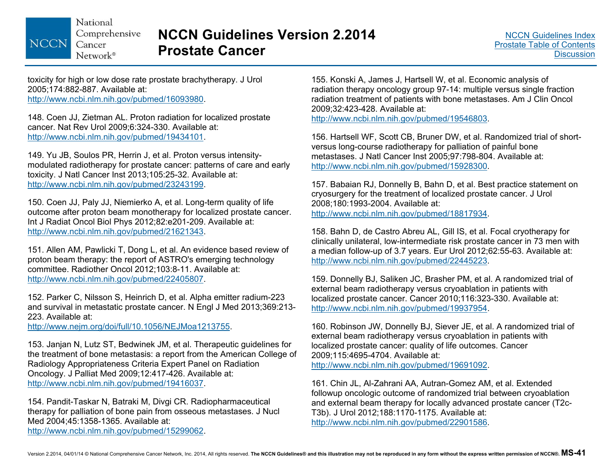## **NCCN Guidelines Version 2.2014 Prostate Cancer**

toxicity for high or low dose rate prostate brachytherapy. J Urol 2005;174:882-887. Available at: http://www.ncbi.nlm.nih.gov/pubmed/16093980.

148. Coen JJ, Zietman AL. Proton radiation for localized prostate cancer. Nat Rev Urol 2009;6:324-330. Available at: http://www.ncbi.nlm.nih.gov/pubmed/19434101.

149. Yu JB, Soulos PR, Herrin J, et al. Proton versus intensitymodulated radiotherapy for prostate cancer: patterns of care and early toxicity. J Natl Cancer Inst 2013;105:25-32. Available at: http://www.ncbi.nlm.nih.gov/pubmed/23243199.

150. Coen JJ, Paly JJ, Niemierko A, et al. Long-term quality of life outcome after proton beam monotherapy for localized prostate cancer. Int J Radiat Oncol Biol Phys 2012;82:e201-209. Available at: http://www.ncbi.nlm.nih.gov/pubmed/21621343.

151. Allen AM, Pawlicki T, Dong L, et al. An evidence based review of proton beam therapy: the report of ASTRO's emerging technology committee. Radiother Oncol 2012;103:8-11. Available at: http://www.ncbi.nlm.nih.gov/pubmed/22405807.

152. Parker C, Nilsson S, Heinrich D, et al. Alpha emitter radium-223 and survival in metastatic prostate cancer. N Engl J Med 2013;369:213- 223. Available at:

http://www.nejm.org/doi/full/10.1056/NEJMoa1213755.

153. Janjan N, Lutz ST, Bedwinek JM, et al. Therapeutic guidelines for the treatment of bone metastasis: a report from the American College of Radiology Appropriateness Criteria Expert Panel on Radiation Oncology. J Palliat Med 2009;12:417-426. Available at: http://www.ncbi.nlm.nih.gov/pubmed/19416037.

154. Pandit-Taskar N, Batraki M, Divgi CR. Radiopharmaceutical therapy for palliation of bone pain from osseous metastases. J Nucl Med 2004;45:1358-1365. Available at: http://www.ncbi.nlm.nih.gov/pubmed/15299062.

155. Konski A, James J, Hartsell W, et al. Economic analysis of radiation therapy oncology group 97-14: multiple versus single fraction radiation treatment of patients with bone metastases. Am J Clin Oncol 2009;32:423-428. Available at: http://www.ncbi.nlm.nih.gov/pubmed/19546803.

156. Hartsell WF, Scott CB, Bruner DW, et al. Randomized trial of shortversus long-course radiotherapy for palliation of painful bone metastases. J Natl Cancer Inst 2005;97:798-804. Available at: http://www.ncbi.nlm.nih.gov/pubmed/15928300.

157. Babaian RJ, Donnelly B, Bahn D, et al. Best practice statement on cryosurgery for the treatment of localized prostate cancer. J Urol 2008;180:1993-2004. Available at: http://www.ncbi.nlm.nih.gov/pubmed/18817934.

158. Bahn D, de Castro Abreu AL, Gill IS, et al. Focal cryotherapy for clinically unilateral, low-intermediate risk prostate cancer in 73 men with a median follow-up of 3.7 years. Eur Urol 2012;62:55-63. Available at: http://www.ncbi.nlm.nih.gov/pubmed/22445223.

159. Donnelly BJ, Saliken JC, Brasher PM, et al. A randomized trial of external beam radiotherapy versus cryoablation in patients with localized prostate cancer. Cancer 2010;116:323-330. Available at: http://www.ncbi.nlm.nih.gov/pubmed/19937954.

160. Robinson JW, Donnelly BJ, Siever JE, et al. A randomized trial of external beam radiotherapy versus cryoablation in patients with localized prostate cancer: quality of life outcomes. Cancer 2009;115:4695-4704. Available at: http://www.ncbi.nlm.nih.gov/pubmed/19691092.

161. Chin JL, Al-Zahrani AA, Autran-Gomez AM, et al. Extended followup oncologic outcome of randomized trial between cryoablation and external beam therapy for locally advanced prostate cancer (T2c-T3b). J Urol 2012;188:1170-1175. Available at: http://www.ncbi.nlm.nih.gov/pubmed/22901586.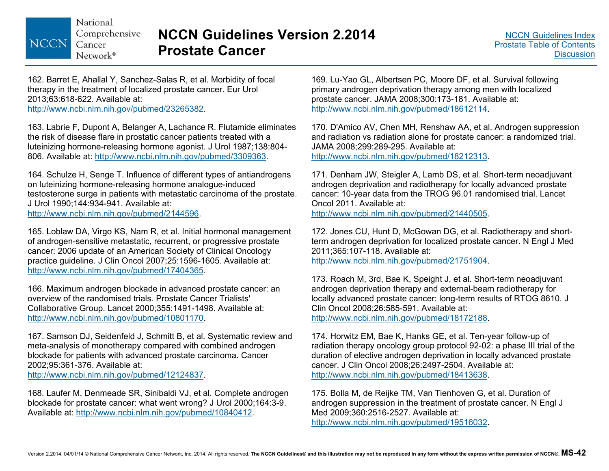162. Barret E, Ahallal Y, Sanchez-Salas R, et al. Morbidity of focal therapy in the treatment of localized prostate cancer. Eur Urol 2013;63:618-622. Available at: http://www.ncbi.nlm.nih.gov/pubmed/23265382.

163. Labrie F, Dupont A, Belanger A, Lachance R. Flutamide eliminates the risk of disease flare in prostatic cancer patients treated with a luteinizing hormone-releasing hormone agonist. J Urol 1987;138:804- 806. Available at: http://www.ncbi.nlm.nih.gov/pubmed/3309363.

164. Schulze H, Senge T. Influence of different types of antiandrogens on luteinizing hormone-releasing hormone analogue-induced testosterone surge in patients with metastatic carcinoma of the prostate. J Urol 1990;144:934-941. Available at: http://www.ncbi.nlm.nih.gov/pubmed/2144596.

165. Loblaw DA, Virgo KS, Nam R, et al. Initial hormonal management of androgen-sensitive metastatic, recurrent, or progressive prostate cancer: 2006 update of an American Society of Clinical Oncology practice guideline. J Clin Oncol 2007;25:1596-1605. Available at: http://www.ncbi.nlm.nih.gov/pubmed/17404365.

166. Maximum androgen blockade in advanced prostate cancer: an overview of the randomised trials. Prostate Cancer Trialists' Collaborative Group. Lancet 2000;355:1491-1498. Available at: http://www.ncbi.nlm.nih.gov/pubmed/10801170.

167. Samson DJ, Seidenfeld J, Schmitt B, et al. Systematic review and meta-analysis of monotherapy compared with combined androgen blockade for patients with advanced prostate carcinoma. Cancer 2002;95:361-376. Available at: http://www.ncbi.nlm.nih.gov/pubmed/12124837.

168. Laufer M, Denmeade SR, Sinibaldi VJ, et al. Complete androgen blockade for prostate cancer: what went wrong? J Urol 2000;164:3-9. Available at: http://www.ncbi.nlm.nih.gov/pubmed/10840412.

169. Lu-Yao GL, Albertsen PC, Moore DF, et al. Survival following primary androgen deprivation therapy among men with localized prostate cancer. JAMA 2008;300:173-181. Available at: http://www.ncbi.nlm.nih.gov/pubmed/18612114.

170. D'Amico AV, Chen MH, Renshaw AA, et al. Androgen suppression and radiation vs radiation alone for prostate cancer: a randomized trial. JAMA 2008;299:289-295. Available at: http://www.ncbi.nlm.nih.gov/pubmed/18212313.

171. Denham JW, Steigler A, Lamb DS, et al. Short-term neoadjuvant androgen deprivation and radiotherapy for locally advanced prostate cancer: 10-year data from the TROG 96.01 randomised trial. Lancet Oncol 2011. Available at:

http://www.ncbi.nlm.nih.gov/pubmed/21440505.

172. Jones CU, Hunt D, McGowan DG, et al. Radiotherapy and shortterm androgen deprivation for localized prostate cancer. N Engl J Med 2011;365:107-118. Available at:

http://www.ncbi.nlm.nih.gov/pubmed/21751904.

173. Roach M, 3rd, Bae K, Speight J, et al. Short-term neoadjuvant androgen deprivation therapy and external-beam radiotherapy for locally advanced prostate cancer: long-term results of RTOG 8610. J Clin Oncol 2008;26:585-591. Available at: http://www.ncbi.nlm.nih.gov/pubmed/18172188.

174. Horwitz EM, Bae K, Hanks GE, et al. Ten-year follow-up of radiation therapy oncology group protocol 92-02: a phase III trial of the duration of elective androgen deprivation in locally advanced prostate cancer. J Clin Oncol 2008;26:2497-2504. Available at: http://www.ncbi.nlm.nih.gov/pubmed/18413638.

175. Bolla M, de Reijke TM, Van Tienhoven G, et al. Duration of androgen suppression in the treatment of prostate cancer. N Engl J Med 2009;360:2516-2527. Available at: http://www.ncbi.nlm.nih.gov/pubmed/19516032.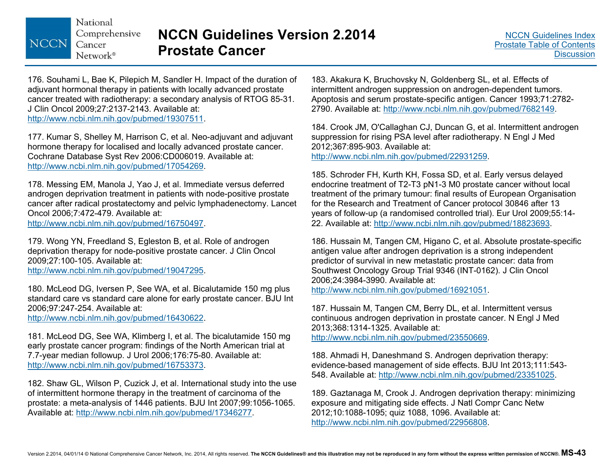176. Souhami L, Bae K, Pilepich M, Sandler H. Impact of the duration of adjuvant hormonal therapy in patients with locally advanced prostate cancer treated with radiotherapy: a secondary analysis of RTOG 85-31. J Clin Oncol 2009;27:2137-2143. Available at: http://www.ncbi.nlm.nih.gov/pubmed/19307511.

177. Kumar S, Shelley M, Harrison C, et al. Neo-adjuvant and adjuvant hormone therapy for localised and locally advanced prostate cancer. Cochrane Database Syst Rev 2006:CD006019. Available at: http://www.ncbi.nlm.nih.gov/pubmed/17054269.

178. Messing EM, Manola J, Yao J, et al. Immediate versus deferred androgen deprivation treatment in patients with node-positive prostate cancer after radical prostatectomy and pelvic lymphadenectomy. Lancet Oncol 2006;7:472-479. Available at: http://www.ncbi.nlm.nih.gov/pubmed/16750497.

179. Wong YN, Freedland S, Egleston B, et al. Role of androgen deprivation therapy for node-positive prostate cancer. J Clin Oncol 2009;27:100-105. Available at:

http://www.ncbi.nlm.nih.gov/pubmed/19047295.

180. McLeod DG, Iversen P, See WA, et al. Bicalutamide 150 mg plus standard care vs standard care alone for early prostate cancer. BJU Int 2006;97:247-254. Available at:

http://www.ncbi.nlm.nih.gov/pubmed/16430622.

181. McLeod DG, See WA, Klimberg I, et al. The bicalutamide 150 mg early prostate cancer program: findings of the North American trial at 7.7-year median followup. J Urol 2006;176:75-80. Available at: http://www.ncbi.nlm.nih.gov/pubmed/16753373.

182. Shaw GL, Wilson P, Cuzick J, et al. International study into the use of intermittent hormone therapy in the treatment of carcinoma of the prostate: a meta-analysis of 1446 patients. BJU Int 2007;99:1056-1065. Available at: http://www.ncbi.nlm.nih.gov/pubmed/17346277.

183. Akakura K, Bruchovsky N, Goldenberg SL, et al. Effects of intermittent androgen suppression on androgen-dependent tumors. Apoptosis and serum prostate-specific antigen. Cancer 1993;71:2782- 2790. Available at: http://www.ncbi.nlm.nih.gov/pubmed/7682149.

184. Crook JM, O'Callaghan CJ, Duncan G, et al. Intermittent androgen suppression for rising PSA level after radiotherapy. N Engl J Med 2012;367:895-903. Available at: http://www.ncbi.nlm.nih.gov/pubmed/22931259.

185. Schroder FH, Kurth KH, Fossa SD, et al. Early versus delayed endocrine treatment of T2-T3 pN1-3 M0 prostate cancer without local treatment of the primary tumour: final results of European Organisation for the Research and Treatment of Cancer protocol 30846 after 13 years of follow-up (a randomised controlled trial). Eur Urol 2009;55:14- 22. Available at: http://www.ncbi.nlm.nih.gov/pubmed/18823693.

186. Hussain M, Tangen CM, Higano C, et al. Absolute prostate-specific antigen value after androgen deprivation is a strong independent predictor of survival in new metastatic prostate cancer: data from Southwest Oncology Group Trial 9346 (INT-0162). J Clin Oncol 2006;24:3984-3990. Available at: http://www.ncbi.nlm.nih.gov/pubmed/16921051.

187. Hussain M, Tangen CM, Berry DL, et al. Intermittent versus continuous androgen deprivation in prostate cancer. N Engl J Med 2013;368:1314-1325. Available at:

http://www.ncbi.nlm.nih.gov/pubmed/23550669.

188. Ahmadi H, Daneshmand S. Androgen deprivation therapy: evidence-based management of side effects. BJU Int 2013;111:543- 548. Available at: http://www.ncbi.nlm.nih.gov/pubmed/23351025.

189. Gaztanaga M, Crook J. Androgen deprivation therapy: minimizing exposure and mitigating side effects. J Natl Compr Canc Netw 2012;10:1088-1095; quiz 1088, 1096. Available at: http://www.ncbi.nlm.nih.gov/pubmed/22956808.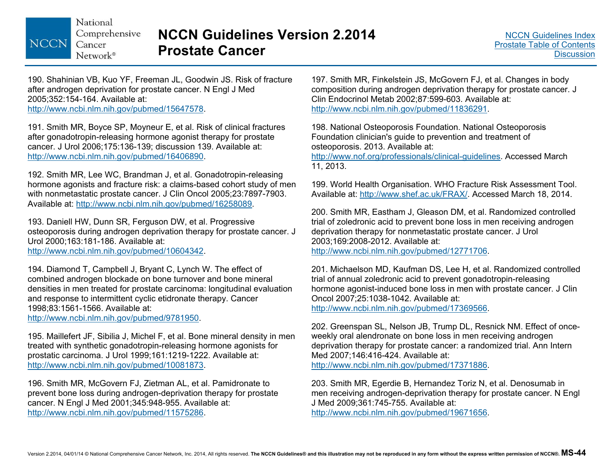190. Shahinian VB, Kuo YF, Freeman JL, Goodwin JS. Risk of fracture after androgen deprivation for prostate cancer. N Engl J Med 2005;352:154-164. Available at: http://www.ncbi.nlm.nih.gov/pubmed/15647578.

191. Smith MR, Boyce SP, Moyneur E, et al. Risk of clinical fractures after gonadotropin-releasing hormone agonist therapy for prostate cancer. J Urol 2006;175:136-139; discussion 139. Available at: http://www.ncbi.nlm.nih.gov/pubmed/16406890.

192. Smith MR, Lee WC, Brandman J, et al. Gonadotropin-releasing hormone agonists and fracture risk: a claims-based cohort study of men with nonmetastatic prostate cancer. J Clin Oncol 2005;23:7897-7903. Available at: http://www.ncbi.nlm.nih.gov/pubmed/16258089.

193. Daniell HW, Dunn SR, Ferguson DW, et al. Progressive osteoporosis during androgen deprivation therapy for prostate cancer. J Urol 2000;163:181-186. Available at:

http://www.ncbi.nlm.nih.gov/pubmed/10604342.

194. Diamond T, Campbell J, Bryant C, Lynch W. The effect of combined androgen blockade on bone turnover and bone mineral densities in men treated for prostate carcinoma: longitudinal evaluation and response to intermittent cyclic etidronate therapy. Cancer 1998;83:1561-1566. Available at:

http://www.ncbi.nlm.nih.gov/pubmed/9781950.

195. Maillefert JF, Sibilia J, Michel F, et al. Bone mineral density in men treated with synthetic gonadotropin-releasing hormone agonists for prostatic carcinoma. J Urol 1999;161:1219-1222. Available at: http://www.ncbi.nlm.nih.gov/pubmed/10081873.

196. Smith MR, McGovern FJ, Zietman AL, et al. Pamidronate to prevent bone loss during androgen-deprivation therapy for prostate cancer. N Engl J Med 2001;345:948-955. Available at: http://www.ncbi.nlm.nih.gov/pubmed/11575286.

197. Smith MR, Finkelstein JS, McGovern FJ, et al. Changes in body composition during androgen deprivation therapy for prostate cancer. J Clin Endocrinol Metab 2002;87:599-603. Available at: http://www.ncbi.nlm.nih.gov/pubmed/11836291.

198. National Osteoporosis Foundation. National Osteoporosis Foundation clinician's guide to prevention and treatment of osteoporosis. 2013. Available at:

http://www.nof.org/professionals/clinical-guidelines. Accessed March 11, 2013.

199. World Health Organisation. WHO Fracture Risk Assessment Tool. Available at: http://www.shef.ac.uk/FRAX/. Accessed March 18, 2014.

200. Smith MR, Eastham J, Gleason DM, et al. Randomized controlled trial of zoledronic acid to prevent bone loss in men receiving androgen deprivation therapy for nonmetastatic prostate cancer. J Urol 2003;169:2008-2012. Available at:

http://www.ncbi.nlm.nih.gov/pubmed/12771706.

201. Michaelson MD, Kaufman DS, Lee H, et al. Randomized controlled trial of annual zoledronic acid to prevent gonadotropin-releasing hormone agonist-induced bone loss in men with prostate cancer. J Clin Oncol 2007;25:1038-1042. Available at: http://www.ncbi.nlm.nih.gov/pubmed/17369566.

202. Greenspan SL, Nelson JB, Trump DL, Resnick NM. Effect of onceweekly oral alendronate on bone loss in men receiving androgen deprivation therapy for prostate cancer: a randomized trial. Ann Intern Med 2007;146:416-424. Available at: http://www.ncbi.nlm.nih.gov/pubmed/17371886.

203. Smith MR, Egerdie B, Hernandez Toriz N, et al. Denosumab in men receiving androgen-deprivation therapy for prostate cancer. N Engl J Med 2009;361:745-755. Available at: http://www.ncbi.nlm.nih.gov/pubmed/19671656.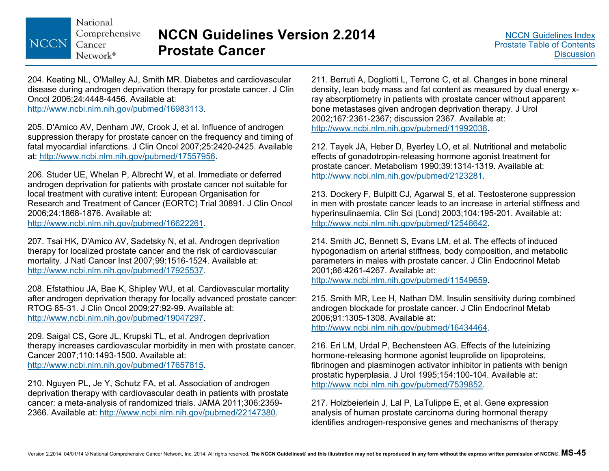204. Keating NL, O'Malley AJ, Smith MR. Diabetes and cardiovascular disease during androgen deprivation therapy for prostate cancer. J Clin Oncol 2006;24:4448-4456. Available at:

http://www.ncbi.nlm.nih.gov/pubmed/16983113.

205. D'Amico AV, Denham JW, Crook J, et al. Influence of androgen suppression therapy for prostate cancer on the frequency and timing of fatal myocardial infarctions. J Clin Oncol 2007;25:2420-2425. Available at: http://www.ncbi.nlm.nih.gov/pubmed/17557956.

206. Studer UE, Whelan P, Albrecht W, et al. Immediate or deferred androgen deprivation for patients with prostate cancer not suitable for local treatment with curative intent: European Organisation for Research and Treatment of Cancer (EORTC) Trial 30891. J Clin Oncol 2006;24:1868-1876. Available at: http://www.ncbi.nlm.nih.gov/pubmed/16622261.

207. Tsai HK, D'Amico AV, Sadetsky N, et al. Androgen deprivation therapy for localized prostate cancer and the risk of cardiovascular mortality. J Natl Cancer Inst 2007;99:1516-1524. Available at: http://www.ncbi.nlm.nih.gov/pubmed/17925537.

208. Efstathiou JA, Bae K, Shipley WU, et al. Cardiovascular mortality after androgen deprivation therapy for locally advanced prostate cancer: RTOG 85-31. J Clin Oncol 2009;27:92-99. Available at: http://www.ncbi.nlm.nih.gov/pubmed/19047297.

209. Saigal CS, Gore JL, Krupski TL, et al. Androgen deprivation therapy increases cardiovascular morbidity in men with prostate cancer. Cancer 2007;110:1493-1500. Available at: http://www.ncbi.nlm.nih.gov/pubmed/17657815.

210. Nguyen PL, Je Y, Schutz FA, et al. Association of androgen deprivation therapy with cardiovascular death in patients with prostate cancer: a meta-analysis of randomized trials. JAMA 2011;306:2359- 2366. Available at: http://www.ncbi.nlm.nih.gov/pubmed/22147380.

211. Berruti A, Dogliotti L, Terrone C, et al. Changes in bone mineral density, lean body mass and fat content as measured by dual energy xray absorptiometry in patients with prostate cancer without apparent bone metastases given androgen deprivation therapy. J Urol 2002;167:2361-2367; discussion 2367. Available at: http://www.ncbi.nlm.nih.gov/pubmed/11992038.

212. Tayek JA, Heber D, Byerley LO, et al. Nutritional and metabolic effects of gonadotropin-releasing hormone agonist treatment for prostate cancer. Metabolism 1990;39:1314-1319. Available at: http://www.ncbi.nlm.nih.gov/pubmed/2123281.

213. Dockery F, Bulpitt CJ, Agarwal S, et al. Testosterone suppression in men with prostate cancer leads to an increase in arterial stiffness and hyperinsulinaemia. Clin Sci (Lond) 2003;104:195-201. Available at: http://www.ncbi.nlm.nih.gov/pubmed/12546642.

214. Smith JC, Bennett S, Evans LM, et al. The effects of induced hypogonadism on arterial stiffness, body composition, and metabolic parameters in males with prostate cancer. J Clin Endocrinol Metab 2001;86:4261-4267. Available at: http://www.ncbi.nlm.nih.gov/pubmed/11549659.

215. Smith MR, Lee H, Nathan DM. Insulin sensitivity during combined androgen blockade for prostate cancer. J Clin Endocrinol Metab 2006;91:1305-1308. Available at:

http://www.ncbi.nlm.nih.gov/pubmed/16434464.

216. Eri LM, Urdal P, Bechensteen AG. Effects of the luteinizing hormone-releasing hormone agonist leuprolide on lipoproteins, fibrinogen and plasminogen activator inhibitor in patients with benign prostatic hyperplasia. J Urol 1995;154:100-104. Available at: http://www.ncbi.nlm.nih.gov/pubmed/7539852.

217. Holzbeierlein J, Lal P, LaTulippe E, et al. Gene expression analysis of human prostate carcinoma during hormonal therapy identifies androgen-responsive genes and mechanisms of therapy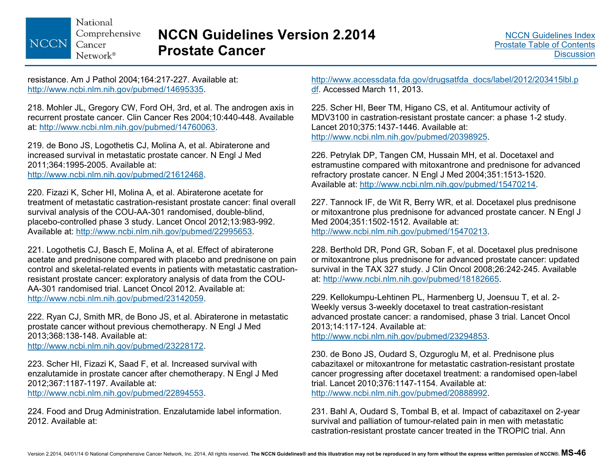resistance. Am J Pathol 2004;164:217-227. Available at: http://www.ncbi.nlm.nih.gov/pubmed/14695335.

218. Mohler JL, Gregory CW, Ford OH, 3rd, et al. The androgen axis in recurrent prostate cancer. Clin Cancer Res 2004;10:440-448. Available at: http://www.ncbi.nlm.nih.gov/pubmed/14760063.

219. de Bono JS, Logothetis CJ, Molina A, et al. Abiraterone and increased survival in metastatic prostate cancer. N Engl J Med 2011;364:1995-2005. Available at:

http://www.ncbi.nlm.nih.gov/pubmed/21612468.

220. Fizazi K, Scher HI, Molina A, et al. Abiraterone acetate for treatment of metastatic castration-resistant prostate cancer: final overall survival analysis of the COU-AA-301 randomised, double-blind, placebo-controlled phase 3 study. Lancet Oncol 2012;13:983-992. Available at: http://www.ncbi.nlm.nih.gov/pubmed/22995653.

221. Logothetis CJ, Basch E, Molina A, et al. Effect of abiraterone acetate and prednisone compared with placebo and prednisone on pain control and skeletal-related events in patients with metastatic castrationresistant prostate cancer: exploratory analysis of data from the COU-AA-301 randomised trial. Lancet Oncol 2012. Available at: http://www.ncbi.nlm.nih.gov/pubmed/23142059.

222. Ryan CJ, Smith MR, de Bono JS, et al. Abiraterone in metastatic prostate cancer without previous chemotherapy. N Engl J Med 2013;368:138-148. Available at: http://www.ncbi.nlm.nih.gov/pubmed/23228172.

223. Scher HI, Fizazi K, Saad F, et al. Increased survival with enzalutamide in prostate cancer after chemotherapy. N Engl J Med 2012;367:1187-1197. Available at: http://www.ncbi.nlm.nih.gov/pubmed/22894553.

224. Food and Drug Administration. Enzalutamide label information. 2012. Available at:

[http://www.accessdata.fda.gov/drugsatfda\\_docs/label/2012/203415lbl.p](http://www.accessdata.fda.gov/drugsatfda_docs/label/2012/203415lbl.pdf) df. Accessed March 11, 2013.

225. Scher HI, Beer TM, Higano CS, et al. Antitumour activity of MDV3100 in castration-resistant prostate cancer: a phase 1-2 study. Lancet 2010;375:1437-1446. Available at: http://www.ncbi.nlm.nih.gov/pubmed/20398925.

226. Petrylak DP, Tangen CM, Hussain MH, et al. Docetaxel and estramustine compared with mitoxantrone and prednisone for advanced refractory prostate cancer. N Engl J Med 2004;351:1513-1520. Available at: http://www.ncbi.nlm.nih.gov/pubmed/15470214.

227. Tannock IF, de Wit R, Berry WR, et al. Docetaxel plus prednisone or mitoxantrone plus prednisone for advanced prostate cancer. N Engl J Med 2004;351:1502-1512. Available at: http://www.ncbi.nlm.nih.gov/pubmed/15470213.

228. Berthold DR, Pond GR, Soban F, et al. Docetaxel plus prednisone or mitoxantrone plus prednisone for advanced prostate cancer: updated survival in the TAX 327 study. J Clin Oncol 2008;26:242-245. Available at: http://www.ncbi.nlm.nih.gov/pubmed/18182665.

229. Kellokumpu-Lehtinen PL, Harmenberg U, Joensuu T, et al. 2- Weekly versus 3-weekly docetaxel to treat castration-resistant advanced prostate cancer: a randomised, phase 3 trial. Lancet Oncol 2013;14:117-124. Available at: http://www.ncbi.nlm.nih.gov/pubmed/23294853.

230. de Bono JS, Oudard S, Ozguroglu M, et al. Prednisone plus cabazitaxel or mitoxantrone for metastatic castration-resistant prostate cancer progressing after docetaxel treatment: a randomised open-label trial. Lancet 2010;376:1147-1154. Available at:

http://www.ncbi.nlm.nih.gov/pubmed/20888992.

231. Bahl A, Oudard S, Tombal B, et al. Impact of cabazitaxel on 2-year survival and palliation of tumour-related pain in men with metastatic castration-resistant prostate cancer treated in the TROPIC trial. Ann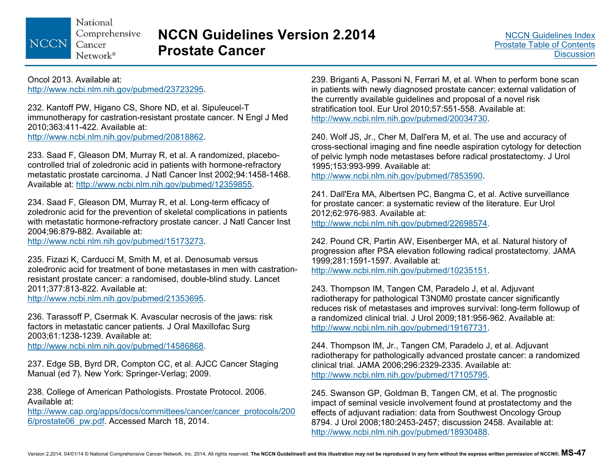## **NCCN Guidelines Version 2.2014 Prostate Cancer**

Oncol 2013. Available at: http://www.ncbi.nlm.nih.gov/pubmed/23723295.

232. Kantoff PW, Higano CS, Shore ND, et al. Sipuleucel-T immunotherapy for castration-resistant prostate cancer. N Engl J Med 2010;363:411-422. Available at: http://www.ncbi.nlm.nih.gov/pubmed/20818862.

233. Saad F, Gleason DM, Murray R, et al. A randomized, placebocontrolled trial of zoledronic acid in patients with hormone-refractory metastatic prostate carcinoma. J Natl Cancer Inst 2002;94:1458-1468. Available at: http://www.ncbi.nlm.nih.gov/pubmed/12359855.

234. Saad F, Gleason DM, Murray R, et al. Long-term efficacy of zoledronic acid for the prevention of skeletal complications in patients with metastatic hormone-refractory prostate cancer. J Natl Cancer Inst 2004;96:879-882. Available at:

http://www.ncbi.nlm.nih.gov/pubmed/15173273.

235. Fizazi K, Carducci M, Smith M, et al. Denosumab versus zoledronic acid for treatment of bone metastases in men with castrationresistant prostate cancer: a randomised, double-blind study. Lancet 2011;377:813-822. Available at: http://www.ncbi.nlm.nih.gov/pubmed/21353695.

236. Tarassoff P, Csermak K. Avascular necrosis of the jaws: risk factors in metastatic cancer patients. J Oral Maxillofac Surg 2003;61:1238-1239. Available at: http://www.ncbi.nlm.nih.gov/pubmed/14586868.

237. Edge SB, Byrd DR, Compton CC, et al. AJCC Cancer Staging Manual (ed 7). New York: Springer-Verlag; 2009.

238. College of American Pathologists. Prostate Protocol. 2006. Available at:

 [http://www.cap.org/apps/docs/committees/cancer/cancer\\_protocols/200](http://www.cap.org/apps/docs/committees/cancer/cancer_protocols/2006/prostate06_pw.pdf) 6/prostate06\_pw.pdf. Accessed March 18, 2014.

239. Briganti A, Passoni N, Ferrari M, et al. When to perform bone scan in patients with newly diagnosed prostate cancer: external validation of the currently available guidelines and proposal of a novel risk stratification tool. Eur Urol 2010;57:551-558. Available at: http://www.ncbi.nlm.nih.gov/pubmed/20034730.

240. Wolf JS, Jr., Cher M, Dall'era M, et al. The use and accuracy of cross-sectional imaging and fine needle aspiration cytology for detection of pelvic lymph node metastases before radical prostatectomy. J Urol 1995;153:993-999. Available at:

http://www.ncbi.nlm.nih.gov/pubmed/7853590.

241. Dall'Era MA, Albertsen PC, Bangma C, et al. Active surveillance for prostate cancer: a systematic review of the literature. Eur Urol 2012;62:976-983. Available at: http://www.ncbi.nlm.nih.gov/pubmed/22698574.

242. Pound CR, Partin AW, Eisenberger MA, et al. Natural history of progression after PSA elevation following radical prostatectomy. JAMA 1999;281:1591-1597. Available at:

http://www.ncbi.nlm.nih.gov/pubmed/10235151.

243. Thompson IM, Tangen CM, Paradelo J, et al. Adjuvant radiotherapy for pathological T3N0M0 prostate cancer significantly reduces risk of metastases and improves survival: long-term followup of a randomized clinical trial. J Urol 2009;181:956-962. Available at: http://www.ncbi.nlm.nih.gov/pubmed/19167731.

244. Thompson IM, Jr., Tangen CM, Paradelo J, et al. Adjuvant radiotherapy for pathologically advanced prostate cancer: a randomized clinical trial. JAMA 2006;296:2329-2335. Available at: http://www.ncbi.nlm.nih.gov/pubmed/17105795.

245. Swanson GP, Goldman B, Tangen CM, et al. The prognostic impact of seminal vesicle involvement found at prostatectomy and the effects of adjuvant radiation: data from Southwest Oncology Group 8794. J Urol 2008;180:2453-2457; discussion 2458. Available at: http://www.ncbi.nlm.nih.gov/pubmed/18930488.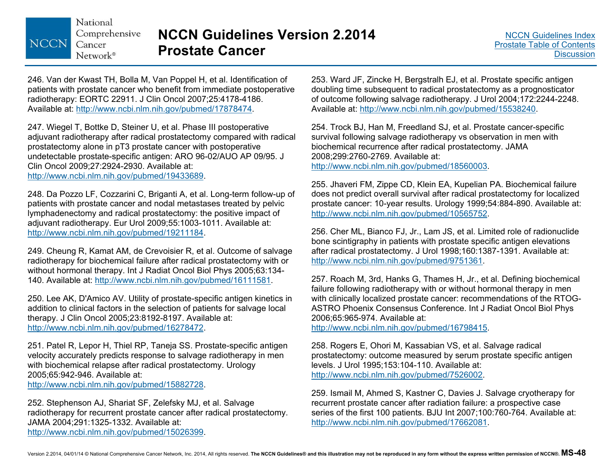246. Van der Kwast TH, Bolla M, Van Poppel H, et al. Identification of patients with prostate cancer who benefit from immediate postoperative radiotherapy: EORTC 22911. J Clin Oncol 2007;25:4178-4186. Available at: http://www.ncbi.nlm.nih.gov/pubmed/17878474.

247. Wiegel T, Bottke D, Steiner U, et al. Phase III postoperative adjuvant radiotherapy after radical prostatectomy compared with radical prostatectomy alone in pT3 prostate cancer with postoperative undetectable prostate-specific antigen: ARO 96-02/AUO AP 09/95. J Clin Oncol 2009;27:2924-2930. Available at: http://www.ncbi.nlm.nih.gov/pubmed/19433689.

248. Da Pozzo LF, Cozzarini C, Briganti A, et al. Long-term follow-up of patients with prostate cancer and nodal metastases treated by pelvic lymphadenectomy and radical prostatectomy: the positive impact of adjuvant radiotherapy. Eur Urol 2009;55:1003-1011. Available at: http://www.ncbi.nlm.nih.gov/pubmed/19211184.

249. Cheung R, Kamat AM, de Crevoisier R, et al. Outcome of salvage radiotherapy for biochemical failure after radical prostatectomy with or without hormonal therapy. Int J Radiat Oncol Biol Phys 2005;63:134- 140. Available at: http://www.ncbi.nlm.nih.gov/pubmed/16111581.

250. Lee AK, D'Amico AV. Utility of prostate-specific antigen kinetics in addition to clinical factors in the selection of patients for salvage local therapy. J Clin Oncol 2005;23:8192-8197. Available at: http://www.ncbi.nlm.nih.gov/pubmed/16278472.

251. Patel R, Lepor H, Thiel RP, Taneja SS. Prostate-specific antigen velocity accurately predicts response to salvage radiotherapy in men with biochemical relapse after radical prostatectomy. Urology 2005;65:942-946. Available at: http://www.ncbi.nlm.nih.gov/pubmed/15882728.

252. Stephenson AJ, Shariat SF, Zelefsky MJ, et al. Salvage radiotherapy for recurrent prostate cancer after radical prostatectomy. JAMA 2004;291:1325-1332. Available at: http://www.ncbi.nlm.nih.gov/pubmed/15026399.

253. Ward JF, Zincke H, Bergstralh EJ, et al. Prostate specific antigen doubling time subsequent to radical prostatectomy as a prognosticator of outcome following salvage radiotherapy. J Urol 2004;172:2244-2248. Available at: http://www.ncbi.nlm.nih.gov/pubmed/15538240.

254. Trock BJ, Han M, Freedland SJ, et al. Prostate cancer-specific survival following salvage radiotherapy vs observation in men with biochemical recurrence after radical prostatectomy. JAMA 2008;299:2760-2769. Available at: http://www.ncbi.nlm.nih.gov/pubmed/18560003.

255. Jhaveri FM, Zippe CD, Klein EA, Kupelian PA. Biochemical failure does not predict overall survival after radical prostatectomy for localized prostate cancer: 10-year results. Urology 1999;54:884-890. Available at: http://www.ncbi.nlm.nih.gov/pubmed/10565752.

256. Cher ML, Bianco FJ, Jr., Lam JS, et al. Limited role of radionuclide bone scintigraphy in patients with prostate specific antigen elevations after radical prostatectomy. J Urol 1998;160:1387-1391. Available at: http://www.ncbi.nlm.nih.gov/pubmed/9751361.

257. Roach M, 3rd, Hanks G, Thames H, Jr., et al. Defining biochemical failure following radiotherapy with or without hormonal therapy in men with clinically localized prostate cancer: recommendations of the RTOG-ASTRO Phoenix Consensus Conference. Int J Radiat Oncol Biol Phys 2006;65:965-974. Available at:

http://www.ncbi.nlm.nih.gov/pubmed/16798415.

258. Rogers E, Ohori M, Kassabian VS, et al. Salvage radical prostatectomy: outcome measured by serum prostate specific antigen levels. J Urol 1995;153:104-110. Available at: http://www.ncbi.nlm.nih.gov/pubmed/7526002.

259. Ismail M, Ahmed S, Kastner C, Davies J. Salvage cryotherapy for recurrent prostate cancer after radiation failure: a prospective case series of the first 100 patients. BJU Int 2007;100:760-764. Available at: http://www.ncbi.nlm.nih.gov/pubmed/17662081.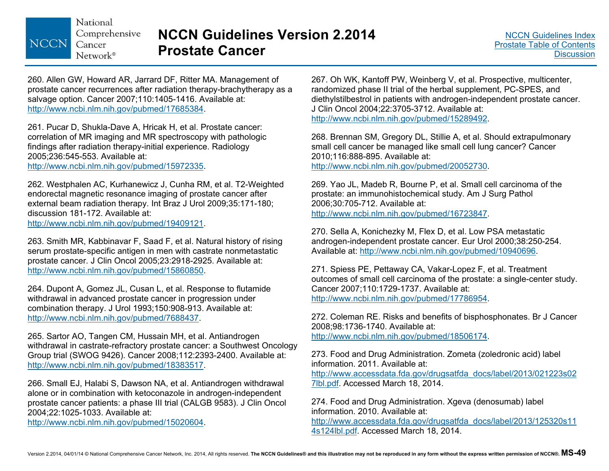260. Allen GW, Howard AR, Jarrard DF, Ritter MA. Management of prostate cancer recurrences after radiation therapy-brachytherapy as a salvage option. Cancer 2007;110:1405-1416. Available at: http://www.ncbi.nlm.nih.gov/pubmed/17685384.

261. Pucar D, Shukla-Dave A, Hricak H, et al. Prostate cancer: correlation of MR imaging and MR spectroscopy with pathologic findings after radiation therapy-initial experience. Radiology 2005;236:545-553. Available at:

http://www.ncbi.nlm.nih.gov/pubmed/15972335.

262. Westphalen AC, Kurhanewicz J, Cunha RM, et al. T2-Weighted endorectal magnetic resonance imaging of prostate cancer after external beam radiation therapy. Int Braz J Urol 2009;35:171-180; discussion 181-172. Available at: http://www.ncbi.nlm.nih.gov/pubmed/19409121.

263. Smith MR, Kabbinavar F, Saad F, et al. Natural history of rising serum prostate-specific antigen in men with castrate nonmetastatic prostate cancer. J Clin Oncol 2005;23:2918-2925. Available at: http://www.ncbi.nlm.nih.gov/pubmed/15860850.

264. Dupont A, Gomez JL, Cusan L, et al. Response to flutamide withdrawal in advanced prostate cancer in progression under combination therapy. J Urol 1993;150:908-913. Available at: http://www.ncbi.nlm.nih.gov/pubmed/7688437.

265. Sartor AO, Tangen CM, Hussain MH, et al. Antiandrogen withdrawal in castrate-refractory prostate cancer: a Southwest Oncology Group trial (SWOG 9426). Cancer 2008;112:2393-2400. Available at: http://www.ncbi.nlm.nih.gov/pubmed/18383517.

266. Small EJ, Halabi S, Dawson NA, et al. Antiandrogen withdrawal alone or in combination with ketoconazole in androgen-independent prostate cancer patients: a phase III trial (CALGB 9583). J Clin Oncol 2004;22:1025-1033. Available at:

http://www.ncbi.nlm.nih.gov/pubmed/15020604.

267. Oh WK, Kantoff PW, Weinberg V, et al. Prospective, multicenter, randomized phase II trial of the herbal supplement, PC-SPES, and diethylstilbestrol in patients with androgen-independent prostate cancer. J Clin Oncol 2004;22:3705-3712. Available at: http://www.ncbi.nlm.nih.gov/pubmed/15289492.

268. Brennan SM, Gregory DL, Stillie A, et al. Should extrapulmonary small cell cancer be managed like small cell lung cancer? Cancer 2010;116:888-895. Available at: http://www.ncbi.nlm.nih.gov/pubmed/20052730.

269. Yao JL, Madeb R, Bourne P, et al. Small cell carcinoma of the prostate: an immunohistochemical study. Am J Surg Pathol 2006;30:705-712. Available at: http://www.ncbi.nlm.nih.gov/pubmed/16723847.

270. Sella A, Konichezky M, Flex D, et al. Low PSA metastatic androgen-independent prostate cancer. Eur Urol 2000;38:250-254. Available at: http://www.ncbi.nlm.nih.gov/pubmed/10940696.

271. Spiess PE, Pettaway CA, Vakar-Lopez F, et al. Treatment outcomes of small cell carcinoma of the prostate: a single-center study. Cancer 2007;110:1729-1737. Available at: http://www.ncbi.nlm.nih.gov/pubmed/17786954.

272. Coleman RE. Risks and benefits of bisphosphonates. Br J Cancer 2008;98:1736-1740. Available at: http://www.ncbi.nlm.nih.gov/pubmed/18506174.

273. Food and Drug Administration. Zometa (zoledronic acid) label information. 2011. Available at:

[http://www.accessdata.fda.gov/drugsatfda\\_docs/label/2013/021223s02](http://www.accessdata.fda.gov/drugsatfda_docs/label/2013/021223s027lbl.pdf) 7lbl.pdf. Accessed March 18, 2014.

274. Food and Drug Administration. Xgeva (denosumab) label information. 2010. Available at: [http://www.accessdata.fda.gov/drugsatfda\\_docs/label/2013/125320s11](http://www.accessdata.fda.gov/drugsatfda_docs/label/2013/125320s114s124lbl.pdf) 4s124lbl.pdf. Accessed March 18, 2014.